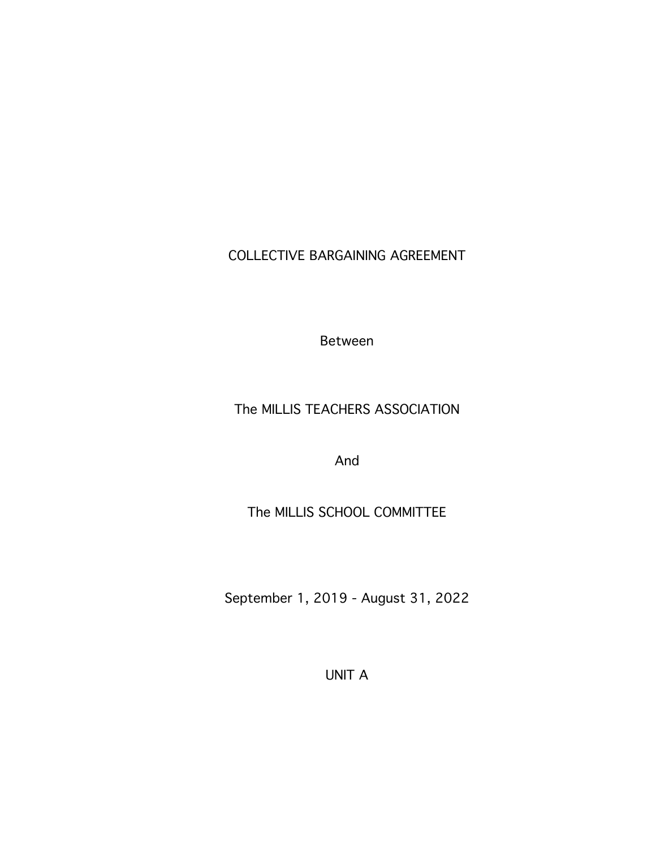COLLECTIVE BARGAINING AGREEMENT

Between

# The MILLIS TEACHERS ASSOCIATION

And

# The MILLIS SCHOOL COMMITTEE

September 1, 2019 - August 31, 2022

UNIT A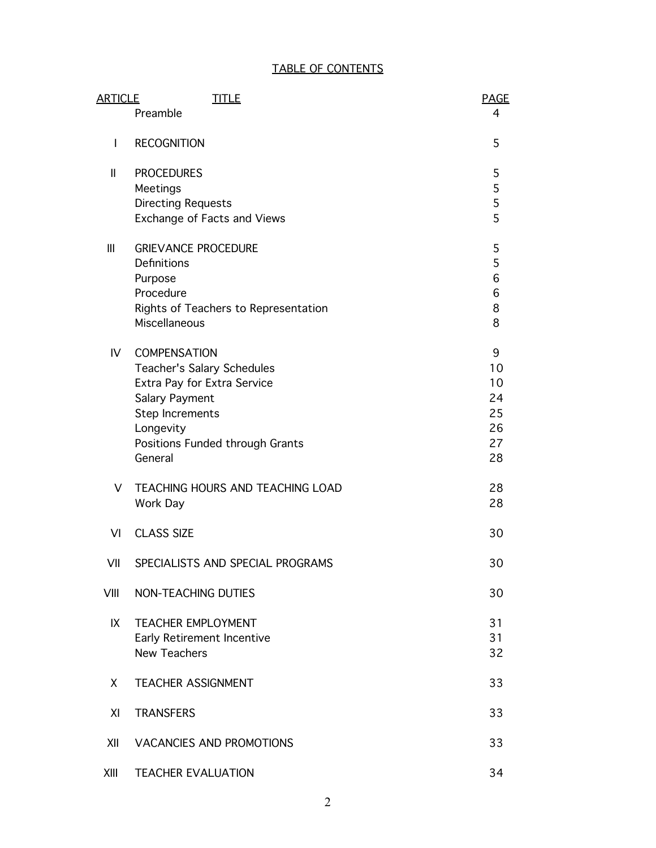## TABLE OF CONTENTS

| <b>ARTICLE</b> | <b>TITLE</b>                                                                                                                                                                     | <b>PAGE</b>                                 |
|----------------|----------------------------------------------------------------------------------------------------------------------------------------------------------------------------------|---------------------------------------------|
|                | Preamble                                                                                                                                                                         | 4                                           |
| I              | <b>RECOGNITION</b>                                                                                                                                                               | 5                                           |
| Ш              | <b>PROCEDURES</b><br>Meetings<br><b>Directing Requests</b><br>Exchange of Facts and Views                                                                                        | 5<br>$\frac{5}{5}$<br>5                     |
| III            | <b>GRIEVANCE PROCEDURE</b><br>Definitions<br>Purpose<br>Procedure<br>Rights of Teachers to Representation<br>Miscellaneous                                                       | 5<br>5<br>6<br>6<br>8<br>8                  |
| IV             | <b>COMPENSATION</b><br>Teacher's Salary Schedules<br>Extra Pay for Extra Service<br>Salary Payment<br>Step Increments<br>Longevity<br>Positions Funded through Grants<br>General | 9<br>10<br>10<br>24<br>25<br>26<br>27<br>28 |
| V              | TEACHING HOURS AND TEACHING LOAD<br>Work Day                                                                                                                                     | 28<br>28                                    |
| VI             | <b>CLASS SIZE</b>                                                                                                                                                                | 30                                          |
| VII            | SPECIALISTS AND SPECIAL PROGRAMS                                                                                                                                                 | 30                                          |
| VIII           | NON-TEACHING DUTIES                                                                                                                                                              | 30                                          |
| IX             | <b>TEACHER EMPLOYMENT</b><br>Early Retirement Incentive<br><b>New Teachers</b>                                                                                                   | 31<br>31<br>32                              |
| X.             | <b>TEACHER ASSIGNMENT</b>                                                                                                                                                        | 33                                          |
| XI             | <b>TRANSFERS</b>                                                                                                                                                                 | 33                                          |
| XII            | <b>VACANCIES AND PROMOTIONS</b>                                                                                                                                                  | 33                                          |
| XIII           | <b>TEACHER EVALUATION</b>                                                                                                                                                        | 34                                          |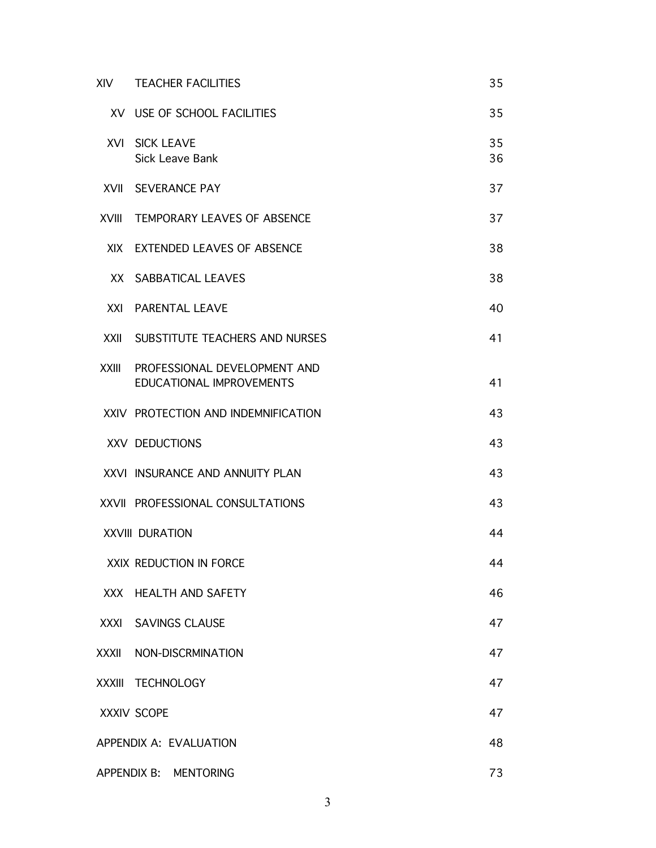| <b>XIV</b>   | <b>TEACHER FACILITIES</b>                                       | 35       |
|--------------|-----------------------------------------------------------------|----------|
|              | XV USE OF SCHOOL FACILITIES                                     | 35       |
| <b>XVI</b>   | <b>SICK LEAVE</b><br>Sick Leave Bank                            | 35<br>36 |
|              | <b>XVII SEVERANCE PAY</b>                                       | 37       |
| <b>XVIII</b> | <b>TEMPORARY LEAVES OF ABSENCE</b>                              | 37       |
|              | XIX EXTENDED LEAVES OF ABSENCE                                  | 38       |
|              | XX SABBATICAL LEAVES                                            | 38       |
| XXI          | <b>PARENTAL LEAVE</b>                                           | 40       |
| <b>XXII</b>  | SUBSTITUTE TEACHERS AND NURSES                                  | 41       |
| <b>XXIII</b> | PROFESSIONAL DEVELOPMENT AND<br><b>EDUCATIONAL IMPROVEMENTS</b> | 41       |
|              | XXIV PROTECTION AND INDEMNIFICATION                             | 43       |
|              | XXV DEDUCTIONS                                                  | 43       |
|              | XXVI INSURANCE AND ANNUITY PLAN                                 | 43       |
|              | XXVII PROFESSIONAL CONSULTATIONS                                | 43       |
|              | <b>XXVIII DURATION</b>                                          | 44       |
|              | XXIX REDUCTION IN FORCE                                         | 44       |
| XXX          | <b>HEALTH AND SAFETY</b>                                        | 46       |
| XXXI         | <b>SAVINGS CLAUSE</b>                                           | 47       |
| XXXII        | NON-DISCRMINATION                                               | 47       |
|              | XXXIII TECHNOLOGY                                               | 47       |
|              | XXXIV SCOPE                                                     | 47       |
|              | APPENDIX A: EVALUATION                                          | 48       |
|              | APPENDIX B: MENTORING                                           | 73       |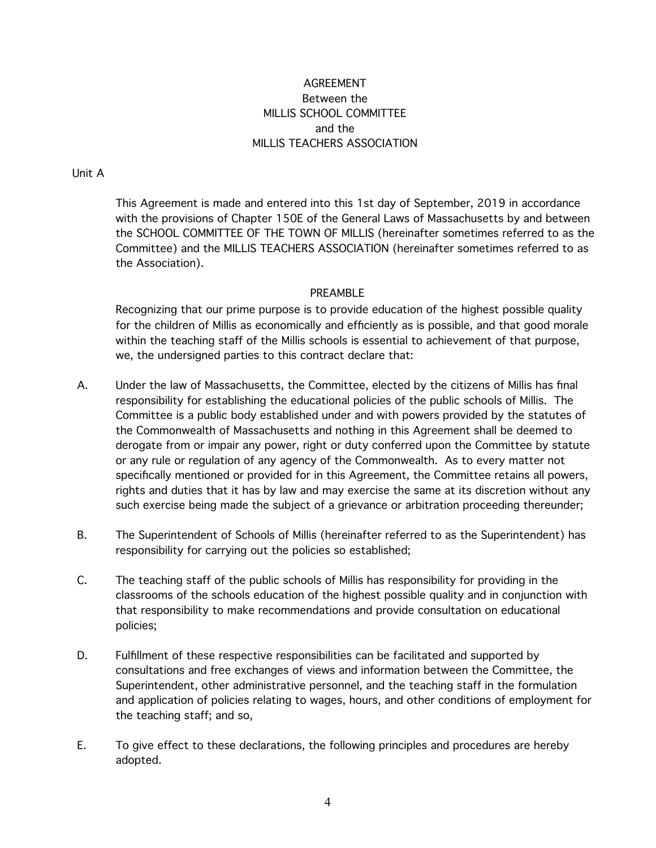## AGREEMENT Between the MILLIS SCHOOL COMMITTEE and the MILLIS TEACHERS ASSOCIATION

#### Unit A

This Agreement is made and entered into this 1st day of September, 2019 in accordance with the provisions of Chapter 150E of the General Laws of Massachusetts by and between the SCHOOL COMMITTEE OF THE TOWN OF MILLIS (hereinafter sometimes referred to as the Committee) and the MILLIS TEACHERS ASSOCIATION (hereinafter sometimes referred to as the Association).

#### PREAMBLE

Recognizing that our prime purpose is to provide education of the highest possible quality for the children of Millis as economically and efficiently as is possible, and that good morale within the teaching staff of the Millis schools is essential to achievement of that purpose, we, the undersigned parties to this contract declare that:

- A. Under the law of Massachusetts, the Committee, elected by the citizens of Millis has final responsibility for establishing the educational policies of the public schools of Millis. The Committee is a public body established under and with powers provided by the statutes of the Commonwealth of Massachusetts and nothing in this Agreement shall be deemed to derogate from or impair any power, right or duty conferred upon the Committee by statute or any rule or regulation of any agency of the Commonwealth. As to every matter not specifically mentioned or provided for in this Agreement, the Committee retains all powers, rights and duties that it has by law and may exercise the same at its discretion without any such exercise being made the subject of a grievance or arbitration proceeding thereunder;
- B. The Superintendent of Schools of Millis (hereinafter referred to as the Superintendent) has responsibility for carrying out the policies so established;
- C. The teaching staff of the public schools of Millis has responsibility for providing in the classrooms of the schools education of the highest possible quality and in conjunction with that responsibility to make recommendations and provide consultation on educational policies;
- D. Fulfillment of these respective responsibilities can be facilitated and supported by consultations and free exchanges of views and information between the Committee, the Superintendent, other administrative personnel, and the teaching staff in the formulation and application of policies relating to wages, hours, and other conditions of employment for the teaching staff; and so,
- E. To give effect to these declarations, the following principles and procedures are hereby adopted.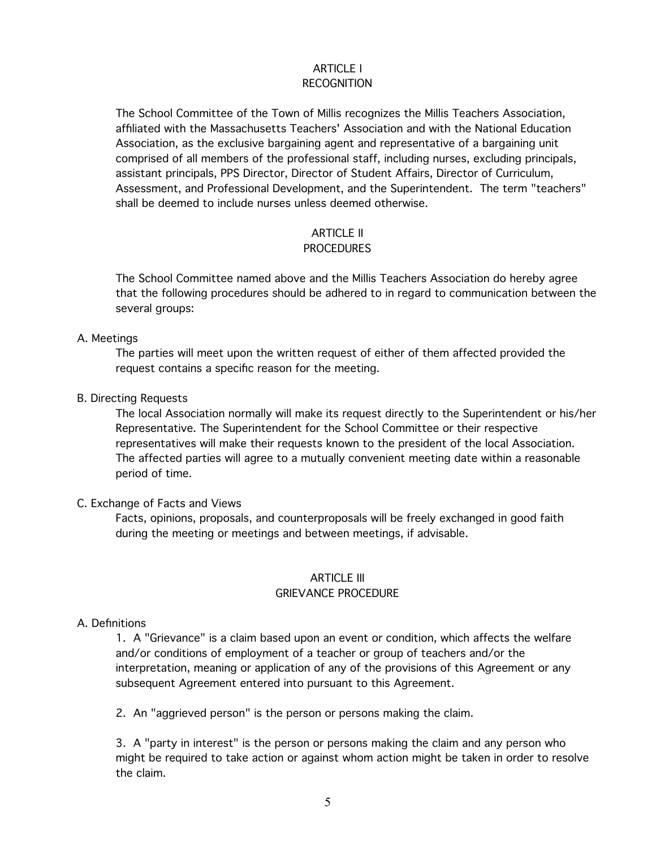#### ARTICLE I RECOGNITION

The School Committee of the Town of Millis recognizes the Millis Teachers Association, affiliated with the Massachusetts Teachers' Association and with the National Education Association, as the exclusive bargaining agent and representative of a bargaining unit comprised of all members of the professional staff, including nurses, excluding principals, assistant principals, PPS Director, Director of Student Affairs, Director of Curriculum, Assessment, and Professional Development, and the Superintendent. The term "teachers" shall be deemed to include nurses unless deemed otherwise.

#### ARTICLE II

#### PROCEDURES

The School Committee named above and the Millis Teachers Association do hereby agree that the following procedures should be adhered to in regard to communication between the several groups:

#### A. Meetings

The parties will meet upon the written request of either of them affected provided the request contains a specific reason for the meeting.

B. Directing Requests

The local Association normally will make its request directly to the Superintendent or his/her Representative. The Superintendent for the School Committee or their respective representatives will make their requests known to the president of the local Association. The affected parties will agree to a mutually convenient meeting date within a reasonable period of time.

#### C. Exchange of Facts and Views

Facts, opinions, proposals, and counterproposals will be freely exchanged in good faith during the meeting or meetings and between meetings, if advisable.

# ARTICLE III

### GRIEVANCE PROCEDURE

#### A. Definitions

1. A "Grievance" is a claim based upon an event or condition, which affects the welfare and/or conditions of employment of a teacher or group of teachers and/or the interpretation, meaning or application of any of the provisions of this Agreement or any subsequent Agreement entered into pursuant to this Agreement.

2. An "aggrieved person" is the person or persons making the claim.

3. A "party in interest" is the person or persons making the claim and any person who might be required to take action or against whom action might be taken in order to resolve the claim.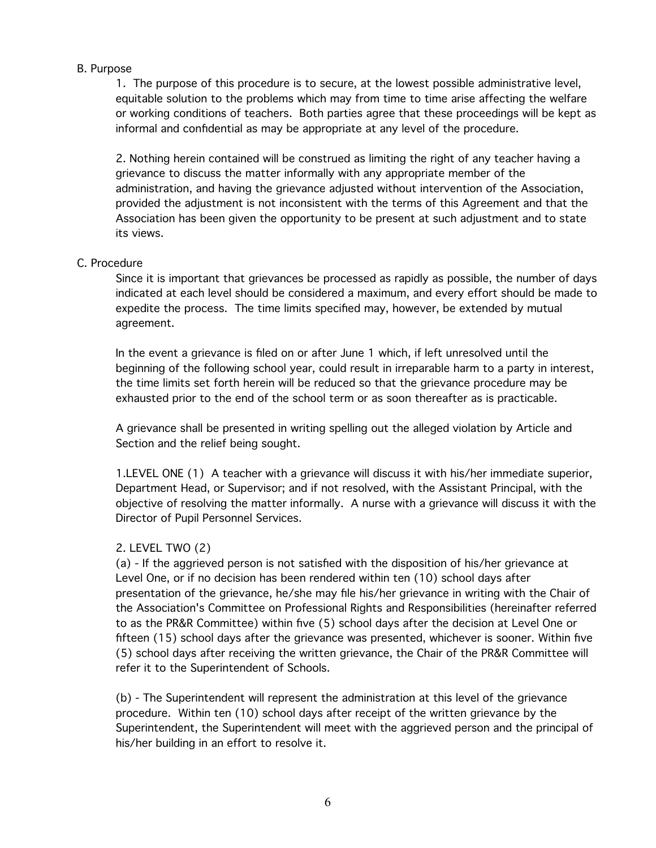#### B. Purpose

1. The purpose of this procedure is to secure, at the lowest possible administrative level, equitable solution to the problems which may from time to time arise affecting the welfare or working conditions of teachers. Both parties agree that these proceedings will be kept as informal and confidential as may be appropriate at any level of the procedure.

2. Nothing herein contained will be construed as limiting the right of any teacher having a grievance to discuss the matter informally with any appropriate member of the administration, and having the grievance adjusted without intervention of the Association, provided the adjustment is not inconsistent with the terms of this Agreement and that the Association has been given the opportunity to be present at such adjustment and to state its views.

#### C. Procedure

Since it is important that grievances be processed as rapidly as possible, the number of days indicated at each level should be considered a maximum, and every effort should be made to expedite the process. The time limits specified may, however, be extended by mutual agreement.

In the event a grievance is filed on or after June 1 which, if left unresolved until the beginning of the following school year, could result in irreparable harm to a party in interest, the time limits set forth herein will be reduced so that the grievance procedure may be exhausted prior to the end of the school term or as soon thereafter as is practicable.

A grievance shall be presented in writing spelling out the alleged violation by Article and Section and the relief being sought.

1.LEVEL ONE (1) A teacher with a grievance will discuss it with his/her immediate superior, Department Head, or Supervisor; and if not resolved, with the Assistant Principal, with the objective of resolving the matter informally. A nurse with a grievance will discuss it with the Director of Pupil Personnel Services.

#### 2. LEVEL TWO (2)

(a) - If the aggrieved person is not satisfied with the disposition of his/her grievance at Level One, or if no decision has been rendered within ten (10) school days after presentation of the grievance, he/she may file his/her grievance in writing with the Chair of the Association's Committee on Professional Rights and Responsibilities (hereinafter referred to as the PR&R Committee) within five (5) school days after the decision at Level One or fifteen (15) school days after the grievance was presented, whichever is sooner. Within five (5) school days after receiving the written grievance, the Chair of the PR&R Committee will refer it to the Superintendent of Schools.

(b) - The Superintendent will represent the administration at this level of the grievance procedure. Within ten (10) school days after receipt of the written grievance by the Superintendent, the Superintendent will meet with the aggrieved person and the principal of his/her building in an effort to resolve it.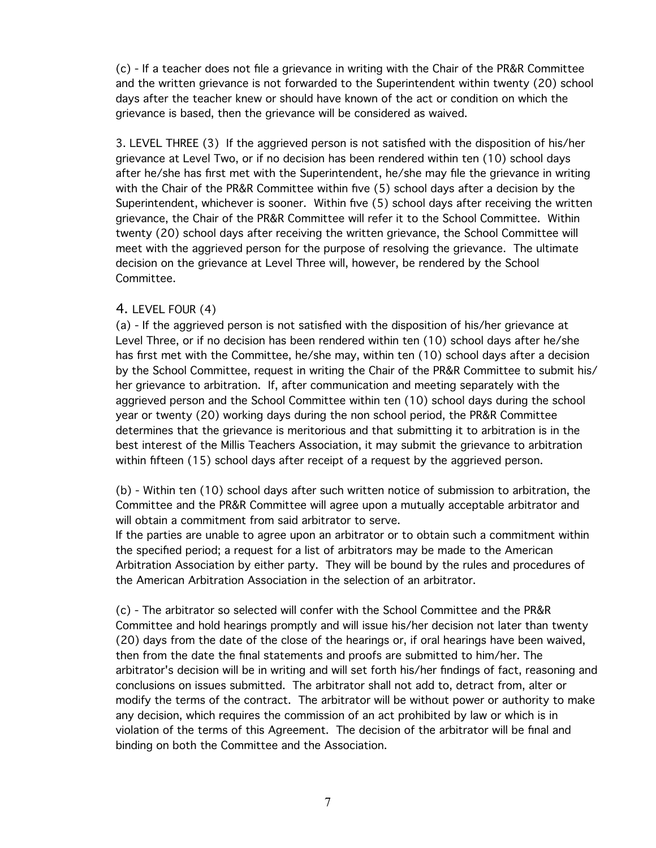(c) - If a teacher does not file a grievance in writing with the Chair of the PR&R Committee and the written grievance is not forwarded to the Superintendent within twenty (20) school days after the teacher knew or should have known of the act or condition on which the grievance is based, then the grievance will be considered as waived.

3. LEVEL THREE (3) If the aggrieved person is not satisfied with the disposition of his/her grievance at Level Two, or if no decision has been rendered within ten (10) school days after he/she has first met with the Superintendent, he/she may file the grievance in writing with the Chair of the PR&R Committee within five (5) school days after a decision by the Superintendent, whichever is sooner. Within five (5) school days after receiving the written grievance, the Chair of the PR&R Committee will refer it to the School Committee. Within twenty (20) school days after receiving the written grievance, the School Committee will meet with the aggrieved person for the purpose of resolving the grievance. The ultimate decision on the grievance at Level Three will, however, be rendered by the School Committee.

#### 4. LEVEL FOUR (4)

(a) - If the aggrieved person is not satisfied with the disposition of his/her grievance at Level Three, or if no decision has been rendered within ten (10) school days after he/she has first met with the Committee, he/she may, within ten (10) school days after a decision by the School Committee, request in writing the Chair of the PR&R Committee to submit his/ her grievance to arbitration. If, after communication and meeting separately with the aggrieved person and the School Committee within ten (10) school days during the school year or twenty (20) working days during the non school period, the PR&R Committee determines that the grievance is meritorious and that submitting it to arbitration is in the best interest of the Millis Teachers Association, it may submit the grievance to arbitration within fifteen (15) school days after receipt of a request by the aggrieved person.

(b) - Within ten (10) school days after such written notice of submission to arbitration, the Committee and the PR&R Committee will agree upon a mutually acceptable arbitrator and will obtain a commitment from said arbitrator to serve.

If the parties are unable to agree upon an arbitrator or to obtain such a commitment within the specified period; a request for a list of arbitrators may be made to the American Arbitration Association by either party. They will be bound by the rules and procedures of the American Arbitration Association in the selection of an arbitrator.

(c) - The arbitrator so selected will confer with the School Committee and the PR&R Committee and hold hearings promptly and will issue his/her decision not later than twenty (20) days from the date of the close of the hearings or, if oral hearings have been waived, then from the date the final statements and proofs are submitted to him/her. The arbitrator's decision will be in writing and will set forth his/her findings of fact, reasoning and conclusions on issues submitted. The arbitrator shall not add to, detract from, alter or modify the terms of the contract. The arbitrator will be without power or authority to make any decision, which requires the commission of an act prohibited by law or which is in violation of the terms of this Agreement. The decision of the arbitrator will be final and binding on both the Committee and the Association.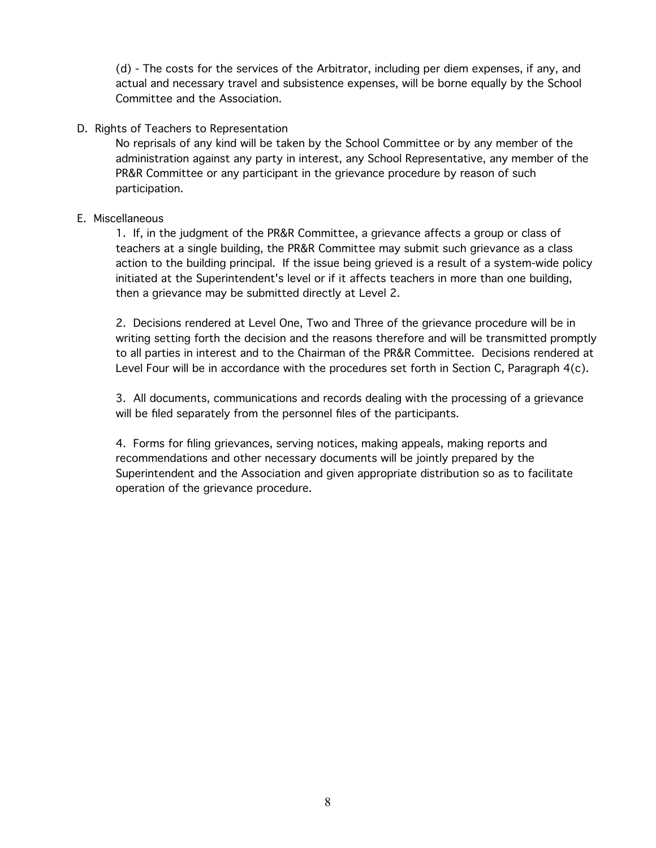(d) - The costs for the services of the Arbitrator, including per diem expenses, if any, and actual and necessary travel and subsistence expenses, will be borne equally by the School Committee and the Association.

D. Rights of Teachers to Representation

No reprisals of any kind will be taken by the School Committee or by any member of the administration against any party in interest, any School Representative, any member of the PR&R Committee or any participant in the grievance procedure by reason of such participation.

#### E. Miscellaneous

1. If, in the judgment of the PR&R Committee, a grievance affects a group or class of teachers at a single building, the PR&R Committee may submit such grievance as a class action to the building principal. If the issue being grieved is a result of a system-wide policy initiated at the Superintendent's level or if it affects teachers in more than one building, then a grievance may be submitted directly at Level 2.

2. Decisions rendered at Level One, Two and Three of the grievance procedure will be in writing setting forth the decision and the reasons therefore and will be transmitted promptly to all parties in interest and to the Chairman of the PR&R Committee. Decisions rendered at Level Four will be in accordance with the procedures set forth in Section C, Paragraph 4(c).

3. All documents, communications and records dealing with the processing of a grievance will be filed separately from the personnel files of the participants.

4. Forms for filing grievances, serving notices, making appeals, making reports and recommendations and other necessary documents will be jointly prepared by the Superintendent and the Association and given appropriate distribution so as to facilitate operation of the grievance procedure.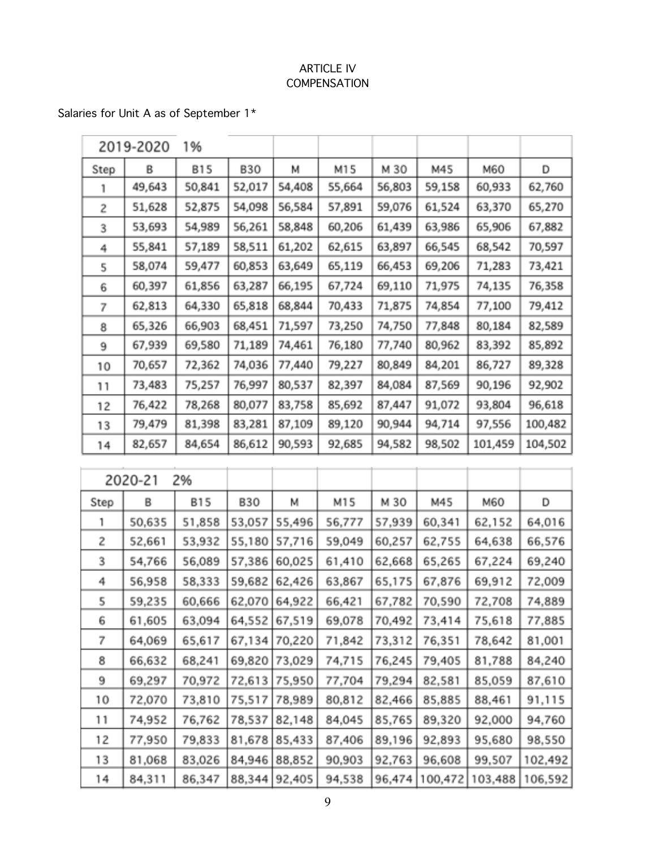## ARTICLE IV COMPENSATION

# Salaries for Unit A as of September 1\*

|      | 2019-2020 | 1%         |            |        |        |        |        |         |         |
|------|-----------|------------|------------|--------|--------|--------|--------|---------|---------|
| Step | B         | <b>B15</b> | <b>B30</b> | м      | M15    | M 30   | M45    | M60     | D       |
|      | 49,643    | 50,841     | 52,017     | 54,408 | 55,664 | 56,803 | 59,158 | 60,933  | 62,760  |
| 2    | 51,628    | 52,875     | 54,098     | 56,584 | 57,891 | 59,076 | 61,524 | 63,370  | 65,270  |
| 3    | 53,693    | 54,989     | 56,261     | 58,848 | 60,206 | 61,439 | 63,986 | 65,906  | 67,882  |
| 4    | 55,841    | 57,189     | 58,511     | 61,202 | 62,615 | 63,897 | 66,545 | 68,542  | 70,597  |
| 5    | 58,074    | 59,477     | 60,853     | 63,649 | 65,119 | 66,453 | 69,206 | 71,283  | 73,421  |
| 6    | 60,397    | 61,856     | 63,287     | 66,195 | 67,724 | 69,110 | 71,975 | 74,135  | 76,358  |
| 7    | 62,813    | 64,330     | 65,818     | 68,844 | 70,433 | 71,875 | 74,854 | 77,100  | 79,412  |
| 8    | 65,326    | 66,903     | 68,451     | 71,597 | 73,250 | 74,750 | 77,848 | 80,184  | 82,589  |
| 9    | 67,939    | 69,580     | 71,189     | 74,461 | 76,180 | 77,740 | 80,962 | 83,392  | 85,892  |
| 10   | 70,657    | 72,362     | 74,036     | 77,440 | 79,227 | 80,849 | 84,201 | 86,727  | 89,328  |
| 11   | 73,483    | 75,257     | 76,997     | 80,537 | 82,397 | 84,084 | 87,569 | 90,196  | 92,902  |
| 12   | 76,422    | 78,268     | 80,077     | 83,758 | 85,692 | 87,447 | 91,072 | 93,804  | 96,618  |
| 13   | 79,479    | 81,398     | 83,281     | 87,109 | 89,120 | 90,944 | 94,714 | 97,556  | 100,482 |
| 14   | 82,657    | 84,654     | 86,612     | 90,593 | 92,685 | 94,582 | 98,502 | 101,459 | 104,502 |

|      | 2020-21 | 2%         |            |        |        |        |         |         |         |
|------|---------|------------|------------|--------|--------|--------|---------|---------|---------|
| Step | B       | <b>B15</b> | <b>B30</b> | м      | M15    | M 30   | M45     | M60     | D       |
|      | 50,635  | 51,858     | 53,057     | 55,496 | 56,777 | 57,939 | 60,341  | 62,152  | 64,016  |
| 2    | 52,661  | 53,932     | 55,180     | 57,716 | 59,049 | 60,257 | 62,755  | 64,638  | 66,576  |
| 3    | 54,766  | 56,089     | 57,386     | 60,025 | 61,410 | 62,668 | 65,265  | 67,224  | 69,240  |
| 4    | 56,958  | 58,333     | 59,682     | 62,426 | 63,867 | 65,175 | 67,876  | 69,912  | 72,009  |
| 5    | 59,235  | 60,666     | 62,070     | 64,922 | 66,421 | 67,782 | 70,590  | 72,708  | 74,889  |
| 6    | 61,605  | 63,094     | 64,552     | 67,519 | 69,078 | 70,492 | 73,414  | 75,618  | 77,885  |
| 7    | 64,069  | 65,617     | 67,134     | 70,220 | 71,842 | 73,312 | 76,351  | 78,642  | 81,001  |
| 8    | 66,632  | 68,241     | 69,820     | 73,029 | 74,715 | 76,245 | 79,405  | 81,788  | 84,240  |
| 9    | 69,297  | 70,972     | 72,613     | 75,950 | 77,704 | 79,294 | 82,581  | 85,059  | 87,610  |
| 10   | 72,070  | 73,810     | 75,517     | 78,989 | 80,812 | 82,466 | 85,885  | 88,461  | 91,115  |
| 11   | 74,952  | 76,762     | 78,537     | 82,148 | 84,045 | 85,765 | 89,320  | 92,000  | 94,760  |
| 12   | 77,950  | 79,833     | 81,678     | 85,433 | 87,406 | 89,196 | 92,893  | 95,680  | 98,550  |
| 13   | 81,068  | 83,026     | 84,946     | 88,852 | 90,903 | 92,763 | 96,608  | 99,507  | 102,492 |
| 14   | 84,311  | 86,347     | 88,344     | 92,405 | 94,538 | 96,474 | 100,472 | 103,488 | 106,592 |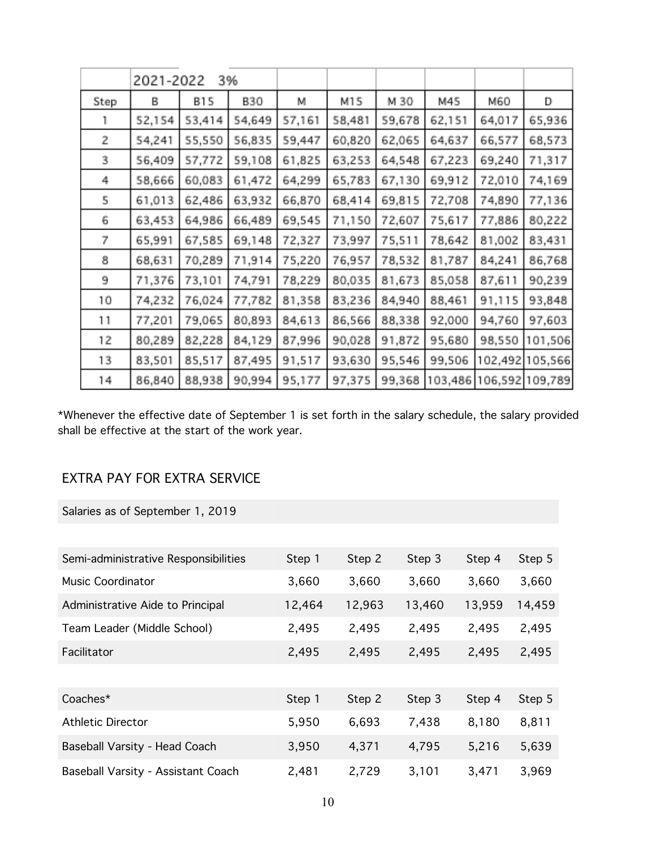|      | 2021-2022 |            | 3%         |        |        |        |         |         |                 |
|------|-----------|------------|------------|--------|--------|--------|---------|---------|-----------------|
| Step | в         | <b>B15</b> | <b>B30</b> | М      | M15    | M 30   | M45     | M60     | D               |
|      | 52,154    | 53,414     | 54,649     | 57,161 | 58,481 | 59,678 | 62,151  | 64,017  | 65,936          |
| 2    | 54,241    | 55,550     | 56,835     | 59,447 | 60,820 | 62,065 | 64,637  | 66,577  | 68,573          |
| 3    | 56,409    | 57,772     | 59,108     | 61,825 | 63,253 | 64,548 | 67,223  | 69,240  | 71,317          |
| 4    | 58,666    | 60,083     | 61,472     | 64,299 | 65,783 | 67,130 | 69,912  | 72,010  | 74,169          |
| 5    | 61,013    | 62,486     | 63,932     | 66,870 | 68,414 | 69,815 | 72,708  | 74,890  | 77,136          |
| 6    | 63,453    | 64,986     | 66,489     | 69,545 | 71,150 | 72,607 | 75,617  | 77,886  | 80,222          |
| 7    | 65,991    | 67,585     | 69,148     | 72,327 | 73,997 | 75,511 | 78,642  | 81,002  | 83,431          |
| 8    | 68,631    | 70,289     | 71,914     | 75,220 | 76,957 | 78,532 | 81,787  | 84,241  | 86,768          |
| 9    | 71,376    | 73,101     | 74,791     | 78,229 | 80,035 | 81,673 | 85,058  | 87,611  | 90,239          |
| 10   | 74,232    | 76,024     | 77,782     | 81,358 | 83,236 | 84,940 | 88,461  | 91,115  | 93,848          |
| 11   | 77,201    | 79,065     | 80,893     | 84,613 | 86,566 | 88,338 | 92,000  | 94,760  | 97,603          |
| 12   | 80,289    | 82,228     | 84,129     | 87,996 | 90,028 | 91,872 | 95,680  | 98,550  | 101,506         |
| 13   | 83,501    | 85,517     | 87,495     | 91,517 | 93,630 | 95,546 | 99,506  | 102,492 | 105,566         |
| 14   | 86,840    | 88,938     | 90,994     | 95,177 | 97,375 | 99,368 | 103,486 |         | 106,592 109,789 |

\*Whenever the effective date of September 1 is set forth in the salary schedule, the salary provided shall be effective at the start of the work year.

# EXTRA PAY FOR EXTRA SERVICE

Salaries as of September 1, 2019

| Semi-administrative Responsibilities | Step 1 | Step 2 | Step 3 | Step 4 | Step 5 |
|--------------------------------------|--------|--------|--------|--------|--------|
| <b>Music Coordinator</b>             | 3,660  | 3,660  | 3,660  | 3,660  | 3,660  |
| Administrative Aide to Principal     | 12,464 | 12,963 | 13,460 | 13,959 | 14,459 |
| Team Leader (Middle School)          | 2,495  | 2,495  | 2,495  | 2,495  | 2,495  |
| Facilitator                          | 2,495  | 2,495  | 2,495  | 2,495  | 2,495  |
|                                      |        |        |        |        |        |
| Coaches*                             | Step 1 | Step 2 | Step 3 | Step 4 | Step 5 |
| <b>Athletic Director</b>             | 5,950  | 6,693  | 7,438  | 8,180  | 8,811  |
| Baseball Varsity - Head Coach        | 3,950  | 4,371  | 4,795  | 5,216  | 5,639  |
| Baseball Varsity - Assistant Coach   | 2,481  | 2,729  | 3,101  | 3,471  | 3,969  |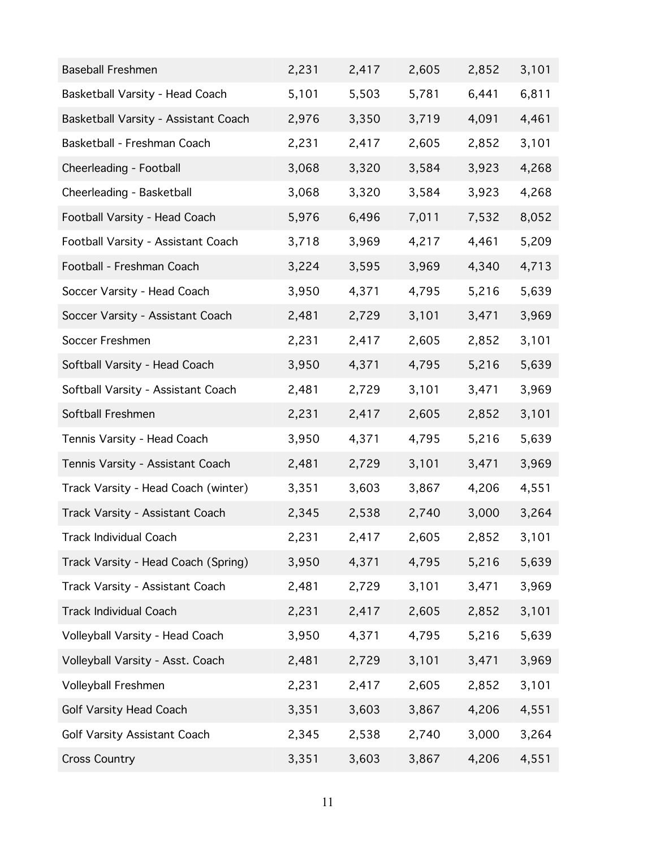| <b>Baseball Freshmen</b>             | 2,231 | 2,417 | 2,605 | 2,852 | 3,101 |
|--------------------------------------|-------|-------|-------|-------|-------|
| Basketball Varsity - Head Coach      | 5,101 | 5,503 | 5,781 | 6,441 | 6,811 |
| Basketball Varsity - Assistant Coach | 2,976 | 3,350 | 3,719 | 4,091 | 4,461 |
| Basketball - Freshman Coach          | 2,231 | 2,417 | 2,605 | 2,852 | 3,101 |
| Cheerleading - Football              | 3,068 | 3,320 | 3,584 | 3,923 | 4,268 |
| Cheerleading - Basketball            | 3,068 | 3,320 | 3,584 | 3,923 | 4,268 |
| Football Varsity - Head Coach        | 5,976 | 6,496 | 7,011 | 7,532 | 8,052 |
| Football Varsity - Assistant Coach   | 3,718 | 3,969 | 4,217 | 4,461 | 5,209 |
| Football - Freshman Coach            | 3,224 | 3,595 | 3,969 | 4,340 | 4,713 |
| Soccer Varsity - Head Coach          | 3,950 | 4,371 | 4,795 | 5,216 | 5,639 |
| Soccer Varsity - Assistant Coach     | 2,481 | 2,729 | 3,101 | 3,471 | 3,969 |
| Soccer Freshmen                      | 2,231 | 2,417 | 2,605 | 2,852 | 3,101 |
| Softball Varsity - Head Coach        | 3,950 | 4,371 | 4,795 | 5,216 | 5,639 |
| Softball Varsity - Assistant Coach   | 2,481 | 2,729 | 3,101 | 3,471 | 3,969 |
| Softball Freshmen                    | 2,231 | 2,417 | 2,605 | 2,852 | 3,101 |
| Tennis Varsity - Head Coach          | 3,950 | 4,371 | 4,795 | 5,216 | 5,639 |
| Tennis Varsity - Assistant Coach     | 2,481 | 2,729 | 3,101 | 3,471 | 3,969 |
| Track Varsity - Head Coach (winter)  | 3,351 | 3,603 | 3,867 | 4,206 | 4,551 |
| Track Varsity - Assistant Coach      | 2,345 | 2,538 | 2,740 | 3,000 | 3,264 |
| Track Individual Coach               | 2,231 | 2,417 | 2,605 | 2,852 | 3,101 |
| Track Varsity - Head Coach (Spring)  | 3,950 | 4,371 | 4,795 | 5,216 | 5,639 |
| Track Varsity - Assistant Coach      | 2,481 | 2,729 | 3,101 | 3,471 | 3,969 |
| <b>Track Individual Coach</b>        | 2,231 | 2,417 | 2,605 | 2,852 | 3,101 |
| Volleyball Varsity - Head Coach      | 3,950 | 4,371 | 4,795 | 5,216 | 5,639 |
| Volleyball Varsity - Asst. Coach     | 2,481 | 2,729 | 3,101 | 3,471 | 3,969 |
| Volleyball Freshmen                  | 2,231 | 2,417 | 2,605 | 2,852 | 3,101 |
| <b>Golf Varsity Head Coach</b>       | 3,351 | 3,603 | 3,867 | 4,206 | 4,551 |
| Golf Varsity Assistant Coach         | 2,345 | 2,538 | 2,740 | 3,000 | 3,264 |
| <b>Cross Country</b>                 | 3,351 | 3,603 | 3,867 | 4,206 | 4,551 |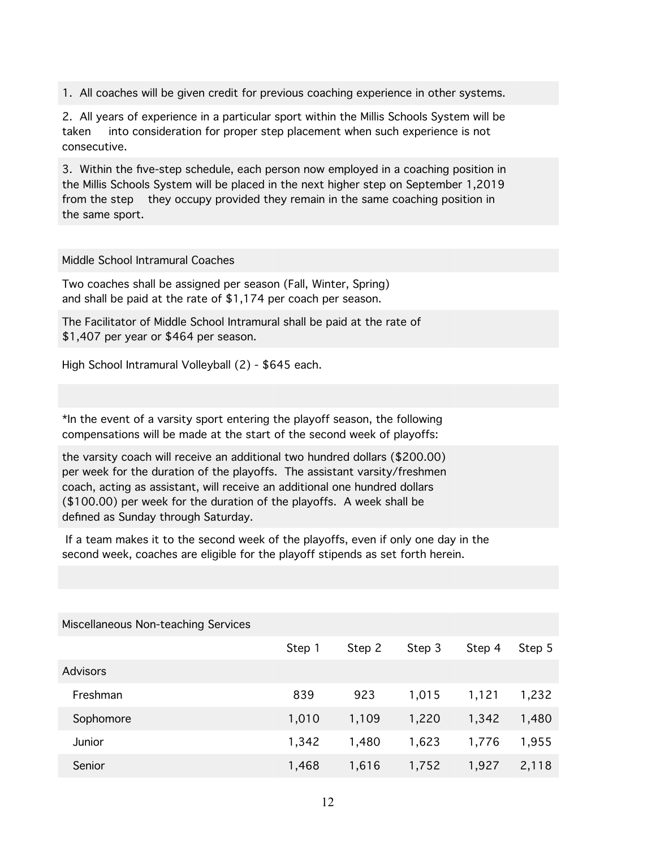1. All coaches will be given credit for previous coaching experience in other systems.

2. All years of experience in a particular sport within the Millis Schools System will be taken into consideration for proper step placement when such experience is not consecutive.

3. Within the five-step schedule, each person now employed in a coaching position in the Millis Schools System will be placed in the next higher step on September 1,2019 from the step they occupy provided they remain in the same coaching position in the same sport.

Middle School Intramural Coaches

Two coaches shall be assigned per season (Fall, Winter, Spring) and shall be paid at the rate of \$1,174 per coach per season.

The Facilitator of Middle School Intramural shall be paid at the rate of \$1,407 per year or \$464 per season.

High School Intramural Volleyball (2) - \$645 each.

\*In the event of a varsity sport entering the playoff season, the following compensations will be made at the start of the second week of playoffs:

the varsity coach will receive an additional two hundred dollars (\$200.00) per week for the duration of the playoffs. The assistant varsity/freshmen coach, acting as assistant, will receive an additional one hundred dollars (\$100.00) per week for the duration of the playoffs. A week shall be defined as Sunday through Saturday.

 If a team makes it to the second week of the playoffs, even if only one day in the second week, coaches are eligible for the playoff stipends as set forth herein.

| Miscellaneous Non-teaching Services |        |        |        |        |        |
|-------------------------------------|--------|--------|--------|--------|--------|
|                                     | Step 1 | Step 2 | Step 3 | Step 4 | Step 5 |
| <b>Advisors</b>                     |        |        |        |        |        |
| Freshman                            | 839    | 923    | 1,015  | 1,121  | 1,232  |
| Sophomore                           | 1,010  | 1,109  | 1,220  | 1,342  | 1,480  |
| Junior                              | 1,342  | 1,480  | 1,623  | 1,776  | 1,955  |
| Senior                              | 1,468  | 1,616  | 1,752  | 1,927  | 2,118  |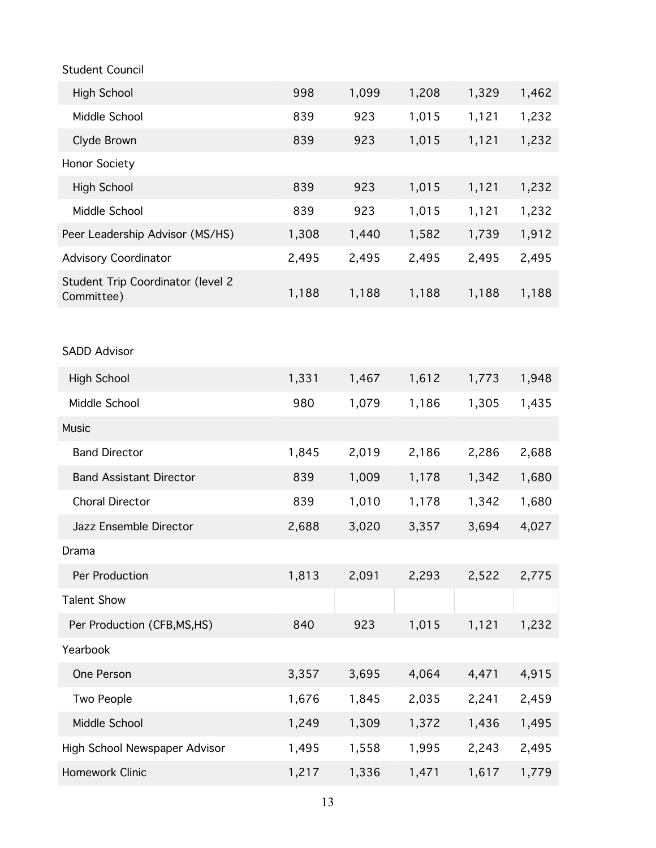| <b>Student Council</b>                          |       |       |       |       |       |
|-------------------------------------------------|-------|-------|-------|-------|-------|
| <b>High School</b>                              | 998   | 1,099 | 1,208 | 1,329 | 1,462 |
| Middle School                                   | 839   | 923   | 1,015 | 1,121 | 1,232 |
| Clyde Brown                                     | 839   | 923   | 1,015 | 1,121 | 1,232 |
| Honor Society                                   |       |       |       |       |       |
| <b>High School</b>                              | 839   | 923   | 1,015 | 1,121 | 1,232 |
| Middle School                                   | 839   | 923   | 1,015 | 1,121 | 1,232 |
| Peer Leadership Advisor (MS/HS)                 | 1,308 | 1,440 | 1,582 | 1,739 | 1,912 |
| <b>Advisory Coordinator</b>                     | 2,495 | 2,495 | 2,495 | 2,495 | 2,495 |
| Student Trip Coordinator (level 2<br>Committee) | 1,188 | 1,188 | 1,188 | 1,188 | 1,188 |
|                                                 |       |       |       |       |       |
| <b>SADD Advisor</b>                             |       |       |       |       |       |
| <b>High School</b>                              | 1,331 | 1,467 | 1,612 | 1,773 | 1,948 |
| Middle School                                   | 980   | 1,079 | 1,186 | 1,305 | 1,435 |
| <b>Music</b>                                    |       |       |       |       |       |
| <b>Band Director</b>                            | 1,845 | 2,019 | 2,186 | 2,286 | 2,688 |
| <b>Band Assistant Director</b>                  | 839   | 1,009 | 1,178 | 1,342 | 1,680 |
| <b>Choral Director</b>                          | 839   | 1,010 | 1,178 | 1,342 | 1,680 |
| Jazz Ensemble Director                          | 2,688 | 3,020 | 3,357 | 3,694 | 4,027 |
| Drama                                           |       |       |       |       |       |
| Per Production                                  | 1,813 | 2,091 | 2,293 | 2,522 | 2,775 |
| <b>Talent Show</b>                              |       |       |       |       |       |
| Per Production (CFB, MS, HS)                    | 840   | 923   | 1,015 | 1,121 | 1,232 |
| Yearbook                                        |       |       |       |       |       |
| One Person                                      | 3,357 | 3,695 | 4,064 | 4,471 | 4,915 |
| Two People                                      | 1,676 | 1,845 | 2,035 | 2,241 | 2,459 |
| Middle School                                   | 1,249 | 1,309 | 1,372 | 1,436 | 1,495 |
| High School Newspaper Advisor                   | 1,495 | 1,558 | 1,995 | 2,243 | 2,495 |
| Homework Clinic                                 | 1,217 | 1,336 | 1,471 | 1,617 | 1,779 |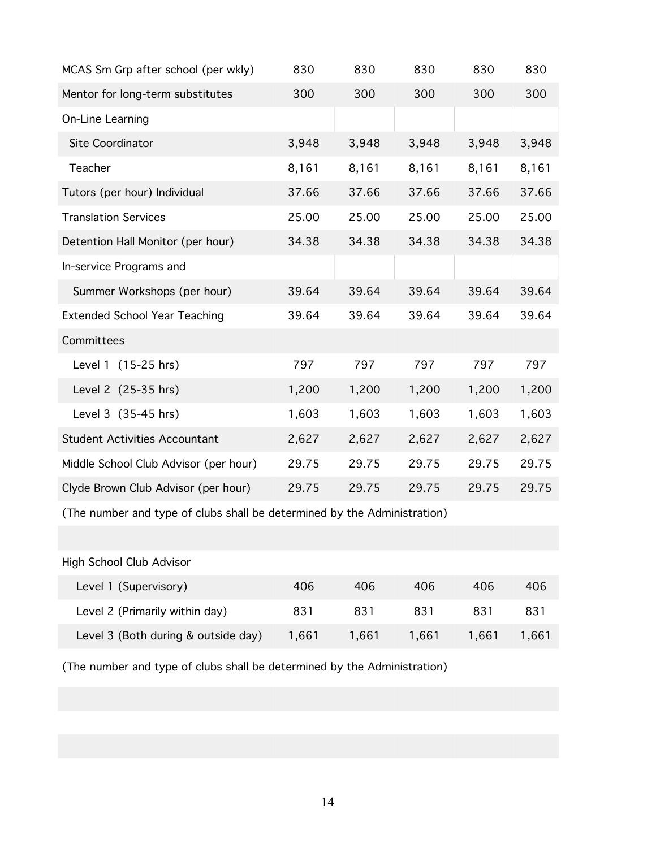| 830   | 830   | 830   | 830   | 830   |
|-------|-------|-------|-------|-------|
| 300   | 300   | 300   | 300   | 300   |
|       |       |       |       |       |
| 3,948 | 3,948 | 3,948 | 3,948 | 3,948 |
| 8,161 | 8,161 | 8,161 | 8,161 | 8,161 |
| 37.66 | 37.66 | 37.66 | 37.66 | 37.66 |
| 25.00 | 25.00 | 25.00 | 25.00 | 25.00 |
| 34.38 | 34.38 | 34.38 | 34.38 | 34.38 |
|       |       |       |       |       |
| 39.64 | 39.64 | 39.64 | 39.64 | 39.64 |
| 39.64 | 39.64 | 39.64 | 39.64 | 39.64 |
|       |       |       |       |       |
| 797   | 797   | 797   | 797   | 797   |
| 1,200 | 1,200 | 1,200 | 1,200 | 1,200 |
| 1,603 | 1,603 | 1,603 | 1,603 | 1,603 |
| 2,627 | 2,627 | 2,627 | 2,627 | 2,627 |
| 29.75 | 29.75 | 29.75 | 29.75 | 29.75 |
| 29.75 | 29.75 | 29.75 | 29.75 | 29.75 |
|       |       |       |       |       |

(The number and type of clubs shall be determined by the Administration)

## High School Club Advisor

| Level 1 (Supervisory)               | 406   | 406   | 406   | 406   | 406   |
|-------------------------------------|-------|-------|-------|-------|-------|
| Level 2 (Primarily within day)      | 831   | 831   | 831   | 831   | 831   |
| Level 3 (Both during & outside day) | 1.661 | 1.661 | 1.661 | 1.661 | 1.661 |

(The number and type of clubs shall be determined by the Administration)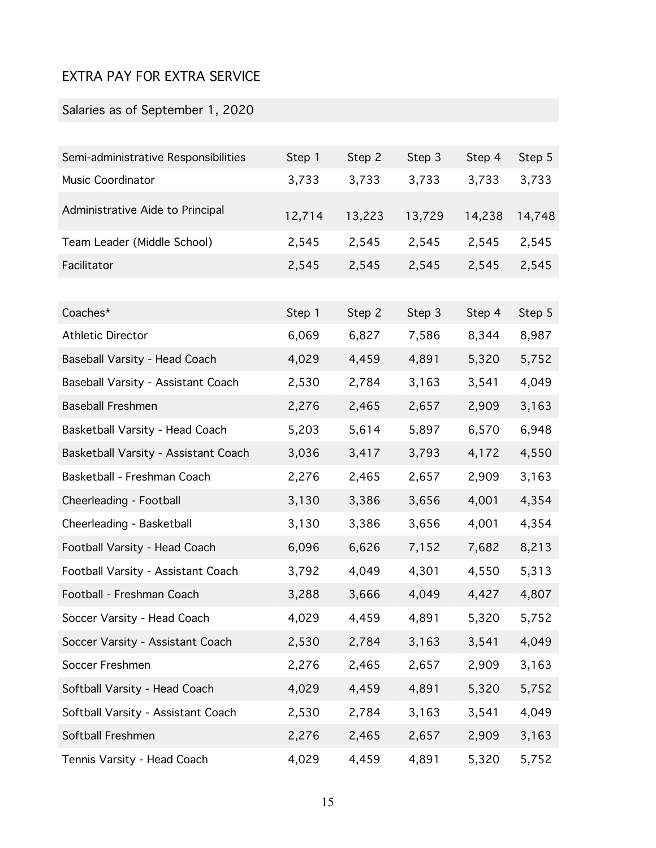# EXTRA PAY FOR EXTRA SERVICE

# Salaries as of September 1, 2020

| Semi-administrative Responsibilities | Step 1 | Step 2 | Step 3 | Step 4 | Step 5 |
|--------------------------------------|--------|--------|--------|--------|--------|
| Music Coordinator                    | 3,733  | 3,733  | 3,733  | 3,733  | 3,733  |
| Administrative Aide to Principal     | 12,714 | 13,223 | 13,729 | 14,238 | 14,748 |
| Team Leader (Middle School)          | 2,545  | 2,545  | 2,545  | 2,545  | 2,545  |
| Facilitator                          | 2,545  | 2,545  | 2,545  | 2,545  | 2,545  |
|                                      |        |        |        |        |        |
| Coaches*                             | Step 1 | Step 2 | Step 3 | Step 4 | Step 5 |
| <b>Athletic Director</b>             | 6,069  | 6,827  | 7,586  | 8,344  | 8,987  |
| Baseball Varsity - Head Coach        | 4,029  | 4,459  | 4,891  | 5,320  | 5,752  |
| Baseball Varsity - Assistant Coach   | 2,530  | 2,784  | 3,163  | 3,541  | 4,049  |
| <b>Baseball Freshmen</b>             | 2,276  | 2,465  | 2,657  | 2,909  | 3,163  |
| Basketball Varsity - Head Coach      | 5,203  | 5,614  | 5,897  | 6,570  | 6,948  |
| Basketball Varsity - Assistant Coach | 3,036  | 3,417  | 3,793  | 4,172  | 4,550  |
| Basketball - Freshman Coach          | 2,276  | 2,465  | 2,657  | 2,909  | 3,163  |
| Cheerleading - Football              | 3,130  | 3,386  | 3,656  | 4,001  | 4,354  |
| Cheerleading - Basketball            | 3,130  | 3,386  | 3,656  | 4,001  | 4,354  |
| Football Varsity - Head Coach        | 6,096  | 6,626  | 7,152  | 7,682  | 8,213  |
| Football Varsity - Assistant Coach   | 3,792  | 4,049  | 4,301  | 4,550  | 5,313  |
| Football - Freshman Coach            | 3,288  | 3,666  | 4,049  | 4,427  | 4,807  |
| Soccer Varsity - Head Coach          | 4,029  | 4,459  | 4,891  | 5,320  | 5,752  |
| Soccer Varsity - Assistant Coach     | 2,530  | 2,784  | 3,163  | 3,541  | 4,049  |
| Soccer Freshmen                      | 2,276  | 2,465  | 2,657  | 2,909  | 3,163  |
| Softball Varsity - Head Coach        | 4,029  | 4,459  | 4,891  | 5,320  | 5,752  |
| Softball Varsity - Assistant Coach   | 2,530  | 2,784  | 3,163  | 3,541  | 4,049  |
| Softball Freshmen                    | 2,276  | 2,465  | 2,657  | 2,909  | 3,163  |
| Tennis Varsity - Head Coach          | 4,029  | 4,459  | 4,891  | 5,320  | 5,752  |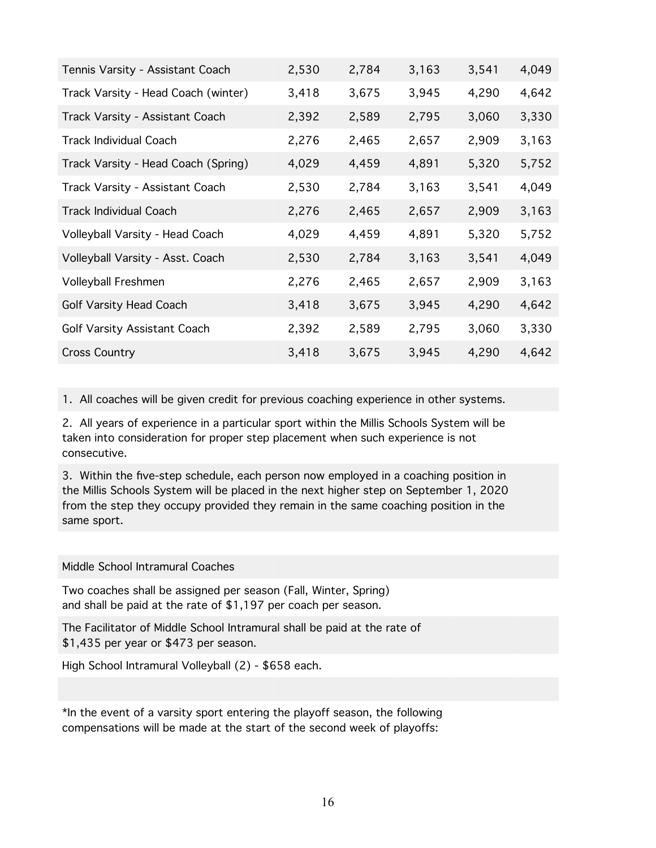| Tennis Varsity - Assistant Coach    | 2,530 | 2,784 | 3,163 | 3,541 | 4,049 |
|-------------------------------------|-------|-------|-------|-------|-------|
| Track Varsity - Head Coach (winter) | 3,418 | 3,675 | 3,945 | 4,290 | 4,642 |
| Track Varsity - Assistant Coach     | 2,392 | 2,589 | 2,795 | 3,060 | 3,330 |
| <b>Track Individual Coach</b>       | 2,276 | 2,465 | 2,657 | 2,909 | 3,163 |
| Track Varsity - Head Coach (Spring) | 4,029 | 4,459 | 4,891 | 5,320 | 5,752 |
| Track Varsity - Assistant Coach     | 2,530 | 2,784 | 3,163 | 3,541 | 4,049 |
| <b>Track Individual Coach</b>       | 2,276 | 2,465 | 2,657 | 2,909 | 3,163 |
| Volleyball Varsity - Head Coach     | 4,029 | 4,459 | 4,891 | 5,320 | 5,752 |
| Volleyball Varsity - Asst. Coach    | 2,530 | 2,784 | 3,163 | 3,541 | 4,049 |
| Volleyball Freshmen                 | 2,276 | 2,465 | 2,657 | 2,909 | 3,163 |
| Golf Varsity Head Coach             | 3,418 | 3,675 | 3,945 | 4,290 | 4,642 |
| Golf Varsity Assistant Coach        | 2,392 | 2,589 | 2,795 | 3,060 | 3,330 |
| <b>Cross Country</b>                | 3,418 | 3,675 | 3,945 | 4,290 | 4,642 |

1. All coaches will be given credit for previous coaching experience in other systems.

2. All years of experience in a particular sport within the Millis Schools System will be taken into consideration for proper step placement when such experience is not consecutive.

3. Within the five-step schedule, each person now employed in a coaching position in the Millis Schools System will be placed in the next higher step on September 1, 2020 from the step they occupy provided they remain in the same coaching position in the same sport.

#### Middle School Intramural Coaches

Two coaches shall be assigned per season (Fall, Winter, Spring) and shall be paid at the rate of \$1,197 per coach per season.

The Facilitator of Middle School Intramural shall be paid at the rate of \$1,435 per year or \$473 per season.

High School Intramural Volleyball (2) - \$658 each.

\*In the event of a varsity sport entering the playoff season, the following compensations will be made at the start of the second week of playoffs: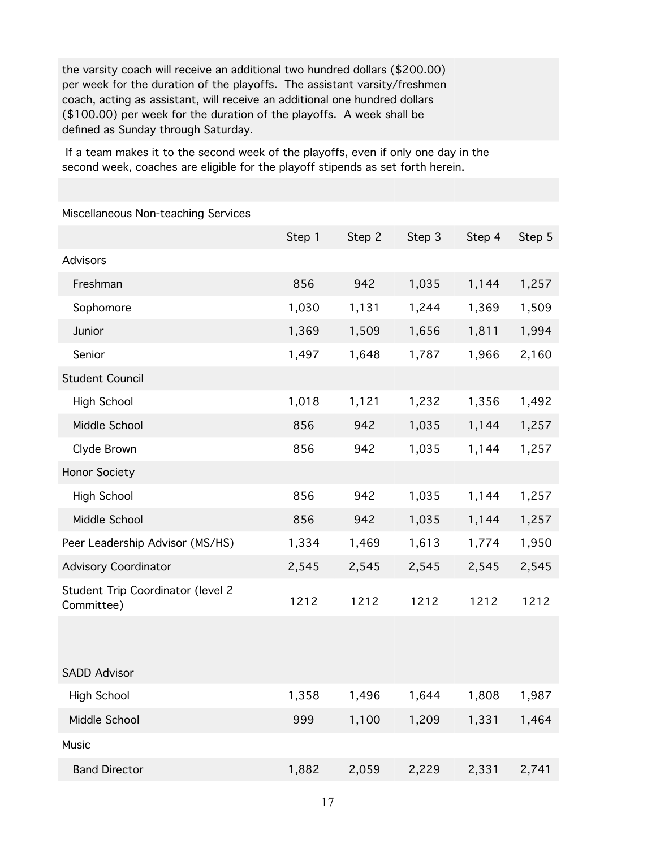the varsity coach will receive an additional two hundred dollars (\$200.00) per week for the duration of the playoffs. The assistant varsity/freshmen coach, acting as assistant, will receive an additional one hundred dollars (\$100.00) per week for the duration of the playoffs. A week shall be defined as Sunday through Saturday.

 If a team makes it to the second week of the playoffs, even if only one day in the second week, coaches are eligible for the playoff stipends as set forth herein.

Miscellaneous Non-teaching Services

|                                                 | Step 1 | Step 2 | Step 3 | Step 4 | Step 5 |
|-------------------------------------------------|--------|--------|--------|--------|--------|
| <b>Advisors</b>                                 |        |        |        |        |        |
| Freshman                                        | 856    | 942    | 1,035  | 1,144  | 1,257  |
| Sophomore                                       | 1,030  | 1,131  | 1,244  | 1,369  | 1,509  |
| Junior                                          | 1,369  | 1,509  | 1,656  | 1,811  | 1,994  |
| Senior                                          | 1,497  | 1,648  | 1,787  | 1,966  | 2,160  |
| <b>Student Council</b>                          |        |        |        |        |        |
| <b>High School</b>                              | 1,018  | 1,121  | 1,232  | 1,356  | 1,492  |
| Middle School                                   | 856    | 942    | 1,035  | 1,144  | 1,257  |
| Clyde Brown                                     | 856    | 942    | 1,035  | 1,144  | 1,257  |
| <b>Honor Society</b>                            |        |        |        |        |        |
| <b>High School</b>                              | 856    | 942    | 1,035  | 1,144  | 1,257  |
| Middle School                                   | 856    | 942    | 1,035  | 1,144  | 1,257  |
| Peer Leadership Advisor (MS/HS)                 | 1,334  | 1,469  | 1,613  | 1,774  | 1,950  |
| <b>Advisory Coordinator</b>                     | 2,545  | 2,545  | 2,545  | 2,545  | 2,545  |
| Student Trip Coordinator (level 2<br>Committee) | 1212   | 1212   | 1212   | 1212   | 1212   |
|                                                 |        |        |        |        |        |
| SADD Advisor                                    |        |        |        |        |        |
| <b>High School</b>                              | 1,358  | 1,496  | 1,644  | 1,808  | 1,987  |
| Middle School                                   | 999    | 1,100  | 1,209  | 1,331  | 1,464  |
| Music                                           |        |        |        |        |        |
| <b>Band Director</b>                            | 1,882  | 2,059  | 2,229  | 2,331  | 2,741  |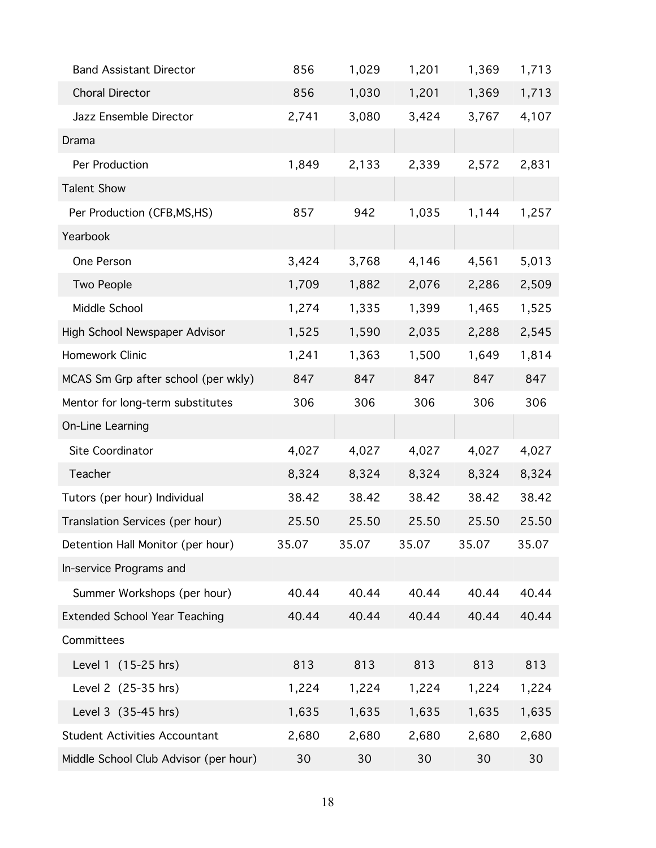| <b>Band Assistant Director</b>        | 856   | 1,029 | 1,201 | 1,369 | 1,713 |
|---------------------------------------|-------|-------|-------|-------|-------|
| <b>Choral Director</b>                | 856   | 1,030 | 1,201 | 1,369 | 1,713 |
| Jazz Ensemble Director                | 2,741 | 3,080 | 3,424 | 3,767 | 4,107 |
| Drama                                 |       |       |       |       |       |
| Per Production                        | 1,849 | 2,133 | 2,339 | 2,572 | 2,831 |
| <b>Talent Show</b>                    |       |       |       |       |       |
| Per Production (CFB, MS, HS)          | 857   | 942   | 1,035 | 1,144 | 1,257 |
| Yearbook                              |       |       |       |       |       |
| One Person                            | 3,424 | 3,768 | 4,146 | 4,561 | 5,013 |
| Two People                            | 1,709 | 1,882 | 2,076 | 2,286 | 2,509 |
| Middle School                         | 1,274 | 1,335 | 1,399 | 1,465 | 1,525 |
| High School Newspaper Advisor         | 1,525 | 1,590 | 2,035 | 2,288 | 2,545 |
| Homework Clinic                       | 1,241 | 1,363 | 1,500 | 1,649 | 1,814 |
| MCAS Sm Grp after school (per wkly)   | 847   | 847   | 847   | 847   | 847   |
| Mentor for long-term substitutes      | 306   | 306   | 306   | 306   | 306   |
| On-Line Learning                      |       |       |       |       |       |
| Site Coordinator                      | 4,027 | 4,027 | 4,027 | 4,027 | 4,027 |
| Teacher                               | 8,324 | 8,324 | 8,324 | 8,324 | 8,324 |
| Tutors (per hour) Individual          | 38.42 | 38.42 | 38.42 | 38.42 | 38.42 |
| Translation Services (per hour)       | 25.50 | 25.50 | 25.50 | 25.50 | 25.50 |
| Detention Hall Monitor (per hour)     | 35.07 | 35.07 | 35.07 | 35.07 | 35.07 |
| In-service Programs and               |       |       |       |       |       |
| Summer Workshops (per hour)           | 40.44 | 40.44 | 40.44 | 40.44 | 40.44 |
| <b>Extended School Year Teaching</b>  | 40.44 | 40.44 | 40.44 | 40.44 | 40.44 |
| Committees                            |       |       |       |       |       |
| Level 1 (15-25 hrs)                   | 813   | 813   | 813   | 813   | 813   |
| Level 2 (25-35 hrs)                   | 1,224 | 1,224 | 1,224 | 1,224 | 1,224 |
| Level 3 (35-45 hrs)                   | 1,635 | 1,635 | 1,635 | 1,635 | 1,635 |
| <b>Student Activities Accountant</b>  | 2,680 | 2,680 | 2,680 | 2,680 | 2,680 |
| Middle School Club Advisor (per hour) | 30    | 30    | 30    | 30    | 30    |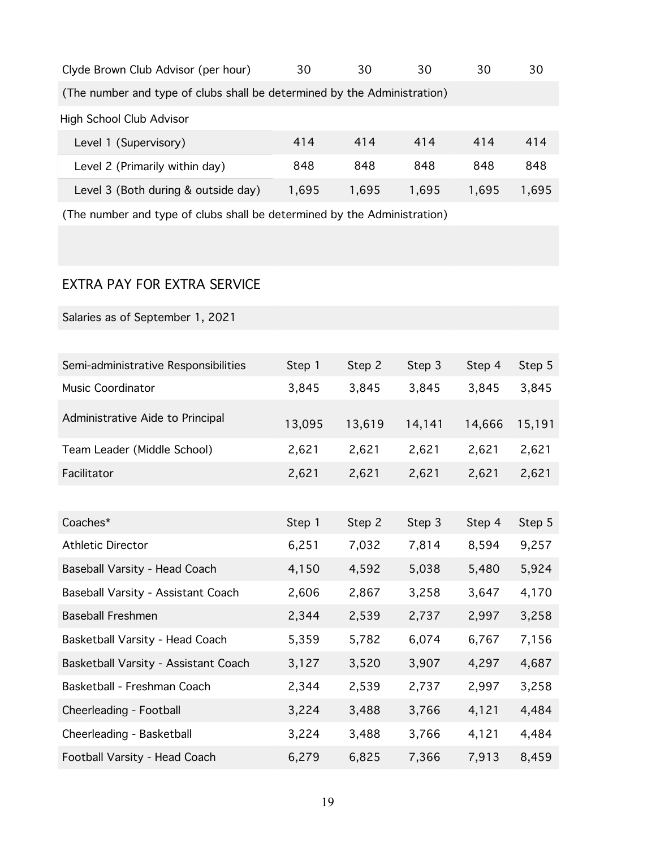| Clyde Brown Club Advisor (per hour)                                      | 30    | 30    | 30    | 30    | 30    |
|--------------------------------------------------------------------------|-------|-------|-------|-------|-------|
| (The number and type of clubs shall be determined by the Administration) |       |       |       |       |       |
| <b>High School Club Advisor</b>                                          |       |       |       |       |       |
| Level 1 (Supervisory)                                                    | 414   | 414   | 414   | 414   | 414   |
| Level 2 (Primarily within day)                                           | 848   | 848   | 848   | 848   | 848   |
| Level 3 (Both during & outside day)                                      | 1,695 | 1,695 | 1,695 | 1,695 | 1,695 |

(The number and type of clubs shall be determined by the Administration)

# EXTRA PAY FOR EXTRA SERVICE

Salaries as of September 1, 2021

| Semi-administrative Responsibilities | Step 1 | Step 2 | Step 3 | Step 4 | Step 5 |
|--------------------------------------|--------|--------|--------|--------|--------|
| Music Coordinator                    | 3,845  | 3,845  | 3,845  | 3,845  | 3,845  |
| Administrative Aide to Principal     | 13,095 | 13,619 | 14,141 | 14,666 | 15,191 |
| Team Leader (Middle School)          | 2,621  | 2,621  | 2,621  | 2,621  | 2,621  |
| Facilitator                          | 2,621  | 2,621  | 2,621  | 2,621  | 2,621  |
|                                      |        |        |        |        |        |
| Coaches*                             | Step 1 | Step 2 | Step 3 | Step 4 | Step 5 |
| <b>Athletic Director</b>             | 6,251  | 7,032  | 7,814  | 8,594  | 9,257  |
| Baseball Varsity - Head Coach        | 4,150  | 4,592  | 5,038  | 5,480  | 5,924  |
| Baseball Varsity - Assistant Coach   | 2,606  | 2,867  | 3,258  | 3,647  | 4,170  |
| <b>Baseball Freshmen</b>             | 2,344  | 2,539  | 2,737  | 2,997  | 3,258  |
| Basketball Varsity - Head Coach      | 5,359  | 5,782  | 6,074  | 6,767  | 7,156  |
| Basketball Varsity - Assistant Coach | 3,127  | 3,520  | 3,907  | 4,297  | 4,687  |
| Basketball - Freshman Coach          | 2,344  | 2,539  | 2,737  | 2,997  | 3,258  |
| Cheerleading - Football              | 3,224  | 3,488  | 3,766  | 4,121  | 4,484  |
| Cheerleading - Basketball            | 3,224  | 3,488  | 3,766  | 4,121  | 4,484  |
| Football Varsity - Head Coach        | 6,279  | 6,825  | 7,366  | 7,913  | 8,459  |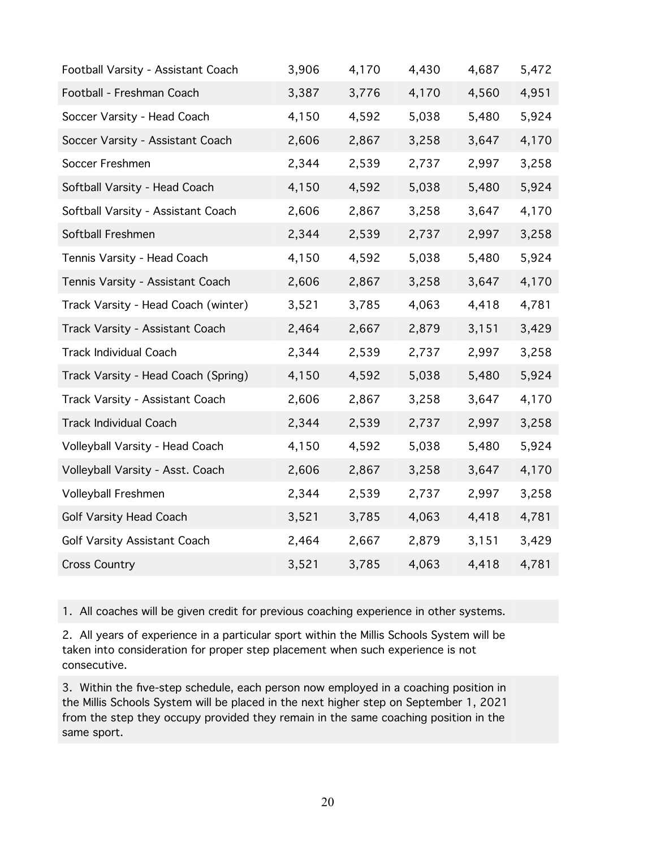| Football Varsity - Assistant Coach  | 3,906 | 4,170 | 4,430 | 4,687 | 5,472 |
|-------------------------------------|-------|-------|-------|-------|-------|
| Football - Freshman Coach           | 3,387 | 3,776 | 4,170 | 4,560 | 4,951 |
| Soccer Varsity - Head Coach         | 4,150 | 4,592 | 5,038 | 5,480 | 5,924 |
| Soccer Varsity - Assistant Coach    | 2,606 | 2,867 | 3,258 | 3,647 | 4,170 |
| Soccer Freshmen                     | 2,344 | 2,539 | 2,737 | 2,997 | 3,258 |
| Softball Varsity - Head Coach       | 4,150 | 4,592 | 5,038 | 5,480 | 5,924 |
| Softball Varsity - Assistant Coach  | 2,606 | 2,867 | 3,258 | 3,647 | 4,170 |
| Softball Freshmen                   | 2,344 | 2,539 | 2,737 | 2,997 | 3,258 |
| Tennis Varsity - Head Coach         | 4,150 | 4,592 | 5,038 | 5,480 | 5,924 |
| Tennis Varsity - Assistant Coach    | 2,606 | 2,867 | 3,258 | 3,647 | 4,170 |
| Track Varsity - Head Coach (winter) | 3,521 | 3,785 | 4,063 | 4,418 | 4,781 |
| Track Varsity - Assistant Coach     | 2,464 | 2,667 | 2,879 | 3,151 | 3,429 |
| <b>Track Individual Coach</b>       | 2,344 | 2,539 | 2,737 | 2,997 | 3,258 |
| Track Varsity - Head Coach (Spring) | 4,150 | 4,592 | 5,038 | 5,480 | 5,924 |
| Track Varsity - Assistant Coach     | 2,606 | 2,867 | 3,258 | 3,647 | 4,170 |
| <b>Track Individual Coach</b>       | 2,344 | 2,539 | 2,737 | 2,997 | 3,258 |
| Volleyball Varsity - Head Coach     | 4,150 | 4,592 | 5,038 | 5,480 | 5,924 |
| Volleyball Varsity - Asst. Coach    | 2,606 | 2,867 | 3,258 | 3,647 | 4,170 |
| Volleyball Freshmen                 | 2,344 | 2,539 | 2,737 | 2,997 | 3,258 |
| <b>Golf Varsity Head Coach</b>      | 3,521 | 3,785 | 4,063 | 4,418 | 4,781 |
| Golf Varsity Assistant Coach        | 2,464 | 2,667 | 2,879 | 3,151 | 3,429 |
| <b>Cross Country</b>                | 3,521 | 3,785 | 4,063 | 4,418 | 4,781 |

1. All coaches will be given credit for previous coaching experience in other systems.

2. All years of experience in a particular sport within the Millis Schools System will be taken into consideration for proper step placement when such experience is not consecutive.

3. Within the five-step schedule, each person now employed in a coaching position in the Millis Schools System will be placed in the next higher step on September 1, 2021 from the step they occupy provided they remain in the same coaching position in the same sport.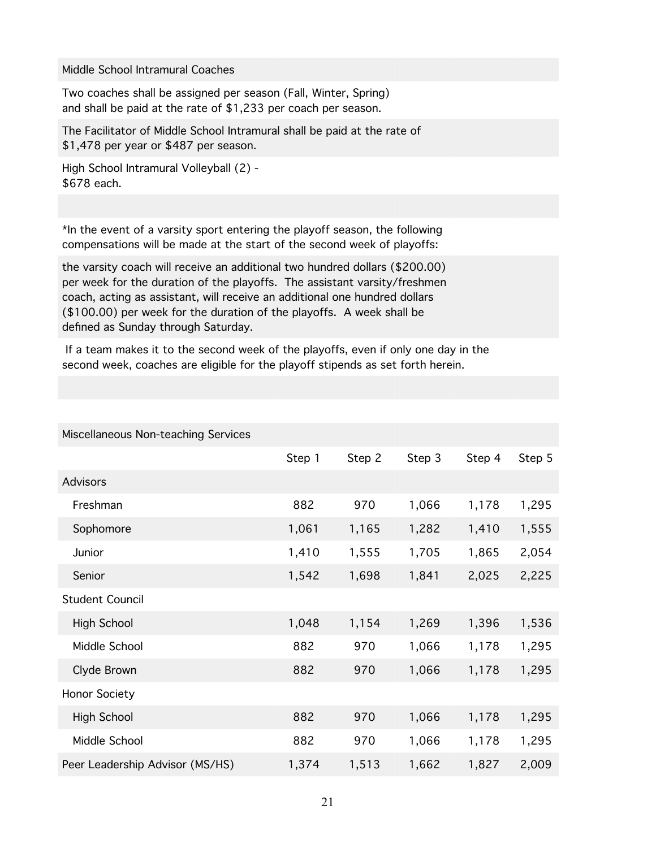#### Middle School Intramural Coaches

Two coaches shall be assigned per season (Fall, Winter, Spring) and shall be paid at the rate of \$1,233 per coach per season.

The Facilitator of Middle School Intramural shall be paid at the rate of \$1,478 per year or \$487 per season.

High School Intramural Volleyball (2) - \$678 each.

Miscellaneous Non-teaching Services

\*In the event of a varsity sport entering the playoff season, the following compensations will be made at the start of the second week of playoffs:

the varsity coach will receive an additional two hundred dollars (\$200.00) per week for the duration of the playoffs. The assistant varsity/freshmen coach, acting as assistant, will receive an additional one hundred dollars (\$100.00) per week for the duration of the playoffs. A week shall be defined as Sunday through Saturday.

 If a team makes it to the second week of the playoffs, even if only one day in the second week, coaches are eligible for the playoff stipends as set forth herein.

| $1000$ $10000$ $1001$ $1000$ $1000$ |        |        |        |        |        |  |
|-------------------------------------|--------|--------|--------|--------|--------|--|
|                                     | Step 1 | Step 2 | Step 3 | Step 4 | Step 5 |  |
| <b>Advisors</b>                     |        |        |        |        |        |  |
| Freshman                            | 882    | 970    | 1,066  | 1,178  | 1,295  |  |
| Sophomore                           | 1,061  | 1,165  | 1,282  | 1,410  | 1,555  |  |
| Junior                              | 1,410  | 1,555  | 1,705  | 1,865  | 2,054  |  |
| Senior                              | 1,542  | 1,698  | 1,841  | 2,025  | 2,225  |  |
| <b>Student Council</b>              |        |        |        |        |        |  |
| High School                         | 1,048  | 1,154  | 1,269  | 1,396  | 1,536  |  |
| Middle School                       | 882    | 970    | 1,066  | 1,178  | 1,295  |  |
| Clyde Brown                         | 882    | 970    | 1,066  | 1,178  | 1,295  |  |
| Honor Society                       |        |        |        |        |        |  |
| High School                         | 882    | 970    | 1,066  | 1,178  | 1,295  |  |
| Middle School                       | 882    | 970    | 1,066  | 1,178  | 1,295  |  |
| Peer Leadership Advisor (MS/HS)     | 1,374  | 1,513  | 1,662  | 1,827  | 2,009  |  |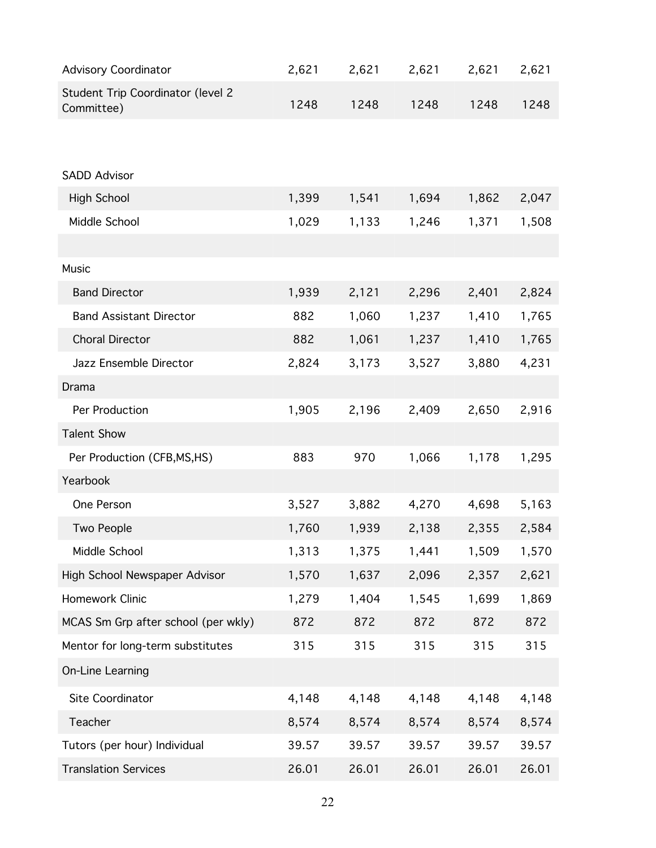| <b>Advisory Coordinator</b>                     | 2,621 | 2,621 | 2,621 | 2,621 | 2,621 |
|-------------------------------------------------|-------|-------|-------|-------|-------|
| Student Trip Coordinator (level 2<br>Committee) | 1248  | 1248  | 1248  | 1248  | 1248  |
|                                                 |       |       |       |       |       |
| <b>SADD Advisor</b>                             |       |       |       |       |       |
| <b>High School</b>                              | 1,399 | 1,541 | 1,694 | 1,862 | 2,047 |
| Middle School                                   | 1,029 | 1,133 | 1,246 | 1,371 | 1,508 |
|                                                 |       |       |       |       |       |
| Music                                           |       |       |       |       |       |
| <b>Band Director</b>                            | 1,939 | 2,121 | 2,296 | 2,401 | 2,824 |
| <b>Band Assistant Director</b>                  | 882   | 1,060 | 1,237 | 1,410 | 1,765 |
| <b>Choral Director</b>                          | 882   | 1,061 | 1,237 | 1,410 | 1,765 |
| Jazz Ensemble Director                          | 2,824 | 3,173 | 3,527 | 3,880 | 4,231 |
| Drama                                           |       |       |       |       |       |
| Per Production                                  | 1,905 | 2,196 | 2,409 | 2,650 | 2,916 |
| <b>Talent Show</b>                              |       |       |       |       |       |
| Per Production (CFB, MS, HS)                    | 883   | 970   | 1,066 | 1,178 | 1,295 |
| Yearbook                                        |       |       |       |       |       |
| One Person                                      | 3,527 | 3,882 | 4,270 | 4,698 | 5,163 |
| Two People                                      | 1,760 | 1,939 | 2,138 | 2,355 | 2,584 |
| Middle School                                   | 1,313 | 1,375 | 1,441 | 1,509 | 1,570 |
| High School Newspaper Advisor                   | 1,570 | 1,637 | 2,096 | 2,357 | 2,621 |
| Homework Clinic                                 | 1,279 | 1,404 | 1,545 | 1,699 | 1,869 |
| MCAS Sm Grp after school (per wkly)             | 872   | 872   | 872   | 872   | 872   |
| Mentor for long-term substitutes                | 315   | 315   | 315   | 315   | 315   |
| On-Line Learning                                |       |       |       |       |       |
| Site Coordinator                                | 4,148 | 4,148 | 4,148 | 4,148 | 4,148 |
| Teacher                                         | 8,574 | 8,574 | 8,574 | 8,574 | 8,574 |
| Tutors (per hour) Individual                    | 39.57 | 39.57 | 39.57 | 39.57 | 39.57 |
| <b>Translation Services</b>                     | 26.01 | 26.01 | 26.01 | 26.01 | 26.01 |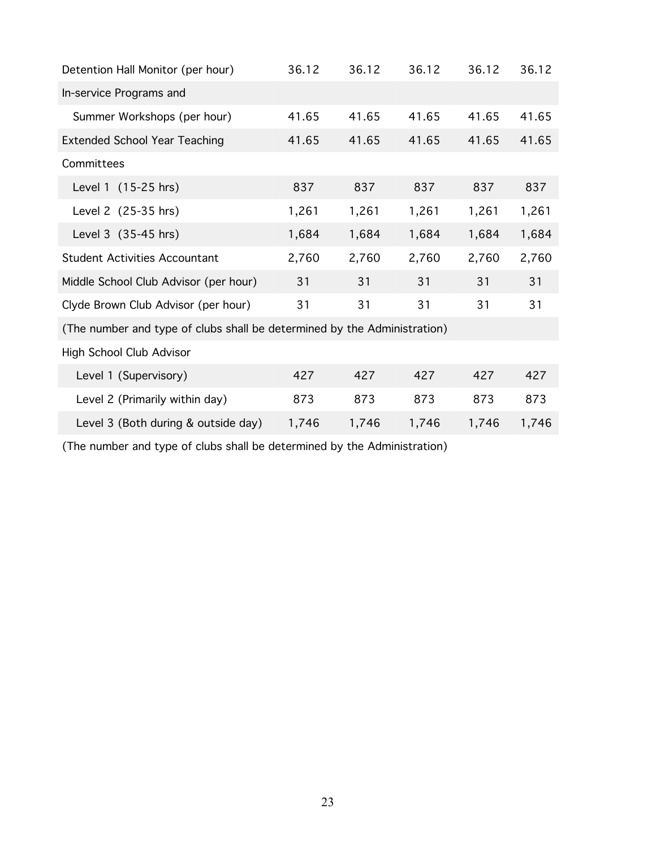| Detention Hall Monitor (per hour)                                        | 36.12 | 36.12 | 36.12 | 36.12 | 36.12 |
|--------------------------------------------------------------------------|-------|-------|-------|-------|-------|
| In-service Programs and                                                  |       |       |       |       |       |
| Summer Workshops (per hour)                                              | 41.65 | 41.65 | 41.65 | 41.65 | 41.65 |
| <b>Extended School Year Teaching</b>                                     | 41.65 | 41.65 | 41.65 | 41.65 | 41.65 |
| Committees                                                               |       |       |       |       |       |
| Level 1 (15-25 hrs)                                                      | 837   | 837   | 837   | 837   | 837   |
| Level 2 (25-35 hrs)                                                      | 1,261 | 1,261 | 1,261 | 1,261 | 1,261 |
| Level 3 (35-45 hrs)                                                      | 1,684 | 1,684 | 1,684 | 1,684 | 1,684 |
| <b>Student Activities Accountant</b>                                     | 2,760 | 2,760 | 2,760 | 2,760 | 2,760 |
| Middle School Club Advisor (per hour)                                    | 31    | 31    | 31    | 31    | 31    |
| Clyde Brown Club Advisor (per hour)                                      | 31    | 31    | 31    | 31    | 31    |
| (The number and type of clubs shall be determined by the Administration) |       |       |       |       |       |
| High School Club Advisor                                                 |       |       |       |       |       |
| Level 1 (Supervisory)                                                    | 427   | 427   | 427   | 427   | 427   |
| Level 2 (Primarily within day)                                           | 873   | 873   | 873   | 873   | 873   |
| Level 3 (Both during & outside day)                                      | 1,746 | 1,746 | 1,746 | 1,746 | 1,746 |

(The number and type of clubs shall be determined by the Administration)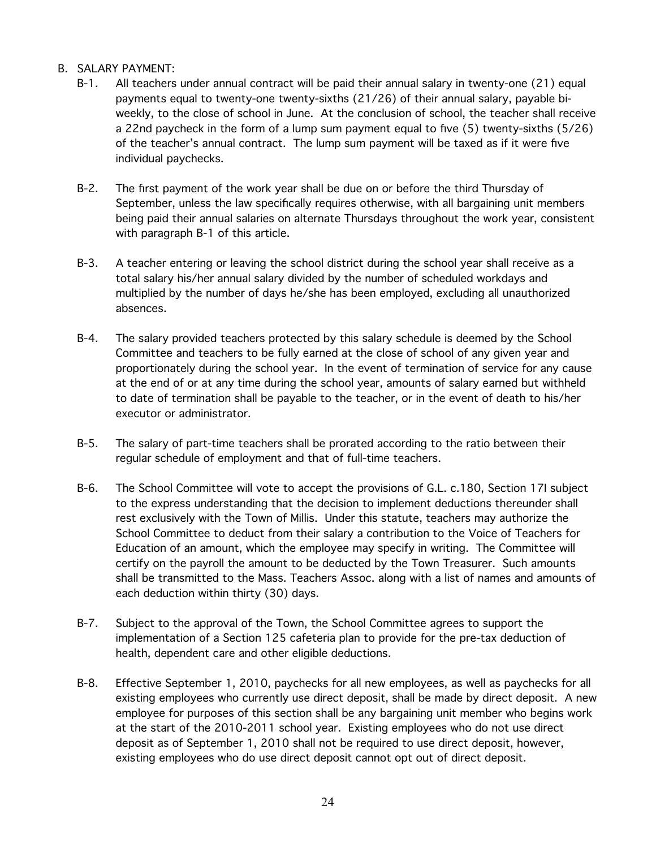#### B. SALARY PAYMENT:

- B-1. All teachers under annual contract will be paid their annual salary in twenty-one (21) equal payments equal to twenty-one twenty-sixths (21/26) of their annual salary, payable biweekly, to the close of school in June. At the conclusion of school, the teacher shall receive a 22nd paycheck in the form of a lump sum payment equal to five (5) twenty-sixths (5/26) of the teacher's annual contract. The lump sum payment will be taxed as if it were five individual paychecks.
- B-2. The first payment of the work year shall be due on or before the third Thursday of September, unless the law specifically requires otherwise, with all bargaining unit members being paid their annual salaries on alternate Thursdays throughout the work year, consistent with paragraph B-1 of this article.
- B-3. A teacher entering or leaving the school district during the school year shall receive as a total salary his/her annual salary divided by the number of scheduled workdays and multiplied by the number of days he/she has been employed, excluding all unauthorized absences.
- B-4. The salary provided teachers protected by this salary schedule is deemed by the School Committee and teachers to be fully earned at the close of school of any given year and proportionately during the school year. In the event of termination of service for any cause at the end of or at any time during the school year, amounts of salary earned but withheld to date of termination shall be payable to the teacher, or in the event of death to his/her executor or administrator.
- B-5. The salary of part-time teachers shall be prorated according to the ratio between their regular schedule of employment and that of full-time teachers.
- B-6. The School Committee will vote to accept the provisions of G.L. c.180, Section 17I subject to the express understanding that the decision to implement deductions thereunder shall rest exclusively with the Town of Millis. Under this statute, teachers may authorize the School Committee to deduct from their salary a contribution to the Voice of Teachers for Education of an amount, which the employee may specify in writing. The Committee will certify on the payroll the amount to be deducted by the Town Treasurer. Such amounts shall be transmitted to the Mass. Teachers Assoc. along with a list of names and amounts of each deduction within thirty (30) days.
- B-7. Subject to the approval of the Town, the School Committee agrees to support the implementation of a Section 125 cafeteria plan to provide for the pre-tax deduction of health, dependent care and other eligible deductions.
- B-8. Effective September 1, 2010, paychecks for all new employees, as well as paychecks for all existing employees who currently use direct deposit, shall be made by direct deposit. A new employee for purposes of this section shall be any bargaining unit member who begins work at the start of the 2010-2011 school year. Existing employees who do not use direct deposit as of September 1, 2010 shall not be required to use direct deposit, however, existing employees who do use direct deposit cannot opt out of direct deposit.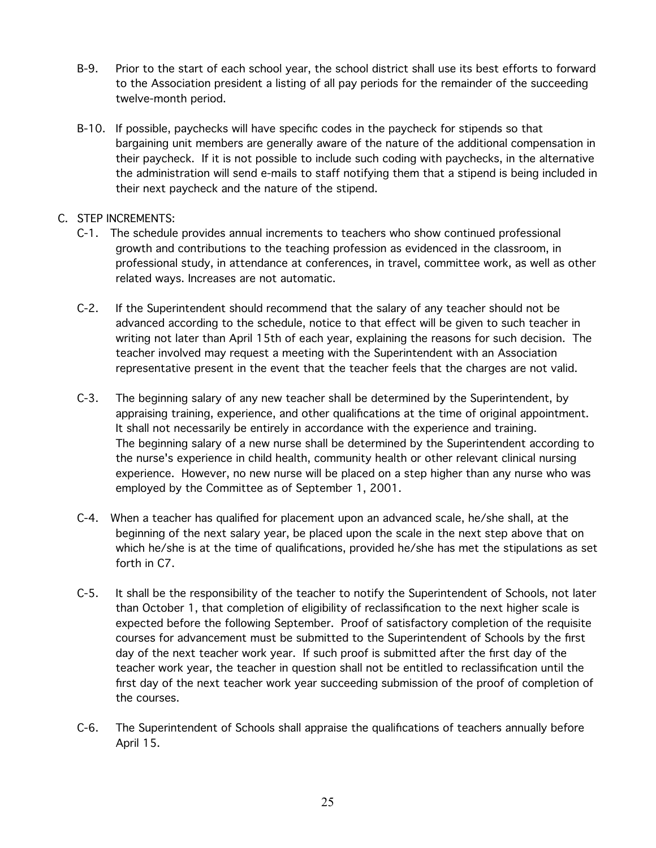- B-9. Prior to the start of each school year, the school district shall use its best efforts to forward to the Association president a listing of all pay periods for the remainder of the succeeding twelve-month period.
- B-10. If possible, paychecks will have specific codes in the paycheck for stipends so that bargaining unit members are generally aware of the nature of the additional compensation in their paycheck. If it is not possible to include such coding with paychecks, in the alternative the administration will send e-mails to staff notifying them that a stipend is being included in their next paycheck and the nature of the stipend.

#### C. STEP INCREMENTS:

- C-1. The schedule provides annual increments to teachers who show continued professional growth and contributions to the teaching profession as evidenced in the classroom, in professional study, in attendance at conferences, in travel, committee work, as well as other related ways. Increases are not automatic.
- C-2. If the Superintendent should recommend that the salary of any teacher should not be advanced according to the schedule, notice to that effect will be given to such teacher in writing not later than April 15th of each year, explaining the reasons for such decision. The teacher involved may request a meeting with the Superintendent with an Association representative present in the event that the teacher feels that the charges are not valid.
- C-3. The beginning salary of any new teacher shall be determined by the Superintendent, by appraising training, experience, and other qualifications at the time of original appointment. It shall not necessarily be entirely in accordance with the experience and training. The beginning salary of a new nurse shall be determined by the Superintendent according to the nurse's experience in child health, community health or other relevant clinical nursing experience. However, no new nurse will be placed on a step higher than any nurse who was employed by the Committee as of September 1, 2001.
- C-4. When a teacher has qualified for placement upon an advanced scale, he/she shall, at the beginning of the next salary year, be placed upon the scale in the next step above that on which he/she is at the time of qualifications, provided he/she has met the stipulations as set forth in C7.
- C-5. It shall be the responsibility of the teacher to notify the Superintendent of Schools, not later than October 1, that completion of eligibility of reclassification to the next higher scale is expected before the following September. Proof of satisfactory completion of the requisite courses for advancement must be submitted to the Superintendent of Schools by the first day of the next teacher work year. If such proof is submitted after the first day of the teacher work year, the teacher in question shall not be entitled to reclassification until the first day of the next teacher work year succeeding submission of the proof of completion of the courses.
- C-6. The Superintendent of Schools shall appraise the qualifications of teachers annually before April 15.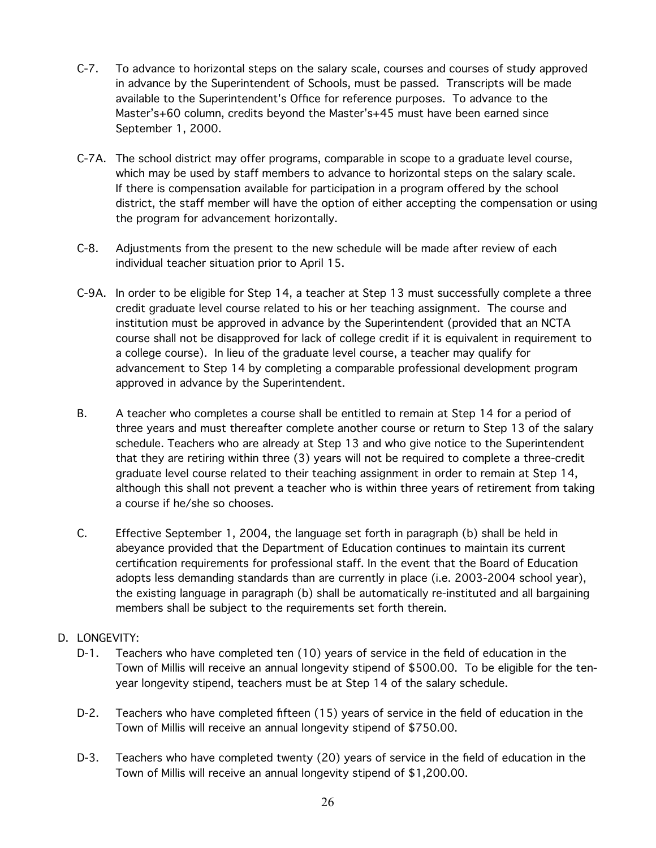- C-7. To advance to horizontal steps on the salary scale, courses and courses of study approved in advance by the Superintendent of Schools, must be passed. Transcripts will be made available to the Superintendent's Office for reference purposes. To advance to the Master's+60 column, credits beyond the Master's+45 must have been earned since September 1, 2000.
- C-7A. The school district may offer programs, comparable in scope to a graduate level course, which may be used by staff members to advance to horizontal steps on the salary scale. If there is compensation available for participation in a program offered by the school district, the staff member will have the option of either accepting the compensation or using the program for advancement horizontally.
- C-8. Adjustments from the present to the new schedule will be made after review of each individual teacher situation prior to April 15.
- C-9A. In order to be eligible for Step 14, a teacher at Step 13 must successfully complete a three credit graduate level course related to his or her teaching assignment. The course and institution must be approved in advance by the Superintendent (provided that an NCTA course shall not be disapproved for lack of college credit if it is equivalent in requirement to a college course). In lieu of the graduate level course, a teacher may qualify for advancement to Step 14 by completing a comparable professional development program approved in advance by the Superintendent.
- B. A teacher who completes a course shall be entitled to remain at Step 14 for a period of three years and must thereafter complete another course or return to Step 13 of the salary schedule. Teachers who are already at Step 13 and who give notice to the Superintendent that they are retiring within three (3) years will not be required to complete a three-credit graduate level course related to their teaching assignment in order to remain at Step 14, although this shall not prevent a teacher who is within three years of retirement from taking a course if he/she so chooses.
- C. Effective September 1, 2004, the language set forth in paragraph (b) shall be held in abeyance provided that the Department of Education continues to maintain its current certification requirements for professional staff. In the event that the Board of Education adopts less demanding standards than are currently in place (i.e. 2003-2004 school year), the existing language in paragraph (b) shall be automatically re-instituted and all bargaining members shall be subject to the requirements set forth therein.
- D. LONGEVITY:
	- D-1. Teachers who have completed ten (10) years of service in the field of education in the Town of Millis will receive an annual longevity stipend of \$500.00. To be eligible for the tenyear longevity stipend, teachers must be at Step 14 of the salary schedule.
	- D-2. Teachers who have completed fifteen (15) years of service in the field of education in the Town of Millis will receive an annual longevity stipend of \$750.00.
	- D-3. Teachers who have completed twenty (20) years of service in the field of education in the Town of Millis will receive an annual longevity stipend of \$1,200.00.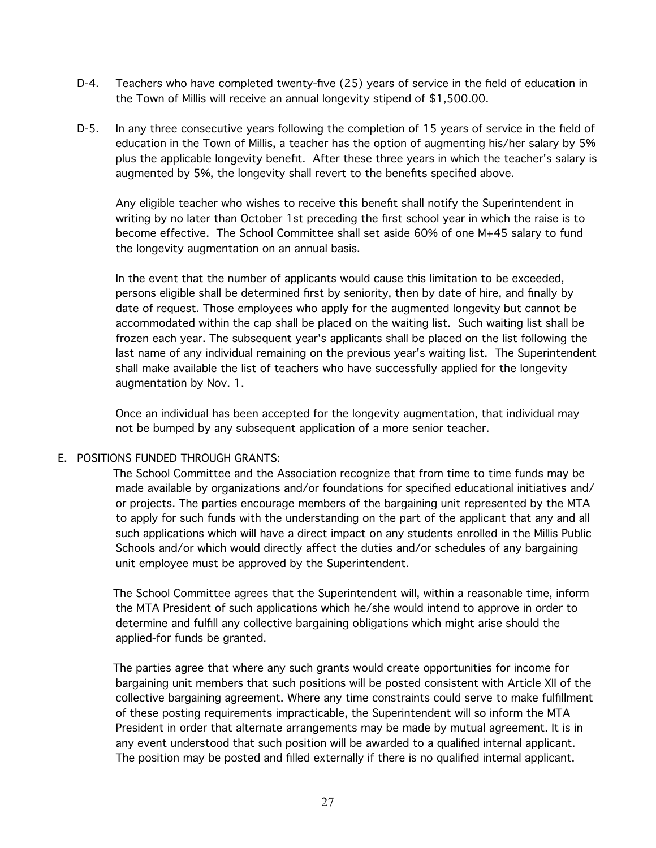- D-4. Teachers who have completed twenty-five (25) years of service in the field of education in the Town of Millis will receive an annual longevity stipend of \$1,500.00.
- D-5. In any three consecutive years following the completion of 15 years of service in the field of education in the Town of Millis, a teacher has the option of augmenting his/her salary by 5% plus the applicable longevity benefit. After these three years in which the teacher's salary is augmented by 5%, the longevity shall revert to the benefits specified above.

Any eligible teacher who wishes to receive this benefit shall notify the Superintendent in writing by no later than October 1st preceding the first school year in which the raise is to become effective. The School Committee shall set aside 60% of one M+45 salary to fund the longevity augmentation on an annual basis.

In the event that the number of applicants would cause this limitation to be exceeded, persons eligible shall be determined first by seniority, then by date of hire, and finally by date of request. Those employees who apply for the augmented longevity but cannot be accommodated within the cap shall be placed on the waiting list. Such waiting list shall be frozen each year. The subsequent year's applicants shall be placed on the list following the last name of any individual remaining on the previous year's waiting list. The Superintendent shall make available the list of teachers who have successfully applied for the longevity augmentation by Nov. 1.

Once an individual has been accepted for the longevity augmentation, that individual may not be bumped by any subsequent application of a more senior teacher.

#### E. POSITIONS FUNDED THROUGH GRANTS:

The School Committee and the Association recognize that from time to time funds may be made available by organizations and/or foundations for specified educational initiatives and/ or projects. The parties encourage members of the bargaining unit represented by the MTA to apply for such funds with the understanding on the part of the applicant that any and all such applications which will have a direct impact on any students enrolled in the Millis Public Schools and/or which would directly affect the duties and/or schedules of any bargaining unit employee must be approved by the Superintendent.

The School Committee agrees that the Superintendent will, within a reasonable time, inform the MTA President of such applications which he/she would intend to approve in order to determine and fulfill any collective bargaining obligations which might arise should the applied-for funds be granted.

The parties agree that where any such grants would create opportunities for income for bargaining unit members that such positions will be posted consistent with Article XII of the collective bargaining agreement. Where any time constraints could serve to make fulfillment of these posting requirements impracticable, the Superintendent will so inform the MTA President in order that alternate arrangements may be made by mutual agreement. It is in any event understood that such position will be awarded to a qualified internal applicant. The position may be posted and filled externally if there is no qualified internal applicant.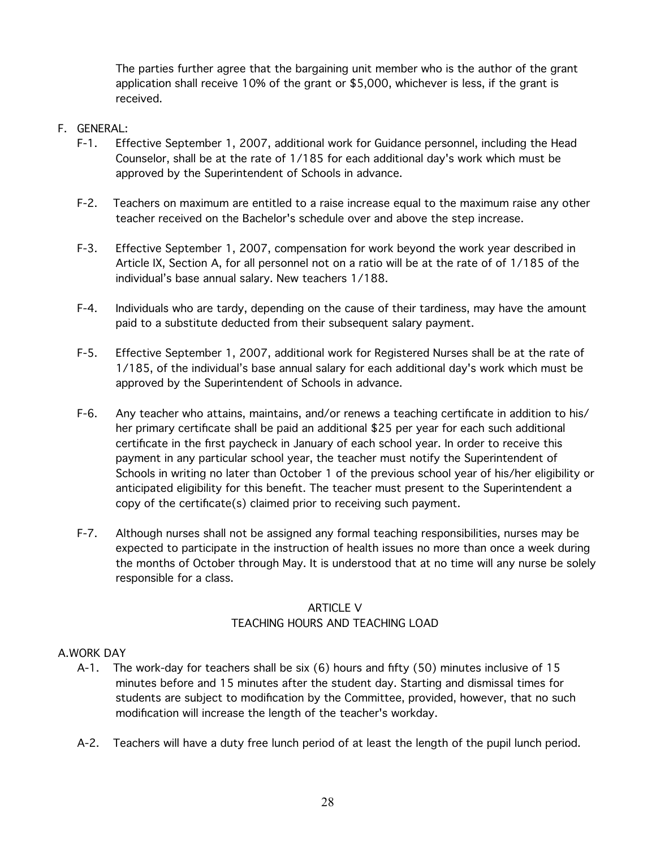The parties further agree that the bargaining unit member who is the author of the grant application shall receive 10% of the grant or \$5,000, whichever is less, if the grant is received.

#### F. GENERAL:

- F-1. Effective September 1, 2007, additional work for Guidance personnel, including the Head Counselor, shall be at the rate of 1/185 for each additional day's work which must be approved by the Superintendent of Schools in advance.
- F-2. Teachers on maximum are entitled to a raise increase equal to the maximum raise any other teacher received on the Bachelor's schedule over and above the step increase.
- F-3. Effective September 1, 2007, compensation for work beyond the work year described in Article IX, Section A, for all personnel not on a ratio will be at the rate of of 1/185 of the individual's base annual salary. New teachers 1/188.
- F-4. Individuals who are tardy, depending on the cause of their tardiness, may have the amount paid to a substitute deducted from their subsequent salary payment.
- F-5. Effective September 1, 2007, additional work for Registered Nurses shall be at the rate of 1/185, of the individual's base annual salary for each additional day's work which must be approved by the Superintendent of Schools in advance.
- F-6. Any teacher who attains, maintains, and/or renews a teaching certificate in addition to his/ her primary certificate shall be paid an additional \$25 per year for each such additional certificate in the first paycheck in January of each school year. In order to receive this payment in any particular school year, the teacher must notify the Superintendent of Schools in writing no later than October 1 of the previous school year of his/her eligibility or anticipated eligibility for this benefit. The teacher must present to the Superintendent a copy of the certificate(s) claimed prior to receiving such payment.
- F-7. Although nurses shall not be assigned any formal teaching responsibilities, nurses may be expected to participate in the instruction of health issues no more than once a week during the months of October through May. It is understood that at no time will any nurse be solely responsible for a class.

#### ARTICLE V TEACHING HOURS AND TEACHING LOAD

#### A.WORK DAY

- A-1. The work-day for teachers shall be six (6) hours and fifty (50) minutes inclusive of 15 minutes before and 15 minutes after the student day. Starting and dismissal times for students are subject to modification by the Committee, provided, however, that no such modification will increase the length of the teacher's workday.
- A-2. Teachers will have a duty free lunch period of at least the length of the pupil lunch period.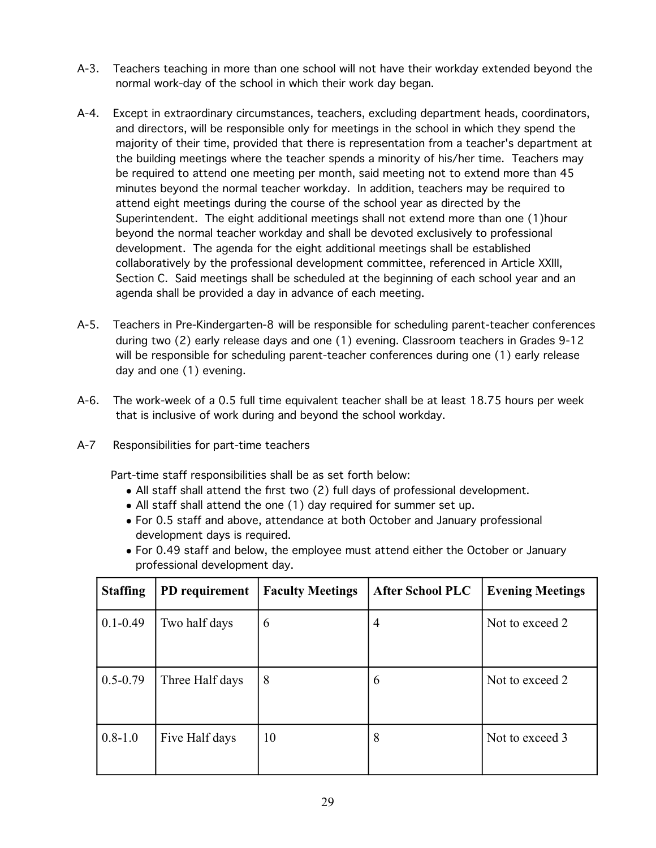- A-3. Teachers teaching in more than one school will not have their workday extended beyond the normal work-day of the school in which their work day began.
- A-4. Except in extraordinary circumstances, teachers, excluding department heads, coordinators, and directors, will be responsible only for meetings in the school in which they spend the majority of their time, provided that there is representation from a teacher's department at the building meetings where the teacher spends a minority of his/her time. Teachers may be required to attend one meeting per month, said meeting not to extend more than 45 minutes beyond the normal teacher workday. In addition, teachers may be required to attend eight meetings during the course of the school year as directed by the Superintendent. The eight additional meetings shall not extend more than one (1)hour beyond the normal teacher workday and shall be devoted exclusively to professional development. The agenda for the eight additional meetings shall be established collaboratively by the professional development committee, referenced in Article XXIII, Section C. Said meetings shall be scheduled at the beginning of each school year and an agenda shall be provided a day in advance of each meeting.
- A-5. Teachers in Pre-Kindergarten-8 will be responsible for scheduling parent-teacher conferences during two (2) early release days and one (1) evening. Classroom teachers in Grades 9-12 will be responsible for scheduling parent-teacher conferences during one (1) early release day and one (1) evening.
- A-6. The work-week of a 0.5 full time equivalent teacher shall be at least 18.75 hours per week that is inclusive of work during and beyond the school workday.
- A-7 Responsibilities for part-time teachers

Part-time staff responsibilities shall be as set forth below:

- All staff shall attend the first two (2) full days of professional development.
- All staff shall attend the one (1) day required for summer set up.
- For 0.5 staff and above, attendance at both October and January professional development days is required.
- For 0.49 staff and below, the employee must attend either the October or January professional development day.

| <b>Staffing</b> | PD requirement  | <b>Faculty Meetings</b> | <b>After School PLC</b> | <b>Evening Meetings</b> |
|-----------------|-----------------|-------------------------|-------------------------|-------------------------|
| $0.1 - 0.49$    | Two half days   | 6                       | 4                       | Not to exceed 2         |
| $0.5 - 0.79$    | Three Half days | 8                       | 6                       | Not to exceed 2         |
| $0.8 - 1.0$     | Five Half days  | 10                      | 8                       | Not to exceed 3         |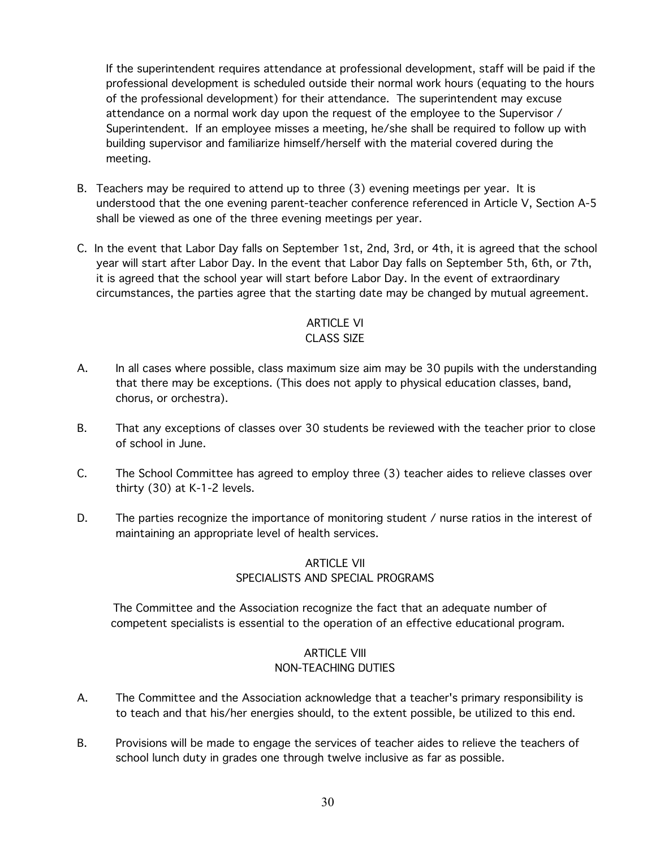If the superintendent requires attendance at professional development, staff will be paid if the professional development is scheduled outside their normal work hours (equating to the hours of the professional development) for their attendance. The superintendent may excuse attendance on a normal work day upon the request of the employee to the Supervisor / Superintendent. If an employee misses a meeting, he/she shall be required to follow up with building supervisor and familiarize himself/herself with the material covered during the meeting.

- B. Teachers may be required to attend up to three (3) evening meetings per year. It is understood that the one evening parent-teacher conference referenced in Article V, Section A-5 shall be viewed as one of the three evening meetings per year.
- C. In the event that Labor Day falls on September 1st, 2nd, 3rd, or 4th, it is agreed that the school year will start after Labor Day. In the event that Labor Day falls on September 5th, 6th, or 7th, it is agreed that the school year will start before Labor Day. In the event of extraordinary circumstances, the parties agree that the starting date may be changed by mutual agreement.

#### ARTICLE VI CLASS SIZE

- A. In all cases where possible, class maximum size aim may be 30 pupils with the understanding that there may be exceptions. (This does not apply to physical education classes, band, chorus, or orchestra).
- B. That any exceptions of classes over 30 students be reviewed with the teacher prior to close of school in June.
- C. The School Committee has agreed to employ three (3) teacher aides to relieve classes over thirty (30) at K-1-2 levels.
- D. The parties recognize the importance of monitoring student / nurse ratios in the interest of maintaining an appropriate level of health services.

## ARTICLE VII SPECIALISTS AND SPECIAL PROGRAMS

The Committee and the Association recognize the fact that an adequate number of competent specialists is essential to the operation of an effective educational program.

## **ARTICLE VIII** NON-TEACHING DUTIES

- A. The Committee and the Association acknowledge that a teacher's primary responsibility is to teach and that his/her energies should, to the extent possible, be utilized to this end.
- B. Provisions will be made to engage the services of teacher aides to relieve the teachers of school lunch duty in grades one through twelve inclusive as far as possible.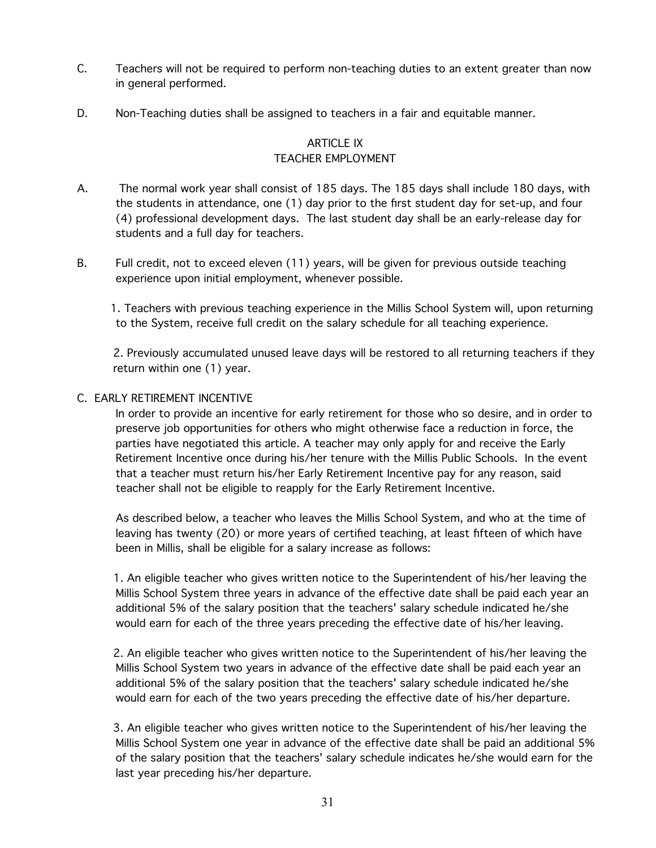- C. Teachers will not be required to perform non-teaching duties to an extent greater than now in general performed.
- D. Non-Teaching duties shall be assigned to teachers in a fair and equitable manner.

### ARTICLE IX TEACHER EMPLOYMENT

- A. The normal work year shall consist of 185 days. The 185 days shall include 180 days, with the students in attendance, one (1) day prior to the first student day for set-up, and four (4) professional development days. The last student day shall be an early-release day for students and a full day for teachers.
- B. Full credit, not to exceed eleven (11) years, will be given for previous outside teaching experience upon initial employment, whenever possible.

1. Teachers with previous teaching experience in the Millis School System will, upon returning to the System, receive full credit on the salary schedule for all teaching experience.

2. Previously accumulated unused leave days will be restored to all returning teachers if they return within one (1) year.

#### C. EARLY RETIREMENT INCENTIVE

In order to provide an incentive for early retirement for those who so desire, and in order to preserve job opportunities for others who might otherwise face a reduction in force, the parties have negotiated this article. A teacher may only apply for and receive the Early Retirement Incentive once during his/her tenure with the Millis Public Schools. In the event that a teacher must return his/her Early Retirement Incentive pay for any reason, said teacher shall not be eligible to reapply for the Early Retirement Incentive.

As described below, a teacher who leaves the Millis School System, and who at the time of leaving has twenty (20) or more years of certified teaching, at least fifteen of which have been in Millis, shall be eligible for a salary increase as follows:

 1. An eligible teacher who gives written notice to the Superintendent of his/her leaving the Millis School System three years in advance of the effective date shall be paid each year an additional 5% of the salary position that the teachers' salary schedule indicated he/she would earn for each of the three years preceding the effective date of his/her leaving.

 2. An eligible teacher who gives written notice to the Superintendent of his/her leaving the Millis School System two years in advance of the effective date shall be paid each year an additional 5% of the salary position that the teachers' salary schedule indicated he/she would earn for each of the two years preceding the effective date of his/her departure.

 3. An eligible teacher who gives written notice to the Superintendent of his/her leaving the Millis School System one year in advance of the effective date shall be paid an additional 5% of the salary position that the teachers' salary schedule indicates he/she would earn for the last year preceding his/her departure.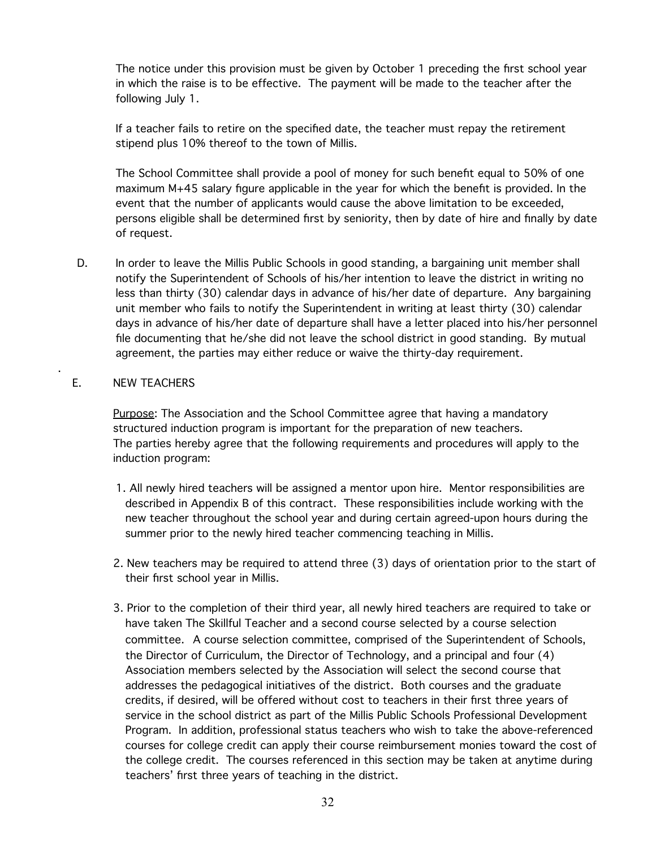The notice under this provision must be given by October 1 preceding the first school year in which the raise is to be effective. The payment will be made to the teacher after the following July 1.

If a teacher fails to retire on the specified date, the teacher must repay the retirement stipend plus 10% thereof to the town of Millis.

The School Committee shall provide a pool of money for such benefit equal to 50% of one maximum M+45 salary figure applicable in the year for which the benefit is provided. In the event that the number of applicants would cause the above limitation to be exceeded, persons eligible shall be determined first by seniority, then by date of hire and finally by date of request.

D. In order to leave the Millis Public Schools in good standing, a bargaining unit member shall notify the Superintendent of Schools of his/her intention to leave the district in writing no less than thirty (30) calendar days in advance of his/her date of departure. Any bargaining unit member who fails to notify the Superintendent in writing at least thirty (30) calendar days in advance of his/her date of departure shall have a letter placed into his/her personnel file documenting that he/she did not leave the school district in good standing. By mutual agreement, the parties may either reduce or waive the thirty-day requirement.

#### E. NEW TEACHERS

.

Purpose: The Association and the School Committee agree that having a mandatory structured induction program is important for the preparation of new teachers. The parties hereby agree that the following requirements and procedures will apply to the induction program:

- 1. All newly hired teachers will be assigned a mentor upon hire. Mentor responsibilities are described in Appendix B of this contract. These responsibilities include working with the new teacher throughout the school year and during certain agreed-upon hours during the summer prior to the newly hired teacher commencing teaching in Millis.
- 2. New teachers may be required to attend three (3) days of orientation prior to the start of their first school year in Millis.
- 3. Prior to the completion of their third year, all newly hired teachers are required to take or have taken The Skillful Teacher and a second course selected by a course selection committee. A course selection committee, comprised of the Superintendent of Schools, the Director of Curriculum, the Director of Technology, and a principal and four (4) Association members selected by the Association will select the second course that addresses the pedagogical initiatives of the district. Both courses and the graduate credits, if desired, will be offered without cost to teachers in their first three years of service in the school district as part of the Millis Public Schools Professional Development Program. In addition, professional status teachers who wish to take the above-referenced courses for college credit can apply their course reimbursement monies toward the cost of the college credit. The courses referenced in this section may be taken at anytime during teachers' first three years of teaching in the district.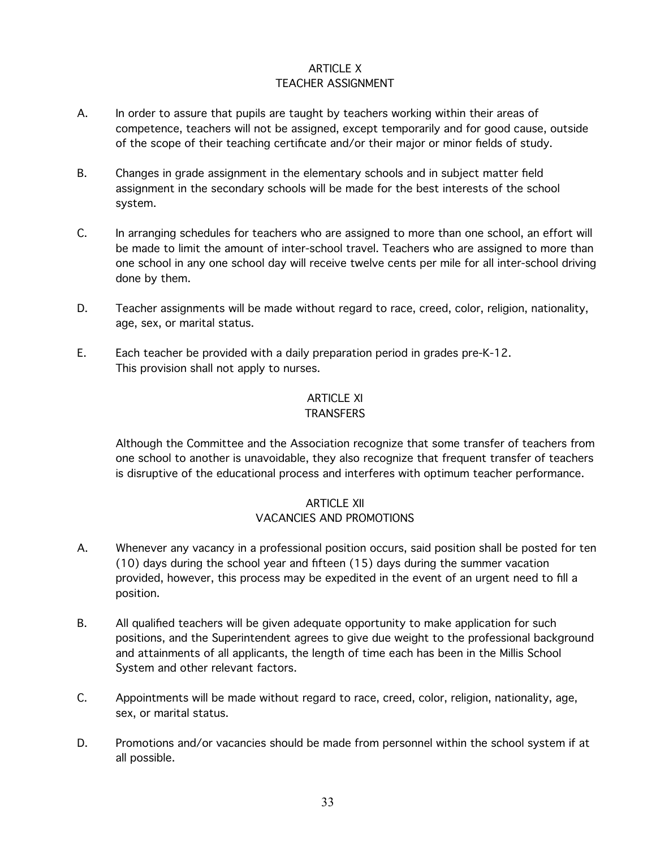#### ARTICLE X TEACHER ASSIGNMENT

- A. In order to assure that pupils are taught by teachers working within their areas of competence, teachers will not be assigned, except temporarily and for good cause, outside of the scope of their teaching certificate and/or their major or minor fields of study.
- B. Changes in grade assignment in the elementary schools and in subject matter field assignment in the secondary schools will be made for the best interests of the school system.
- C. In arranging schedules for teachers who are assigned to more than one school, an effort will be made to limit the amount of inter-school travel. Teachers who are assigned to more than one school in any one school day will receive twelve cents per mile for all inter-school driving done by them.
- D. Teacher assignments will be made without regard to race, creed, color, religion, nationality, age, sex, or marital status.
- E. Each teacher be provided with a daily preparation period in grades pre-K-12. This provision shall not apply to nurses.

# ARTICLE XI

## **TRANSFERS**

Although the Committee and the Association recognize that some transfer of teachers from one school to another is unavoidable, they also recognize that frequent transfer of teachers is disruptive of the educational process and interferes with optimum teacher performance.

## ARTICLE XII VACANCIES AND PROMOTIONS

- A. Whenever any vacancy in a professional position occurs, said position shall be posted for ten (10) days during the school year and fifteen (15) days during the summer vacation provided, however, this process may be expedited in the event of an urgent need to fill a position.
- B. All qualified teachers will be given adequate opportunity to make application for such positions, and the Superintendent agrees to give due weight to the professional background and attainments of all applicants, the length of time each has been in the Millis School System and other relevant factors.
- C. Appointments will be made without regard to race, creed, color, religion, nationality, age, sex, or marital status.
- D. Promotions and/or vacancies should be made from personnel within the school system if at all possible.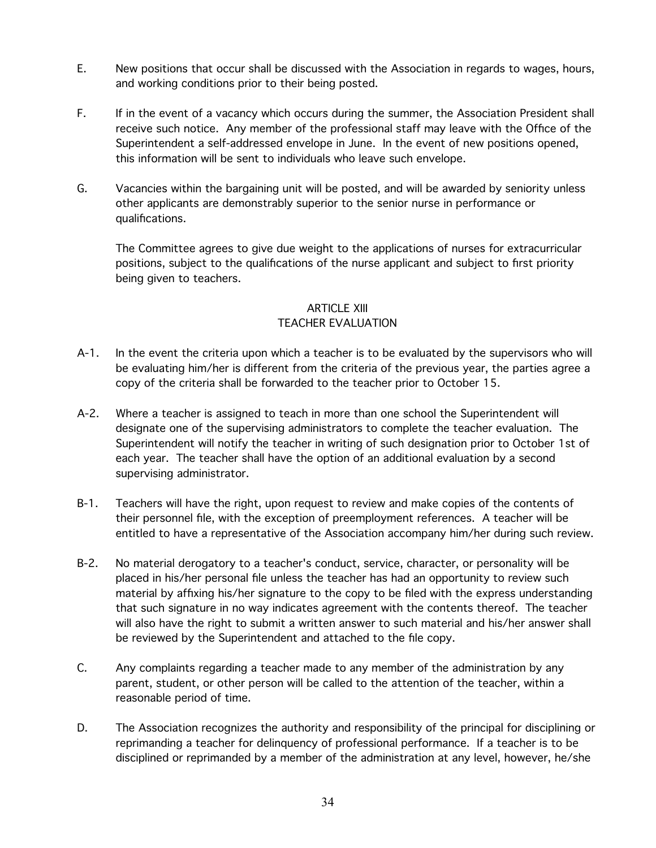- E. New positions that occur shall be discussed with the Association in regards to wages, hours, and working conditions prior to their being posted.
- F. If in the event of a vacancy which occurs during the summer, the Association President shall receive such notice. Any member of the professional staff may leave with the Office of the Superintendent a self-addressed envelope in June. In the event of new positions opened, this information will be sent to individuals who leave such envelope.
- G. Vacancies within the bargaining unit will be posted, and will be awarded by seniority unless other applicants are demonstrably superior to the senior nurse in performance or qualifications.

The Committee agrees to give due weight to the applications of nurses for extracurricular positions, subject to the qualifications of the nurse applicant and subject to first priority being given to teachers.

# ARTICLE XIII

#### TEACHER EVALUATION

- A-1. In the event the criteria upon which a teacher is to be evaluated by the supervisors who will be evaluating him/her is different from the criteria of the previous year, the parties agree a copy of the criteria shall be forwarded to the teacher prior to October 15.
- A-2. Where a teacher is assigned to teach in more than one school the Superintendent will designate one of the supervising administrators to complete the teacher evaluation. The Superintendent will notify the teacher in writing of such designation prior to October 1st of each year. The teacher shall have the option of an additional evaluation by a second supervising administrator.
- B-1. Teachers will have the right, upon request to review and make copies of the contents of their personnel file, with the exception of preemployment references. A teacher will be entitled to have a representative of the Association accompany him/her during such review.
- B-2. No material derogatory to a teacher's conduct, service, character, or personality will be placed in his/her personal file unless the teacher has had an opportunity to review such material by affixing his/her signature to the copy to be filed with the express understanding that such signature in no way indicates agreement with the contents thereof. The teacher will also have the right to submit a written answer to such material and his/her answer shall be reviewed by the Superintendent and attached to the file copy.
- C. Any complaints regarding a teacher made to any member of the administration by any parent, student, or other person will be called to the attention of the teacher, within a reasonable period of time.
- D. The Association recognizes the authority and responsibility of the principal for disciplining or reprimanding a teacher for delinquency of professional performance. If a teacher is to be disciplined or reprimanded by a member of the administration at any level, however, he/she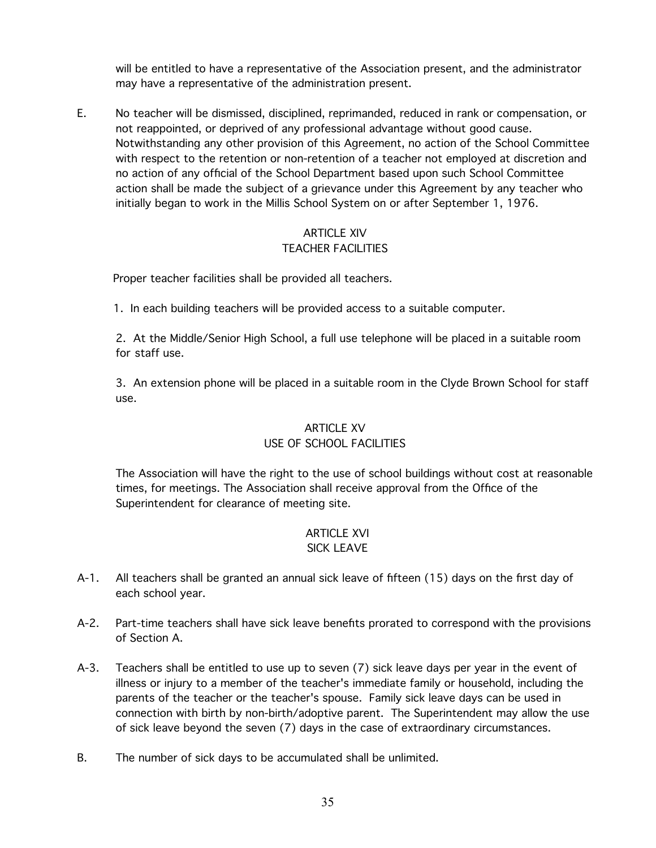will be entitled to have a representative of the Association present, and the administrator may have a representative of the administration present.

E. No teacher will be dismissed, disciplined, reprimanded, reduced in rank or compensation, or not reappointed, or deprived of any professional advantage without good cause. Notwithstanding any other provision of this Agreement, no action of the School Committee with respect to the retention or non-retention of a teacher not employed at discretion and no action of any official of the School Department based upon such School Committee action shall be made the subject of a grievance under this Agreement by any teacher who initially began to work in the Millis School System on or after September 1, 1976.

#### ARTICLE XIV TEACHER FACILITIES

Proper teacher facilities shall be provided all teachers.

1. In each building teachers will be provided access to a suitable computer.

2. At the Middle/Senior High School, a full use telephone will be placed in a suitable room for staff use.

3. An extension phone will be placed in a suitable room in the Clyde Brown School for staff use.

### ARTICLE XV

## USE OF SCHOOL FACILITIES

The Association will have the right to the use of school buildings without cost at reasonable times, for meetings. The Association shall receive approval from the Office of the Superintendent for clearance of meeting site.

# ARTICLE XVI

## SICK LEAVE

- A-1. All teachers shall be granted an annual sick leave of fifteen (15) days on the first day of each school year.
- A-2. Part-time teachers shall have sick leave benefits prorated to correspond with the provisions of Section A.
- A-3. Teachers shall be entitled to use up to seven (7) sick leave days per year in the event of illness or injury to a member of the teacher's immediate family or household, including the parents of the teacher or the teacher's spouse. Family sick leave days can be used in connection with birth by non-birth/adoptive parent. The Superintendent may allow the use of sick leave beyond the seven (7) days in the case of extraordinary circumstances.
- B. The number of sick days to be accumulated shall be unlimited.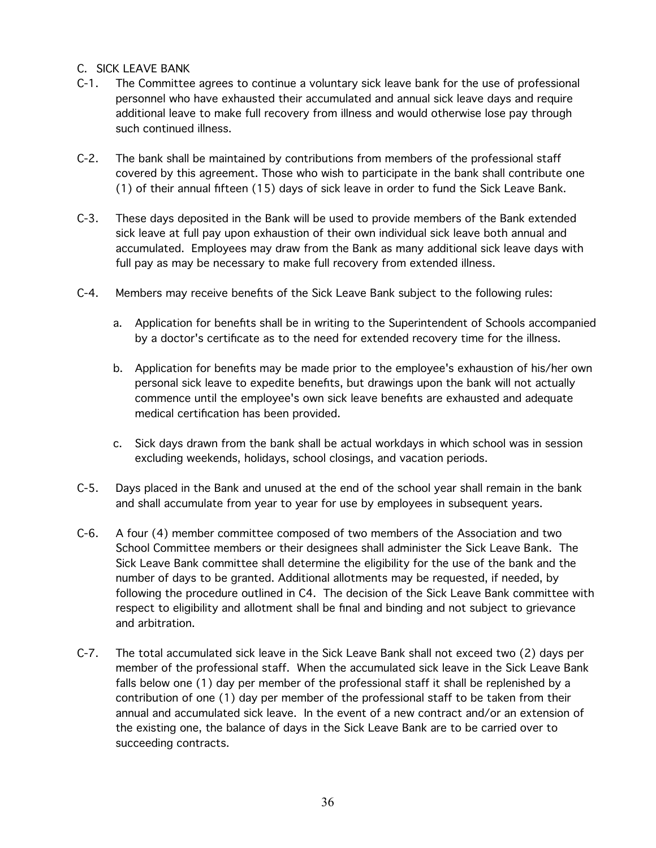#### C. SICK LEAVE BANK

- C-1. The Committee agrees to continue a voluntary sick leave bank for the use of professional personnel who have exhausted their accumulated and annual sick leave days and require additional leave to make full recovery from illness and would otherwise lose pay through such continued illness.
- C-2. The bank shall be maintained by contributions from members of the professional staff covered by this agreement. Those who wish to participate in the bank shall contribute one (1) of their annual fifteen (15) days of sick leave in order to fund the Sick Leave Bank.
- C-3. These days deposited in the Bank will be used to provide members of the Bank extended sick leave at full pay upon exhaustion of their own individual sick leave both annual and accumulated. Employees may draw from the Bank as many additional sick leave days with full pay as may be necessary to make full recovery from extended illness.
- C-4. Members may receive benefits of the Sick Leave Bank subject to the following rules:
	- a. Application for benefits shall be in writing to the Superintendent of Schools accompanied by a doctor's certificate as to the need for extended recovery time for the illness.
	- b. Application for benefits may be made prior to the employee's exhaustion of his/her own personal sick leave to expedite benefits, but drawings upon the bank will not actually commence until the employee's own sick leave benefits are exhausted and adequate medical certification has been provided.
	- c. Sick days drawn from the bank shall be actual workdays in which school was in session excluding weekends, holidays, school closings, and vacation periods.
- C-5. Days placed in the Bank and unused at the end of the school year shall remain in the bank and shall accumulate from year to year for use by employees in subsequent years.
- C-6. A four (4) member committee composed of two members of the Association and two School Committee members or their designees shall administer the Sick Leave Bank. The Sick Leave Bank committee shall determine the eligibility for the use of the bank and the number of days to be granted. Additional allotments may be requested, if needed, by following the procedure outlined in C4. The decision of the Sick Leave Bank committee with respect to eligibility and allotment shall be final and binding and not subject to grievance and arbitration.
- C-7. The total accumulated sick leave in the Sick Leave Bank shall not exceed two (2) days per member of the professional staff. When the accumulated sick leave in the Sick Leave Bank falls below one (1) day per member of the professional staff it shall be replenished by a contribution of one (1) day per member of the professional staff to be taken from their annual and accumulated sick leave. In the event of a new contract and/or an extension of the existing one, the balance of days in the Sick Leave Bank are to be carried over to succeeding contracts.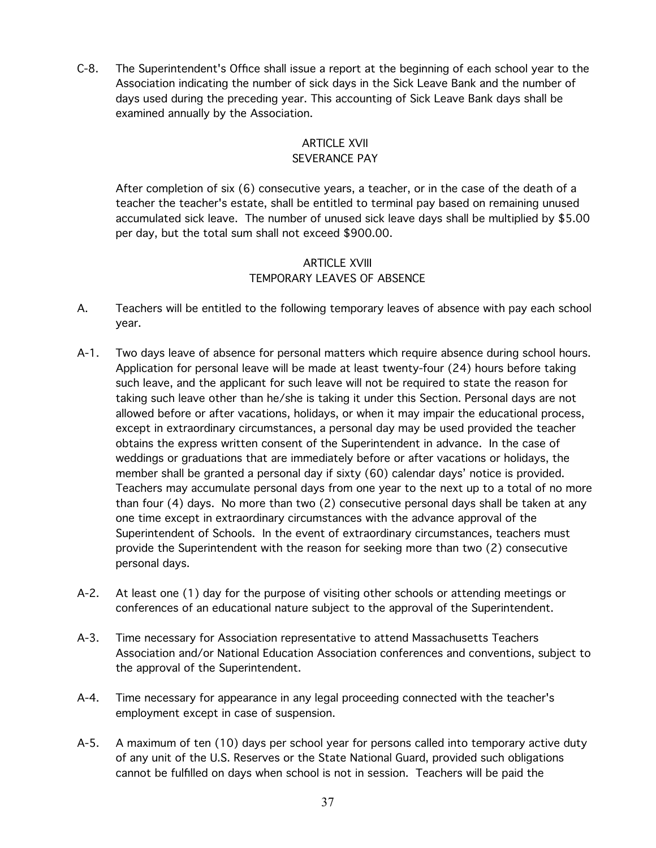C-8. The Superintendent's Office shall issue a report at the beginning of each school year to the Association indicating the number of sick days in the Sick Leave Bank and the number of days used during the preceding year. This accounting of Sick Leave Bank days shall be examined annually by the Association.

### ARTICLE XVII SEVERANCE PAY

After completion of six (6) consecutive years, a teacher, or in the case of the death of a teacher the teacher's estate, shall be entitled to terminal pay based on remaining unused accumulated sick leave. The number of unused sick leave days shall be multiplied by \$5.00 per day, but the total sum shall not exceed \$900.00.

### ARTICLE XVIII TEMPORARY LEAVES OF ABSENCE

- A. Teachers will be entitled to the following temporary leaves of absence with pay each school year.
- A-1. Two days leave of absence for personal matters which require absence during school hours. Application for personal leave will be made at least twenty-four (24) hours before taking such leave, and the applicant for such leave will not be required to state the reason for taking such leave other than he/she is taking it under this Section. Personal days are not allowed before or after vacations, holidays, or when it may impair the educational process, except in extraordinary circumstances, a personal day may be used provided the teacher obtains the express written consent of the Superintendent in advance. In the case of weddings or graduations that are immediately before or after vacations or holidays, the member shall be granted a personal day if sixty (60) calendar days' notice is provided. Teachers may accumulate personal days from one year to the next up to a total of no more than four (4) days. No more than two (2) consecutive personal days shall be taken at any one time except in extraordinary circumstances with the advance approval of the Superintendent of Schools. In the event of extraordinary circumstances, teachers must provide the Superintendent with the reason for seeking more than two (2) consecutive personal days.
- A-2. At least one (1) day for the purpose of visiting other schools or attending meetings or conferences of an educational nature subject to the approval of the Superintendent.
- A-3. Time necessary for Association representative to attend Massachusetts Teachers Association and/or National Education Association conferences and conventions, subject to the approval of the Superintendent.
- A-4. Time necessary for appearance in any legal proceeding connected with the teacher's employment except in case of suspension.
- A-5. A maximum of ten (10) days per school year for persons called into temporary active duty of any unit of the U.S. Reserves or the State National Guard, provided such obligations cannot be fulfilled on days when school is not in session. Teachers will be paid the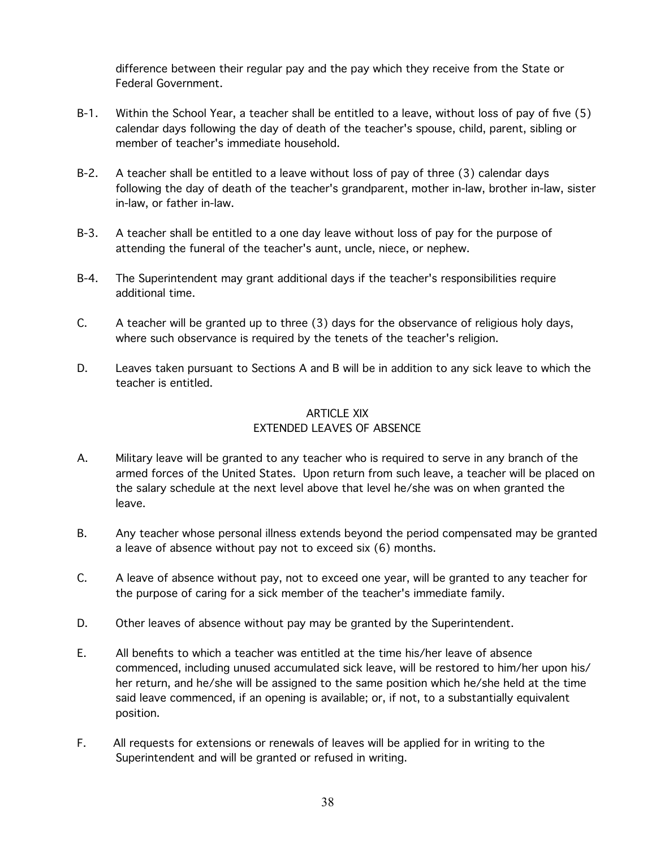difference between their regular pay and the pay which they receive from the State or Federal Government.

- B-1. Within the School Year, a teacher shall be entitled to a leave, without loss of pay of five (5) calendar days following the day of death of the teacher's spouse, child, parent, sibling or member of teacher's immediate household.
- B-2. A teacher shall be entitled to a leave without loss of pay of three (3) calendar days following the day of death of the teacher's grandparent, mother in-law, brother in-law, sister in-law, or father in-law.
- B-3. A teacher shall be entitled to a one day leave without loss of pay for the purpose of attending the funeral of the teacher's aunt, uncle, niece, or nephew.
- B-4. The Superintendent may grant additional days if the teacher's responsibilities require additional time.
- C. A teacher will be granted up to three (3) days for the observance of religious holy days, where such observance is required by the tenets of the teacher's religion.
- D. Leaves taken pursuant to Sections A and B will be in addition to any sick leave to which the teacher is entitled.

## ARTICLE XIX EXTENDED LEAVES OF ABSENCE

- A. Military leave will be granted to any teacher who is required to serve in any branch of the armed forces of the United States. Upon return from such leave, a teacher will be placed on the salary schedule at the next level above that level he/she was on when granted the leave.
- B. Any teacher whose personal illness extends beyond the period compensated may be granted a leave of absence without pay not to exceed six (6) months.
- C. A leave of absence without pay, not to exceed one year, will be granted to any teacher for the purpose of caring for a sick member of the teacher's immediate family.
- D. Other leaves of absence without pay may be granted by the Superintendent.
- E. All benefits to which a teacher was entitled at the time his/her leave of absence commenced, including unused accumulated sick leave, will be restored to him/her upon his/ her return, and he/she will be assigned to the same position which he/she held at the time said leave commenced, if an opening is available; or, if not, to a substantially equivalent position.
- F. All requests for extensions or renewals of leaves will be applied for in writing to the Superintendent and will be granted or refused in writing.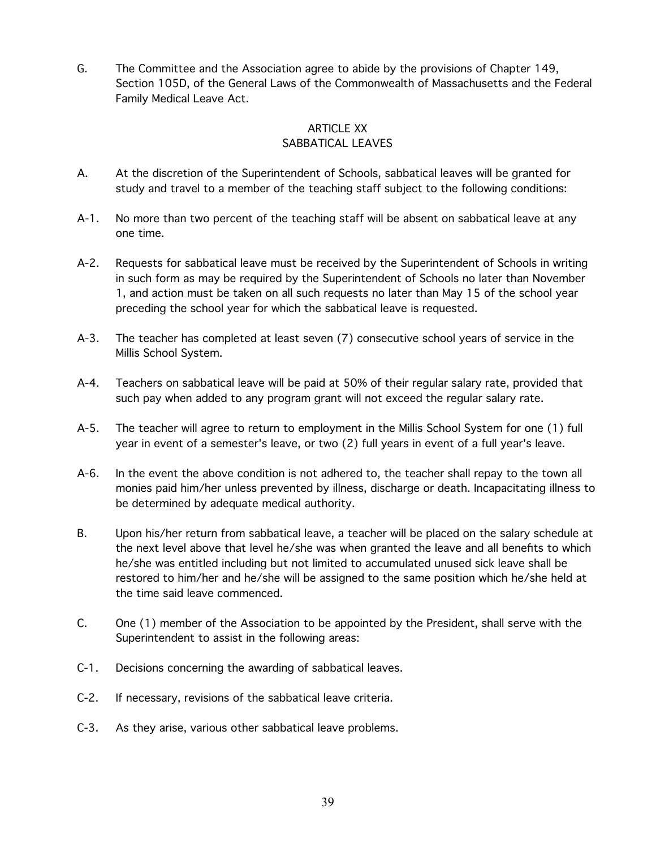G. The Committee and the Association agree to abide by the provisions of Chapter 149, Section 105D, of the General Laws of the Commonwealth of Massachusetts and the Federal Family Medical Leave Act.

#### ARTICLE XX SABBATICAL LEAVES

- A. At the discretion of the Superintendent of Schools, sabbatical leaves will be granted for study and travel to a member of the teaching staff subject to the following conditions:
- A-1. No more than two percent of the teaching staff will be absent on sabbatical leave at any one time.
- A-2. Requests for sabbatical leave must be received by the Superintendent of Schools in writing in such form as may be required by the Superintendent of Schools no later than November 1, and action must be taken on all such requests no later than May 15 of the school year preceding the school year for which the sabbatical leave is requested.
- A-3. The teacher has completed at least seven (7) consecutive school years of service in the Millis School System.
- A-4. Teachers on sabbatical leave will be paid at 50% of their regular salary rate, provided that such pay when added to any program grant will not exceed the regular salary rate.
- A-5. The teacher will agree to return to employment in the Millis School System for one (1) full year in event of a semester's leave, or two (2) full years in event of a full year's leave.
- A-6. In the event the above condition is not adhered to, the teacher shall repay to the town all monies paid him/her unless prevented by illness, discharge or death. Incapacitating illness to be determined by adequate medical authority.
- B. Upon his/her return from sabbatical leave, a teacher will be placed on the salary schedule at the next level above that level he/she was when granted the leave and all benefits to which he/she was entitled including but not limited to accumulated unused sick leave shall be restored to him/her and he/she will be assigned to the same position which he/she held at the time said leave commenced.
- C. One (1) member of the Association to be appointed by the President, shall serve with the Superintendent to assist in the following areas:
- C-1. Decisions concerning the awarding of sabbatical leaves.
- C-2. If necessary, revisions of the sabbatical leave criteria.
- C-3. As they arise, various other sabbatical leave problems.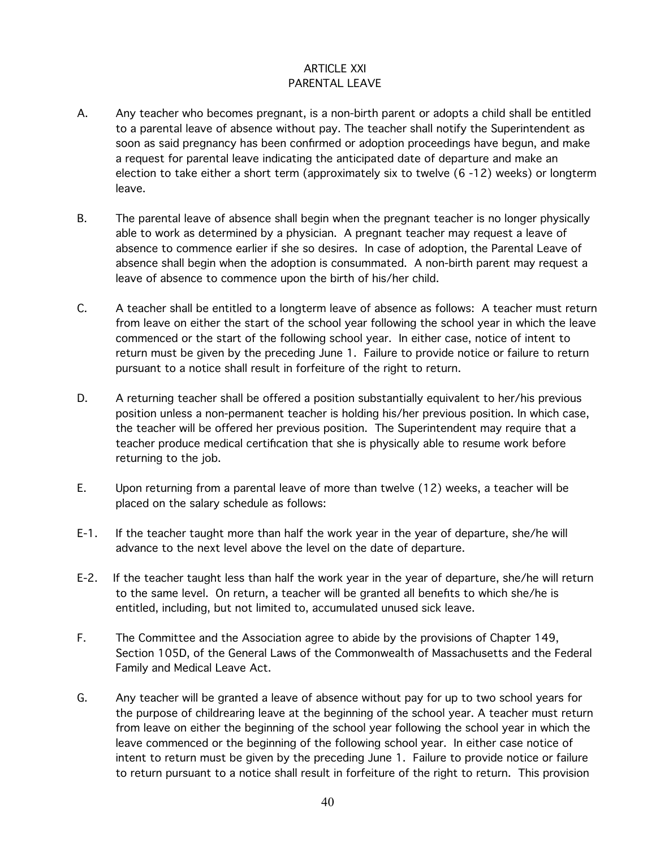#### ARTICLE XXI PARENTAL LEAVE

- A. Any teacher who becomes pregnant, is a non-birth parent or adopts a child shall be entitled to a parental leave of absence without pay. The teacher shall notify the Superintendent as soon as said pregnancy has been confirmed or adoption proceedings have begun, and make a request for parental leave indicating the anticipated date of departure and make an election to take either a short term (approximately six to twelve (6 -12) weeks) or longterm leave.
- B. The parental leave of absence shall begin when the pregnant teacher is no longer physically able to work as determined by a physician. A pregnant teacher may request a leave of absence to commence earlier if she so desires. In case of adoption, the Parental Leave of absence shall begin when the adoption is consummated. A non-birth parent may request a leave of absence to commence upon the birth of his/her child.
- C. A teacher shall be entitled to a longterm leave of absence as follows: A teacher must return from leave on either the start of the school year following the school year in which the leave commenced or the start of the following school year. In either case, notice of intent to return must be given by the preceding June 1. Failure to provide notice or failure to return pursuant to a notice shall result in forfeiture of the right to return.
- D. A returning teacher shall be offered a position substantially equivalent to her/his previous position unless a non-permanent teacher is holding his/her previous position. In which case, the teacher will be offered her previous position. The Superintendent may require that a teacher produce medical certification that she is physically able to resume work before returning to the job.
- E. Upon returning from a parental leave of more than twelve (12) weeks, a teacher will be placed on the salary schedule as follows:
- E-1. If the teacher taught more than half the work year in the year of departure, she/he will advance to the next level above the level on the date of departure.
- E-2. If the teacher taught less than half the work year in the year of departure, she/he will return to the same level. On return, a teacher will be granted all benefits to which she/he is entitled, including, but not limited to, accumulated unused sick leave.
- F. The Committee and the Association agree to abide by the provisions of Chapter 149, Section 105D, of the General Laws of the Commonwealth of Massachusetts and the Federal Family and Medical Leave Act.
- G. Any teacher will be granted a leave of absence without pay for up to two school years for the purpose of childrearing leave at the beginning of the school year. A teacher must return from leave on either the beginning of the school year following the school year in which the leave commenced or the beginning of the following school year. In either case notice of intent to return must be given by the preceding June 1. Failure to provide notice or failure to return pursuant to a notice shall result in forfeiture of the right to return. This provision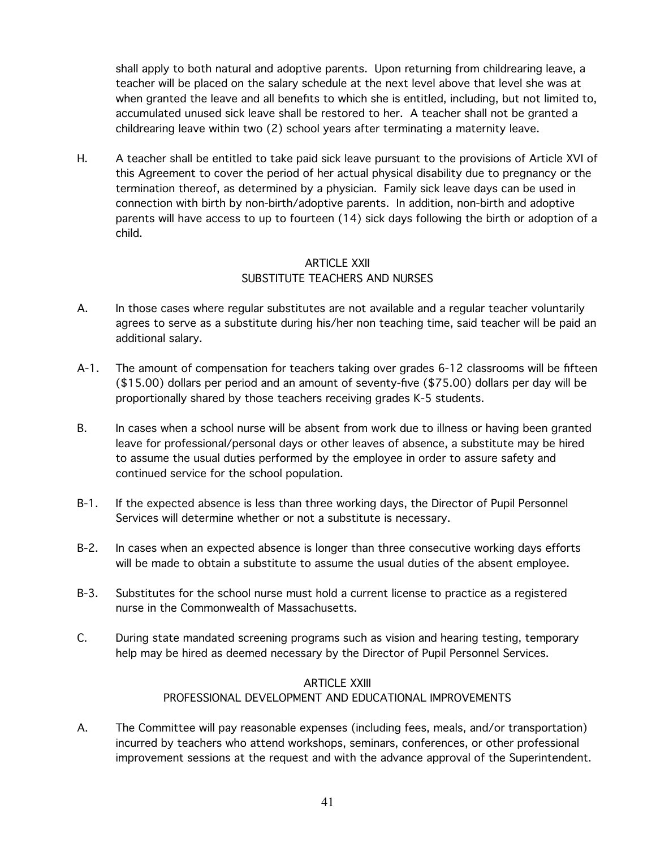shall apply to both natural and adoptive parents. Upon returning from childrearing leave, a teacher will be placed on the salary schedule at the next level above that level she was at when granted the leave and all benefits to which she is entitled, including, but not limited to, accumulated unused sick leave shall be restored to her. A teacher shall not be granted a childrearing leave within two (2) school years after terminating a maternity leave.

H. A teacher shall be entitled to take paid sick leave pursuant to the provisions of Article XVI of this Agreement to cover the period of her actual physical disability due to pregnancy or the termination thereof, as determined by a physician. Family sick leave days can be used in connection with birth by non-birth/adoptive parents. In addition, non-birth and adoptive parents will have access to up to fourteen (14) sick days following the birth or adoption of a child.

#### ARTICLE XXII SUBSTITUTE TEACHERS AND NURSES

- A. In those cases where regular substitutes are not available and a regular teacher voluntarily agrees to serve as a substitute during his/her non teaching time, said teacher will be paid an additional salary.
- A-1. The amount of compensation for teachers taking over grades 6-12 classrooms will be fifteen (\$15.00) dollars per period and an amount of seventy-five (\$75.00) dollars per day will be proportionally shared by those teachers receiving grades K-5 students.
- B. In cases when a school nurse will be absent from work due to illness or having been granted leave for professional/personal days or other leaves of absence, a substitute may be hired to assume the usual duties performed by the employee in order to assure safety and continued service for the school population.
- B-1. If the expected absence is less than three working days, the Director of Pupil Personnel Services will determine whether or not a substitute is necessary.
- B-2. In cases when an expected absence is longer than three consecutive working days efforts will be made to obtain a substitute to assume the usual duties of the absent employee.
- B-3. Substitutes for the school nurse must hold a current license to practice as a registered nurse in the Commonwealth of Massachusetts.
- C. During state mandated screening programs such as vision and hearing testing, temporary help may be hired as deemed necessary by the Director of Pupil Personnel Services.

## ARTICLE XXIII PROFESSIONAL DEVELOPMENT AND EDUCATIONAL IMPROVEMENTS

A. The Committee will pay reasonable expenses (including fees, meals, and/or transportation) incurred by teachers who attend workshops, seminars, conferences, or other professional improvement sessions at the request and with the advance approval of the Superintendent.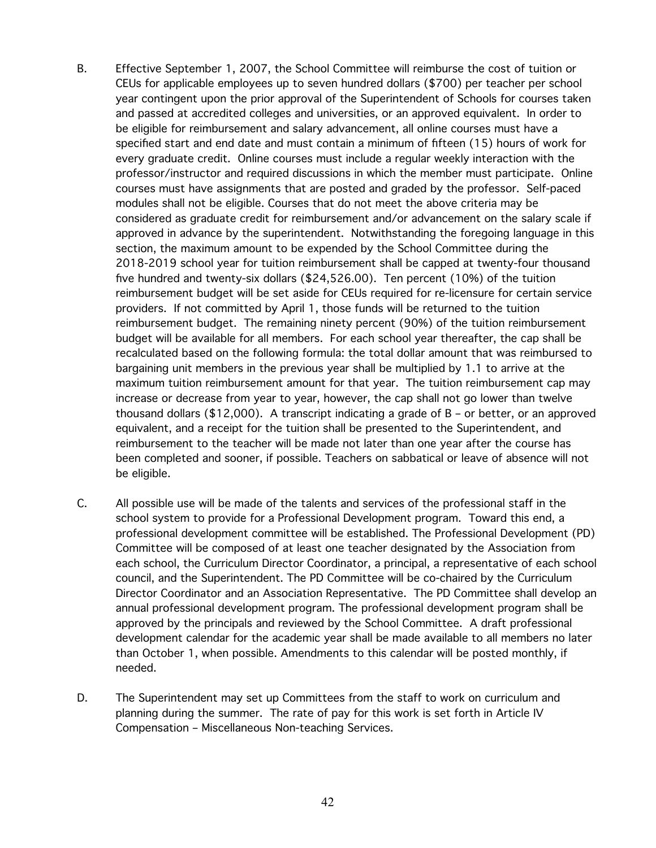- B. Effective September 1, 2007, the School Committee will reimburse the cost of tuition or CEUs for applicable employees up to seven hundred dollars (\$700) per teacher per school year contingent upon the prior approval of the Superintendent of Schools for courses taken and passed at accredited colleges and universities, or an approved equivalent. In order to be eligible for reimbursement and salary advancement, all online courses must have a specified start and end date and must contain a minimum of fifteen (15) hours of work for every graduate credit. Online courses must include a regular weekly interaction with the professor/instructor and required discussions in which the member must participate. Online courses must have assignments that are posted and graded by the professor. Self-paced modules shall not be eligible. Courses that do not meet the above criteria may be considered as graduate credit for reimbursement and/or advancement on the salary scale if approved in advance by the superintendent. Notwithstanding the foregoing language in this section, the maximum amount to be expended by the School Committee during the 2018-2019 school year for tuition reimbursement shall be capped at twenty-four thousand five hundred and twenty-six dollars (\$24,526.00). Ten percent (10%) of the tuition reimbursement budget will be set aside for CEUs required for re-licensure for certain service providers. If not committed by April 1, those funds will be returned to the tuition reimbursement budget. The remaining ninety percent (90%) of the tuition reimbursement budget will be available for all members. For each school year thereafter, the cap shall be recalculated based on the following formula: the total dollar amount that was reimbursed to bargaining unit members in the previous year shall be multiplied by 1.1 to arrive at the maximum tuition reimbursement amount for that year. The tuition reimbursement cap may increase or decrease from year to year, however, the cap shall not go lower than twelve thousand dollars (\$12,000). A transcript indicating a grade of B – or better, or an approved equivalent, and a receipt for the tuition shall be presented to the Superintendent, and reimbursement to the teacher will be made not later than one year after the course has been completed and sooner, if possible. Teachers on sabbatical or leave of absence will not be eligible.
- C. All possible use will be made of the talents and services of the professional staff in the school system to provide for a Professional Development program. Toward this end, a professional development committee will be established. The Professional Development (PD) Committee will be composed of at least one teacher designated by the Association from each school, the Curriculum Director Coordinator, a principal, a representative of each school council, and the Superintendent. The PD Committee will be co-chaired by the Curriculum Director Coordinator and an Association Representative. The PD Committee shall develop an annual professional development program. The professional development program shall be approved by the principals and reviewed by the School Committee. A draft professional development calendar for the academic year shall be made available to all members no later than October 1, when possible. Amendments to this calendar will be posted monthly, if needed.
- D. The Superintendent may set up Committees from the staff to work on curriculum and planning during the summer. The rate of pay for this work is set forth in Article IV Compensation – Miscellaneous Non-teaching Services.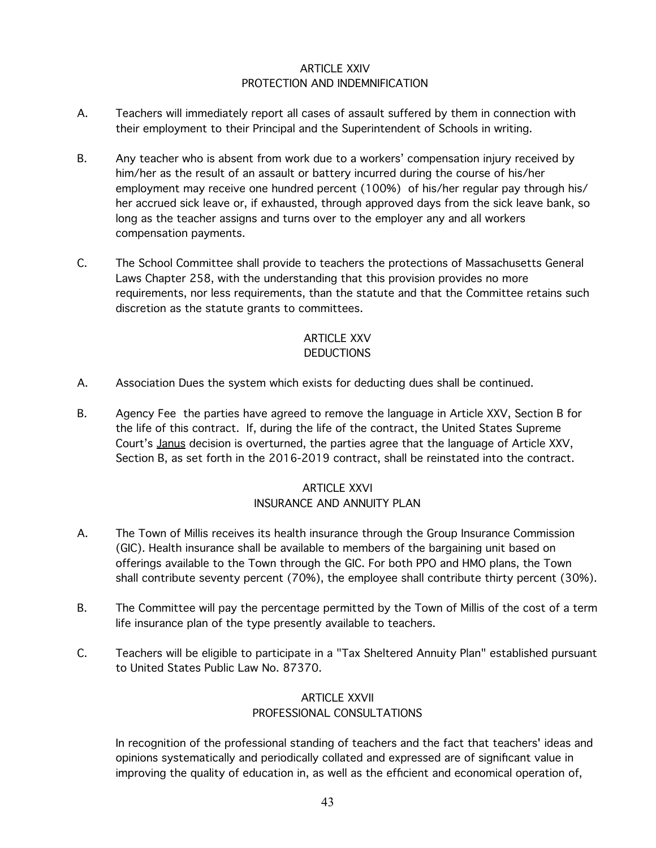### ARTICLE XXIV PROTECTION AND INDEMNIFICATION

- A. Teachers will immediately report all cases of assault suffered by them in connection with their employment to their Principal and the Superintendent of Schools in writing.
- B. Any teacher who is absent from work due to a workers' compensation injury received by him/her as the result of an assault or battery incurred during the course of his/her employment may receive one hundred percent (100%) of his/her regular pay through his/ her accrued sick leave or, if exhausted, through approved days from the sick leave bank, so long as the teacher assigns and turns over to the employer any and all workers compensation payments.
- C. The School Committee shall provide to teachers the protections of Massachusetts General Laws Chapter 258, with the understanding that this provision provides no more requirements, nor less requirements, than the statute and that the Committee retains such discretion as the statute grants to committees.

#### ARTICLE XXV **DEDUCTIONS**

- A. Association Dues the system which exists for deducting dues shall be continued.
- B. Agency Fee the parties have agreed to remove the language in Article XXV, Section B for the life of this contract. If, during the life of the contract, the United States Supreme Court's Janus decision is overturned, the parties agree that the language of Article XXV, Section B, as set forth in the 2016-2019 contract, shall be reinstated into the contract.

#### ARTICLE XXVI INSURANCE AND ANNUITY PLAN

- A. The Town of Millis receives its health insurance through the Group Insurance Commission (GIC). Health insurance shall be available to members of the bargaining unit based on offerings available to the Town through the GIC. For both PPO and HMO plans, the Town shall contribute seventy percent (70%), the employee shall contribute thirty percent (30%).
- B. The Committee will pay the percentage permitted by the Town of Millis of the cost of a term life insurance plan of the type presently available to teachers.
- C. Teachers will be eligible to participate in a "Tax Sheltered Annuity Plan" established pursuant to United States Public Law No. 87370.

# ARTICLE XXVII PROFESSIONAL CONSULTATIONS

In recognition of the professional standing of teachers and the fact that teachers' ideas and opinions systematically and periodically collated and expressed are of significant value in improving the quality of education in, as well as the efficient and economical operation of,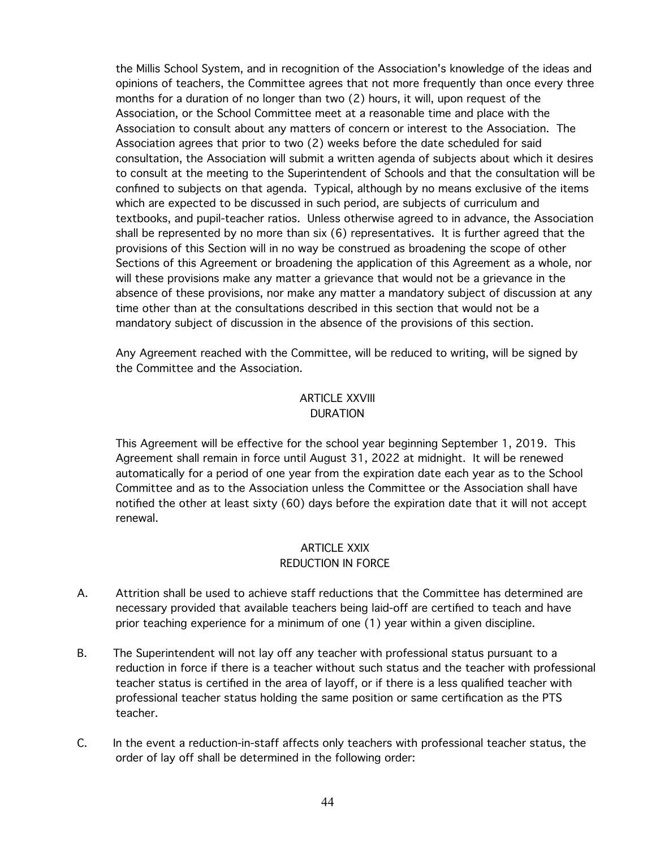the Millis School System, and in recognition of the Association's knowledge of the ideas and opinions of teachers, the Committee agrees that not more frequently than once every three months for a duration of no longer than two (2) hours, it will, upon request of the Association, or the School Committee meet at a reasonable time and place with the Association to consult about any matters of concern or interest to the Association. The Association agrees that prior to two (2) weeks before the date scheduled for said consultation, the Association will submit a written agenda of subjects about which it desires to consult at the meeting to the Superintendent of Schools and that the consultation will be confined to subjects on that agenda. Typical, although by no means exclusive of the items which are expected to be discussed in such period, are subjects of curriculum and textbooks, and pupil-teacher ratios. Unless otherwise agreed to in advance, the Association shall be represented by no more than six (6) representatives. It is further agreed that the provisions of this Section will in no way be construed as broadening the scope of other Sections of this Agreement or broadening the application of this Agreement as a whole, nor will these provisions make any matter a grievance that would not be a grievance in the absence of these provisions, nor make any matter a mandatory subject of discussion at any time other than at the consultations described in this section that would not be a mandatory subject of discussion in the absence of the provisions of this section.

Any Agreement reached with the Committee, will be reduced to writing, will be signed by the Committee and the Association.

### ARTICLE XXVIII DURATION

This Agreement will be effective for the school year beginning September 1, 2019. This Agreement shall remain in force until August 31, 2022 at midnight. It will be renewed automatically for a period of one year from the expiration date each year as to the School Committee and as to the Association unless the Committee or the Association shall have notified the other at least sixty (60) days before the expiration date that it will not accept renewal.

#### ARTICLE XXIX REDUCTION IN FORCE

- A. Attrition shall be used to achieve staff reductions that the Committee has determined are necessary provided that available teachers being laid-off are certified to teach and have prior teaching experience for a minimum of one (1) year within a given discipline.
- B. The Superintendent will not lay off any teacher with professional status pursuant to a reduction in force if there is a teacher without such status and the teacher with professional teacher status is certified in the area of layoff, or if there is a less qualified teacher with professional teacher status holding the same position or same certification as the PTS teacher.
- C. In the event a reduction-in-staff affects only teachers with professional teacher status, the order of lay off shall be determined in the following order: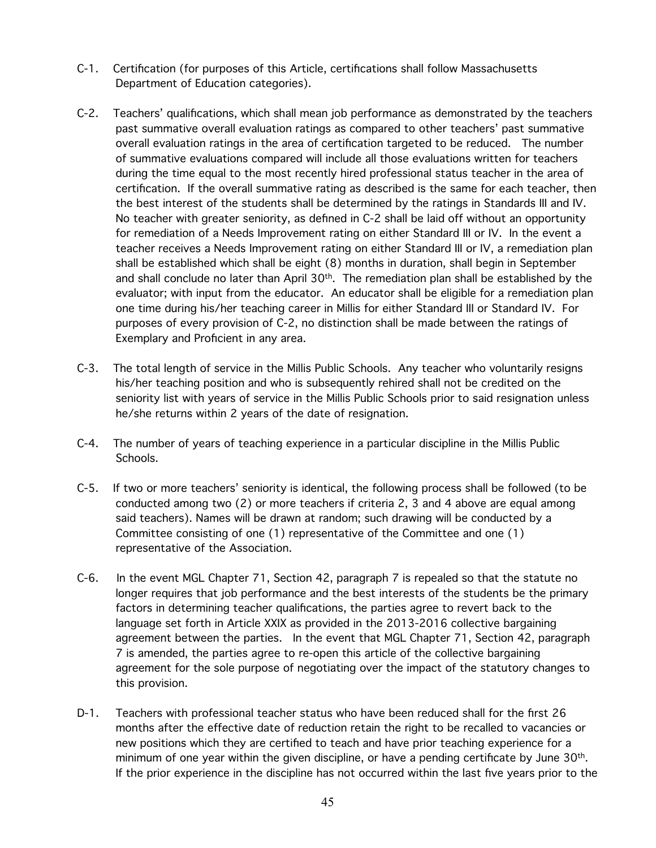- C-1. Certification (for purposes of this Article, certifications shall follow Massachusetts Department of Education categories).
- C-2. Teachers' qualifications, which shall mean job performance as demonstrated by the teachers past summative overall evaluation ratings as compared to other teachers' past summative overall evaluation ratings in the area of certification targeted to be reduced. The number of summative evaluations compared will include all those evaluations written for teachers during the time equal to the most recently hired professional status teacher in the area of certification. If the overall summative rating as described is the same for each teacher, then the best interest of the students shall be determined by the ratings in Standards III and IV. No teacher with greater seniority, as defined in C-2 shall be laid off without an opportunity for remediation of a Needs Improvement rating on either Standard III or IV. In the event a teacher receives a Needs Improvement rating on either Standard III or IV, a remediation plan shall be established which shall be eight (8) months in duration, shall begin in September and shall conclude no later than April  $30<sup>th</sup>$ . The remediation plan shall be established by the evaluator; with input from the educator. An educator shall be eligible for a remediation plan one time during his/her teaching career in Millis for either Standard III or Standard IV. For purposes of every provision of C-2, no distinction shall be made between the ratings of Exemplary and Proficient in any area.
- C-3. The total length of service in the Millis Public Schools. Any teacher who voluntarily resigns his/her teaching position and who is subsequently rehired shall not be credited on the seniority list with years of service in the Millis Public Schools prior to said resignation unless he/she returns within 2 years of the date of resignation.
- C-4. The number of years of teaching experience in a particular discipline in the Millis Public Schools.
- C-5. If two or more teachers' seniority is identical, the following process shall be followed (to be conducted among two (2) or more teachers if criteria 2, 3 and 4 above are equal among said teachers). Names will be drawn at random; such drawing will be conducted by a Committee consisting of one (1) representative of the Committee and one (1) representative of the Association.
- C-6. In the event MGL Chapter 71, Section 42, paragraph 7 is repealed so that the statute no longer requires that job performance and the best interests of the students be the primary factors in determining teacher qualifications, the parties agree to revert back to the language set forth in Article XXIX as provided in the 2013-2016 collective bargaining agreement between the parties. In the event that MGL Chapter 71, Section 42, paragraph 7 is amended, the parties agree to re-open this article of the collective bargaining agreement for the sole purpose of negotiating over the impact of the statutory changes to this provision.
- D-1. Teachers with professional teacher status who have been reduced shall for the first 26 months after the effective date of reduction retain the right to be recalled to vacancies or new positions which they are certified to teach and have prior teaching experience for a minimum of one year within the given discipline, or have a pending certificate by June  $30<sup>th</sup>$ . If the prior experience in the discipline has not occurred within the last five years prior to the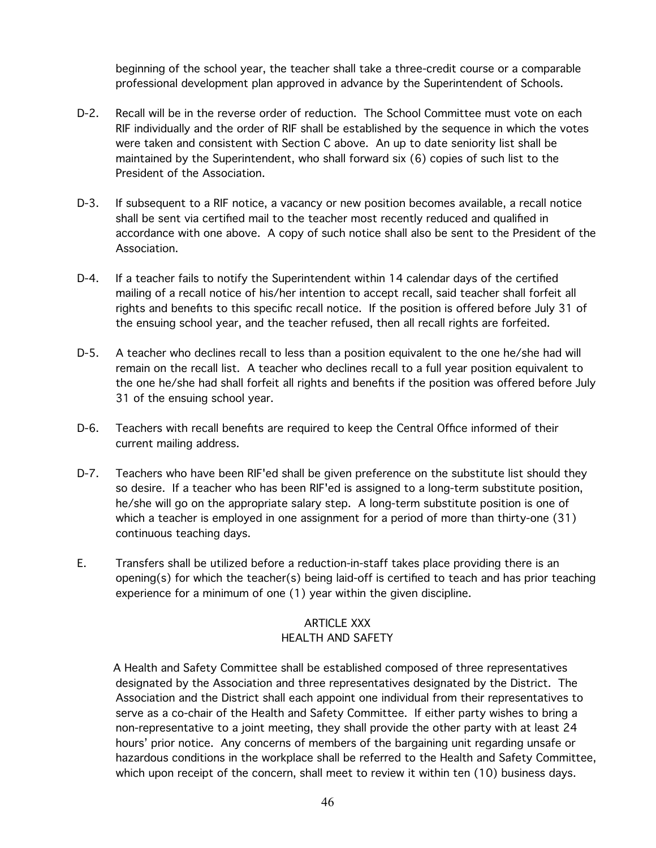beginning of the school year, the teacher shall take a three-credit course or a comparable professional development plan approved in advance by the Superintendent of Schools.

- D-2. Recall will be in the reverse order of reduction. The School Committee must vote on each RIF individually and the order of RIF shall be established by the sequence in which the votes were taken and consistent with Section C above. An up to date seniority list shall be maintained by the Superintendent, who shall forward six (6) copies of such list to the President of the Association.
- D-3. If subsequent to a RIF notice, a vacancy or new position becomes available, a recall notice shall be sent via certified mail to the teacher most recently reduced and qualified in accordance with one above. A copy of such notice shall also be sent to the President of the Association.
- D-4. If a teacher fails to notify the Superintendent within 14 calendar days of the certified mailing of a recall notice of his/her intention to accept recall, said teacher shall forfeit all rights and benefits to this specific recall notice. If the position is offered before July 31 of the ensuing school year, and the teacher refused, then all recall rights are forfeited.
- D-5. A teacher who declines recall to less than a position equivalent to the one he/she had will remain on the recall list. A teacher who declines recall to a full year position equivalent to the one he/she had shall forfeit all rights and benefits if the position was offered before July 31 of the ensuing school year.
- D-6. Teachers with recall benefits are required to keep the Central Office informed of their current mailing address.
- D-7. Teachers who have been RIF'ed shall be given preference on the substitute list should they so desire. If a teacher who has been RIF'ed is assigned to a long-term substitute position, he/she will go on the appropriate salary step. A long-term substitute position is one of which a teacher is employed in one assignment for a period of more than thirty-one (31) continuous teaching days.
- E. Transfers shall be utilized before a reduction-in-staff takes place providing there is an opening(s) for which the teacher(s) being laid-off is certified to teach and has prior teaching experience for a minimum of one (1) year within the given discipline.

#### ARTICLE XXX HEALTH AND SAFETY

A Health and Safety Committee shall be established composed of three representatives designated by the Association and three representatives designated by the District. The Association and the District shall each appoint one individual from their representatives to serve as a co-chair of the Health and Safety Committee. If either party wishes to bring a non-representative to a joint meeting, they shall provide the other party with at least 24 hours' prior notice. Any concerns of members of the bargaining unit regarding unsafe or hazardous conditions in the workplace shall be referred to the Health and Safety Committee, which upon receipt of the concern, shall meet to review it within ten (10) business days.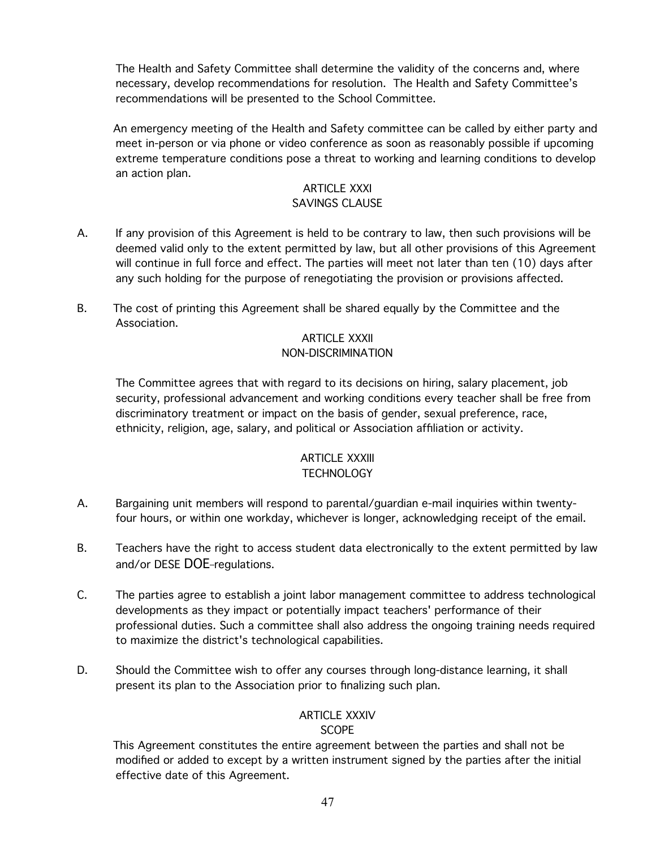The Health and Safety Committee shall determine the validity of the concerns and, where necessary, develop recommendations for resolution. The Health and Safety Committee's recommendations will be presented to the School Committee.

An emergency meeting of the Health and Safety committee can be called by either party and meet in-person or via phone or video conference as soon as reasonably possible if upcoming extreme temperature conditions pose a threat to working and learning conditions to develop an action plan.

#### ARTICLE XXXI SAVINGS CLAUSE

- A. If any provision of this Agreement is held to be contrary to law, then such provisions will be deemed valid only to the extent permitted by law, but all other provisions of this Agreement will continue in full force and effect. The parties will meet not later than ten (10) days after any such holding for the purpose of renegotiating the provision or provisions affected.
- B. The cost of printing this Agreement shall be shared equally by the Committee and the Association.

#### ARTICLE XXXII NON-DISCRIMINATION

The Committee agrees that with regard to its decisions on hiring, salary placement, job security, professional advancement and working conditions every teacher shall be free from discriminatory treatment or impact on the basis of gender, sexual preference, race, ethnicity, religion, age, salary, and political or Association affiliation or activity.

#### ARTICLE XXXIII **TECHNOLOGY**

- A. Bargaining unit members will respond to parental/guardian e-mail inquiries within twentyfour hours, or within one workday, whichever is longer, acknowledging receipt of the email.
- B. Teachers have the right to access student data electronically to the extent permitted by law and/or DESE DOE-regulations.
- C. The parties agree to establish a joint labor management committee to address technological developments as they impact or potentially impact teachers' performance of their professional duties. Such a committee shall also address the ongoing training needs required to maximize the district's technological capabilities.
- D. Should the Committee wish to offer any courses through long-distance learning, it shall present its plan to the Association prior to finalizing such plan.

#### ARTICLE XXXIV **SCOPE**

This Agreement constitutes the entire agreement between the parties and shall not be modified or added to except by a written instrument signed by the parties after the initial effective date of this Agreement.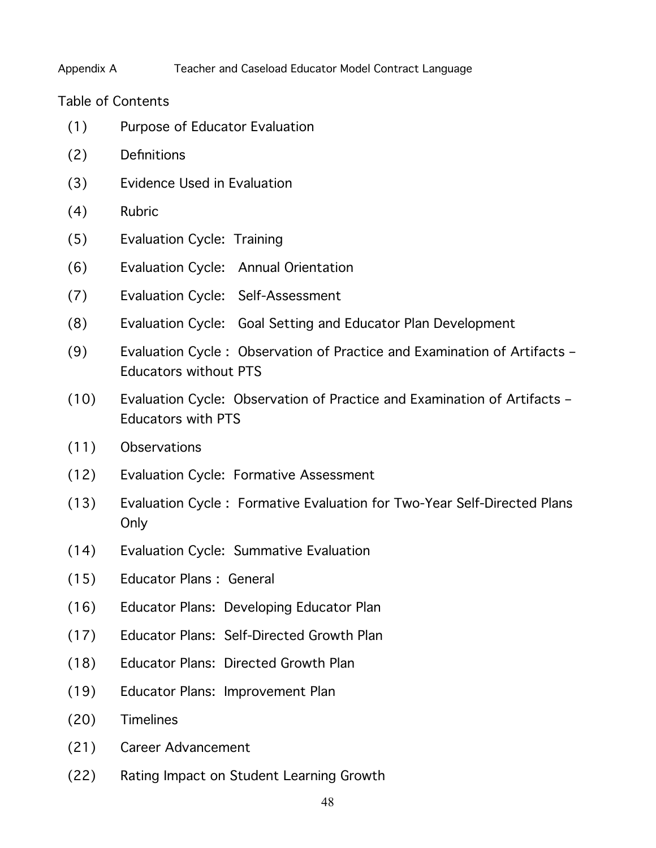# Appendix A Teacher and Caseload Educator Model Contract Language

Table of Contents

- (1) Purpose of Educator Evaluation
- (2) Definitions
- (3) Evidence Used in Evaluation
- (4) Rubric
- (5) Evaluation Cycle: Training
- (6) Evaluation Cycle: Annual Orientation
- (7) Evaluation Cycle: Self-Assessment
- (8) Evaluation Cycle: Goal Setting and Educator Plan Development
- (9) Evaluation Cycle : Observation of Practice and Examination of Artifacts Educators without PTS
- (10) Evaluation Cycle: Observation of Practice and Examination of Artifacts Educators with PTS
- (11) Observations
- (12) Evaluation Cycle: Formative Assessment
- (13) Evaluation Cycle : Formative Evaluation for Two-Year Self-Directed Plans Only
- (14) Evaluation Cycle: Summative Evaluation
- (15) Educator Plans : General
- (16) Educator Plans: Developing Educator Plan
- (17) Educator Plans: Self-Directed Growth Plan
- (18) Educator Plans: Directed Growth Plan
- (19) Educator Plans: Improvement Plan
- (20) Timelines
- (21) Career Advancement
- (22) Rating Impact on Student Learning Growth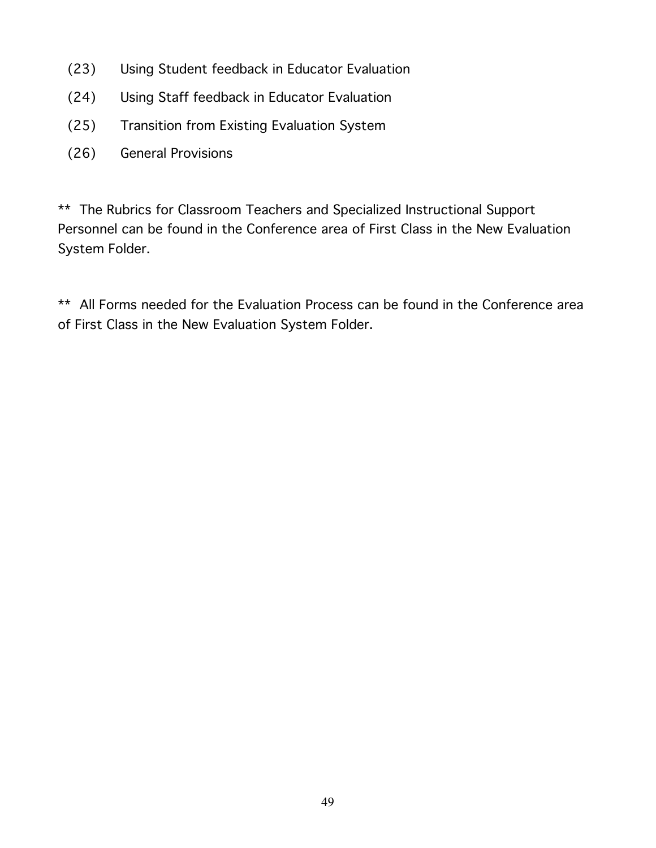- (23) Using Student feedback in Educator Evaluation
- (24) Using Staff feedback in Educator Evaluation
- (25) Transition from Existing Evaluation System
- (26) General Provisions

\*\* The Rubrics for Classroom Teachers and Specialized Instructional Support Personnel can be found in the Conference area of First Class in the New Evaluation System Folder.

\*\* All Forms needed for the Evaluation Process can be found in the Conference area of First Class in the New Evaluation System Folder.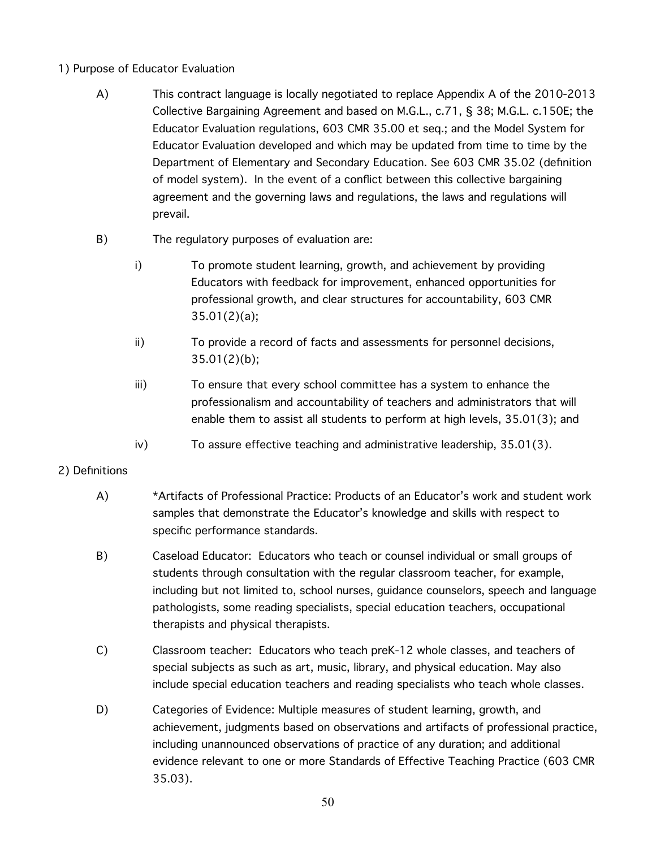- 1) Purpose of Educator Evaluation
	- A) This contract language is locally negotiated to replace Appendix A of the 2010-2013 Collective Bargaining Agreement and based on M.G.L., c.71, § 38; M.G.L. c.150E; the Educator Evaluation regulations, 603 CMR 35.00 et seq.; and the Model System for Educator Evaluation developed and which may be updated from time to time by the Department of Elementary and Secondary Education. See 603 CMR 35.02 (definition of model system). In the event of a conflict between this collective bargaining agreement and the governing laws and regulations, the laws and regulations will prevail.
	- B) The regulatory purposes of evaluation are:
		- i) To promote student learning, growth, and achievement by providing Educators with feedback for improvement, enhanced opportunities for professional growth, and clear structures for accountability, 603 CMR 35.01(2)(a);
		- ii) To provide a record of facts and assessments for personnel decisions, 35.01(2)(b);
		- iii) To ensure that every school committee has a system to enhance the professionalism and accountability of teachers and administrators that will enable them to assist all students to perform at high levels, 35.01(3); and
		- iv) To assure effective teaching and administrative leadership, 35.01(3).

# 2) Definitions

- A) \*Artifacts of Professional Practice: Products of an Educator's work and student work samples that demonstrate the Educator's knowledge and skills with respect to specific performance standards.
- B) Caseload Educator: Educators who teach or counsel individual or small groups of students through consultation with the regular classroom teacher, for example, including but not limited to, school nurses, guidance counselors, speech and language pathologists, some reading specialists, special education teachers, occupational therapists and physical therapists.
- C) Classroom teacher: Educators who teach preK-12 whole classes, and teachers of special subjects as such as art, music, library, and physical education. May also include special education teachers and reading specialists who teach whole classes.
- D) Categories of Evidence: Multiple measures of student learning, growth, and achievement, judgments based on observations and artifacts of professional practice, including unannounced observations of practice of any duration; and additional evidence relevant to one or more Standards of Effective Teaching Practice (603 CMR 35.03).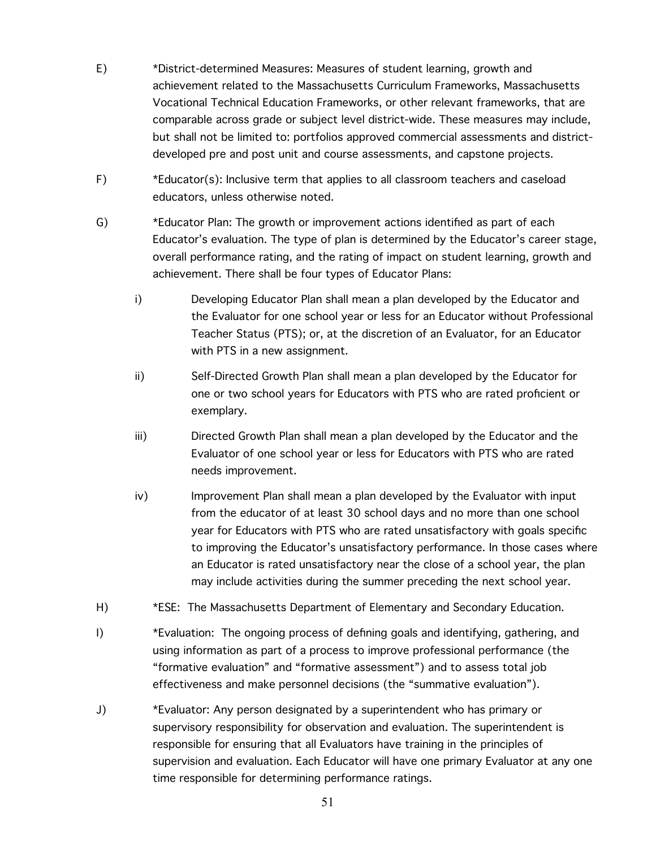- E) \*District-determined Measures: Measures of student learning, growth and achievement related to the Massachusetts Curriculum Frameworks, Massachusetts Vocational Technical Education Frameworks, or other relevant frameworks, that are comparable across grade or subject level district-wide. These measures may include, but shall not be limited to: portfolios approved commercial assessments and districtdeveloped pre and post unit and course assessments, and capstone projects.
- F) \*Educator(s): Inclusive term that applies to all classroom teachers and caseload educators, unless otherwise noted.
- G) \*Educator Plan: The growth or improvement actions identified as part of each Educator's evaluation. The type of plan is determined by the Educator's career stage, overall performance rating, and the rating of impact on student learning, growth and achievement. There shall be four types of Educator Plans:
	- i) Developing Educator Plan shall mean a plan developed by the Educator and the Evaluator for one school year or less for an Educator without Professional Teacher Status (PTS); or, at the discretion of an Evaluator, for an Educator with PTS in a new assignment.
	- ii) Self-Directed Growth Plan shall mean a plan developed by the Educator for one or two school years for Educators with PTS who are rated proficient or exemplary.
	- iii) Directed Growth Plan shall mean a plan developed by the Educator and the Evaluator of one school year or less for Educators with PTS who are rated needs improvement.
	- iv) Improvement Plan shall mean a plan developed by the Evaluator with input from the educator of at least 30 school days and no more than one school year for Educators with PTS who are rated unsatisfactory with goals specific to improving the Educator's unsatisfactory performance. In those cases where an Educator is rated unsatisfactory near the close of a school year, the plan may include activities during the summer preceding the next school year.
- H) \*ESE: The Massachusetts Department of Elementary and Secondary Education.
- I) \*Evaluation: The ongoing process of defining goals and identifying, gathering, and using information as part of a process to improve professional performance (the "formative evaluation" and "formative assessment") and to assess total job effectiveness and make personnel decisions (the "summative evaluation").
- J) \*Evaluator: Any person designated by a superintendent who has primary or supervisory responsibility for observation and evaluation. The superintendent is responsible for ensuring that all Evaluators have training in the principles of supervision and evaluation. Each Educator will have one primary Evaluator at any one time responsible for determining performance ratings.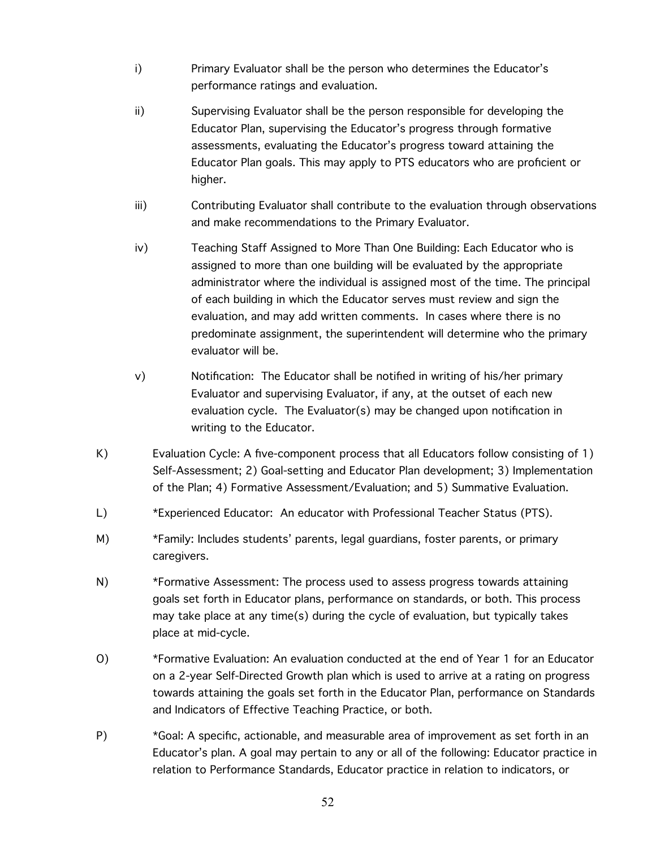- i) Primary Evaluator shall be the person who determines the Educator's performance ratings and evaluation.
- ii) Supervising Evaluator shall be the person responsible for developing the Educator Plan, supervising the Educator's progress through formative assessments, evaluating the Educator's progress toward attaining the Educator Plan goals. This may apply to PTS educators who are proficient or higher.
- iii) Contributing Evaluator shall contribute to the evaluation through observations and make recommendations to the Primary Evaluator.
- iv) Teaching Staff Assigned to More Than One Building: Each Educator who is assigned to more than one building will be evaluated by the appropriate administrator where the individual is assigned most of the time. The principal of each building in which the Educator serves must review and sign the evaluation, and may add written comments. In cases where there is no predominate assignment, the superintendent will determine who the primary evaluator will be.
- v) Notification: The Educator shall be notified in writing of his/her primary Evaluator and supervising Evaluator, if any, at the outset of each new evaluation cycle. The Evaluator(s) may be changed upon notification in writing to the Educator.
- K) Evaluation Cycle: A five-component process that all Educators follow consisting of 1) Self-Assessment; 2) Goal-setting and Educator Plan development; 3) Implementation of the Plan; 4) Formative Assessment/Evaluation; and 5) Summative Evaluation.
- L) \*Experienced Educator: An educator with Professional Teacher Status (PTS).
- M) \*Family: Includes students' parents, legal guardians, foster parents, or primary caregivers.
- N) \*Formative Assessment: The process used to assess progress towards attaining goals set forth in Educator plans, performance on standards, or both. This process may take place at any time(s) during the cycle of evaluation, but typically takes place at mid-cycle.
- O) \*Formative Evaluation: An evaluation conducted at the end of Year 1 for an Educator on a 2-year Self-Directed Growth plan which is used to arrive at a rating on progress towards attaining the goals set forth in the Educator Plan, performance on Standards and Indicators of Effective Teaching Practice, or both.
- P) \*Goal: A specific, actionable, and measurable area of improvement as set forth in an Educator's plan. A goal may pertain to any or all of the following: Educator practice in relation to Performance Standards, Educator practice in relation to indicators, or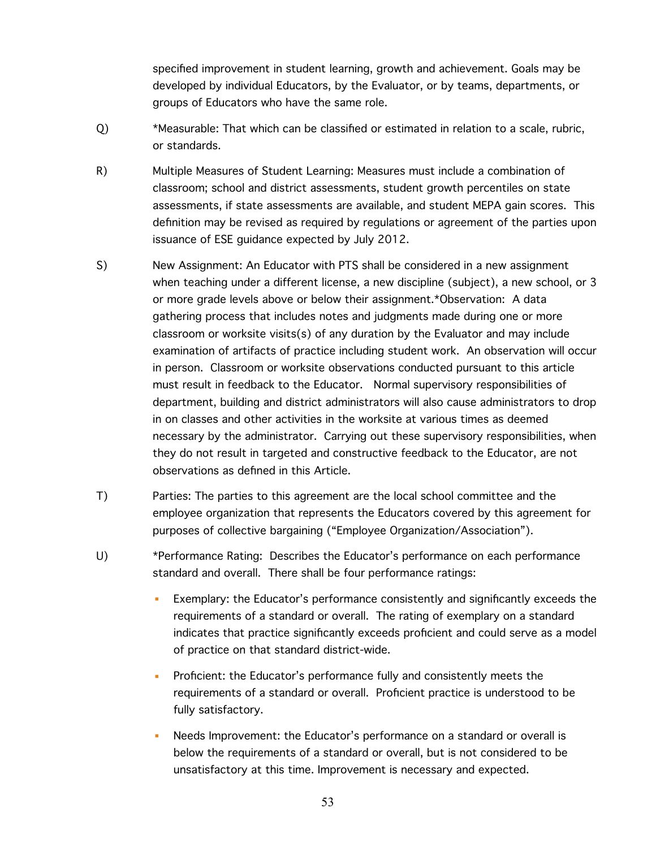specified improvement in student learning, growth and achievement. Goals may be developed by individual Educators, by the Evaluator, or by teams, departments, or groups of Educators who have the same role.

- Q) \*Measurable: That which can be classified or estimated in relation to a scale, rubric, or standards.
- R) Multiple Measures of Student Learning: Measures must include a combination of classroom; school and district assessments, student growth percentiles on state assessments, if state assessments are available, and student MEPA gain scores. This definition may be revised as required by regulations or agreement of the parties upon issuance of ESE guidance expected by July 2012.
- S) New Assignment: An Educator with PTS shall be considered in a new assignment when teaching under a different license, a new discipline (subject), a new school, or 3 or more grade levels above or below their assignment.\*Observation: A data gathering process that includes notes and judgments made during one or more classroom or worksite visits(s) of any duration by the Evaluator and may include examination of artifacts of practice including student work. An observation will occur in person. Classroom or worksite observations conducted pursuant to this article must result in feedback to the Educator. Normal supervisory responsibilities of department, building and district administrators will also cause administrators to drop in on classes and other activities in the worksite at various times as deemed necessary by the administrator. Carrying out these supervisory responsibilities, when they do not result in targeted and constructive feedback to the Educator, are not observations as defined in this Article.
- T) Parties: The parties to this agreement are the local school committee and the employee organization that represents the Educators covered by this agreement for purposes of collective bargaining ("Employee Organization/Association").
- U) \*Performance Rating: Describes the Educator's performance on each performance standard and overall. There shall be four performance ratings:
	- Exemplary: the Educator's performance consistently and significantly exceeds the requirements of a standard or overall. The rating of exemplary on a standard indicates that practice significantly exceeds proficient and could serve as a model of practice on that standard district-wide.
	- Proficient: the Educator's performance fully and consistently meets the requirements of a standard or overall. Proficient practice is understood to be fully satisfactory.
	- Needs Improvement: the Educator's performance on a standard or overall is below the requirements of a standard or overall, but is not considered to be unsatisfactory at this time. Improvement is necessary and expected.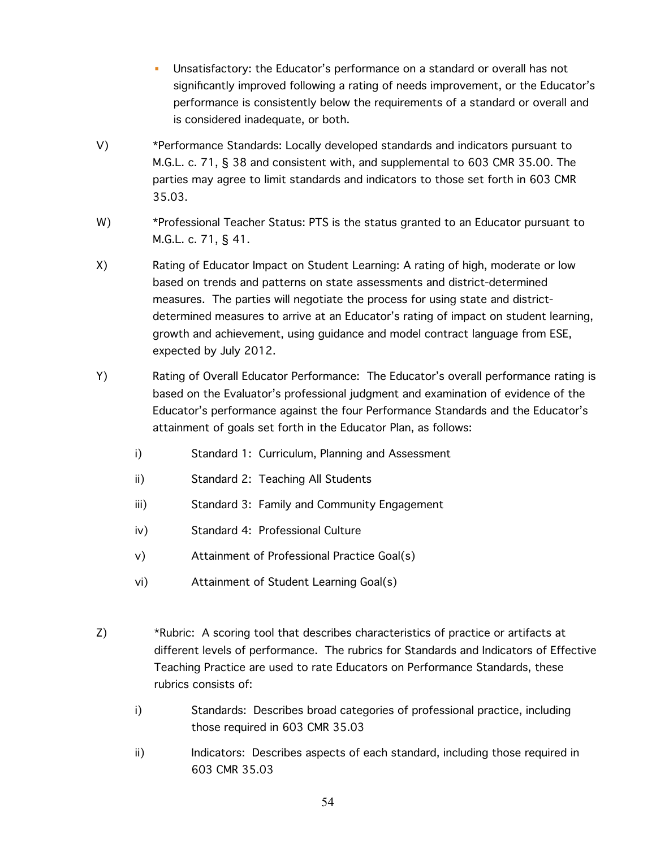- Unsatisfactory: the Educator's performance on a standard or overall has not significantly improved following a rating of needs improvement, or the Educator's performance is consistently below the requirements of a standard or overall and is considered inadequate, or both.
- V) \*Performance Standards: Locally developed standards and indicators pursuant to M.G.L. c. 71, § 38 and consistent with, and supplemental to 603 CMR 35.00. The parties may agree to limit standards and indicators to those set forth in 603 CMR 35.03.
- W) \*Professional Teacher Status: PTS is the status granted to an Educator pursuant to M.G.L. c. 71, § 41.
- X) Rating of Educator Impact on Student Learning: A rating of high, moderate or low based on trends and patterns on state assessments and district-determined measures. The parties will negotiate the process for using state and districtdetermined measures to arrive at an Educator's rating of impact on student learning, growth and achievement, using guidance and model contract language from ESE, expected by July 2012.
- Y) Rating of Overall Educator Performance: The Educator's overall performance rating is based on the Evaluator's professional judgment and examination of evidence of the Educator's performance against the four Performance Standards and the Educator's attainment of goals set forth in the Educator Plan, as follows:
	- i) Standard 1: Curriculum, Planning and Assessment
	- ii) Standard 2: Teaching All Students
	- iii) Standard 3: Family and Community Engagement
	- iv) Standard 4: Professional Culture
	- v) Attainment of Professional Practice Goal(s)
	- vi) Attainment of Student Learning Goal(s)
- Z) \*Rubric: A scoring tool that describes characteristics of practice or artifacts at different levels of performance. The rubrics for Standards and Indicators of Effective Teaching Practice are used to rate Educators on Performance Standards, these rubrics consists of:
	- i) Standards: Describes broad categories of professional practice, including those required in 603 CMR 35.03
	- ii) Indicators: Describes aspects of each standard, including those required in 603 CMR 35.03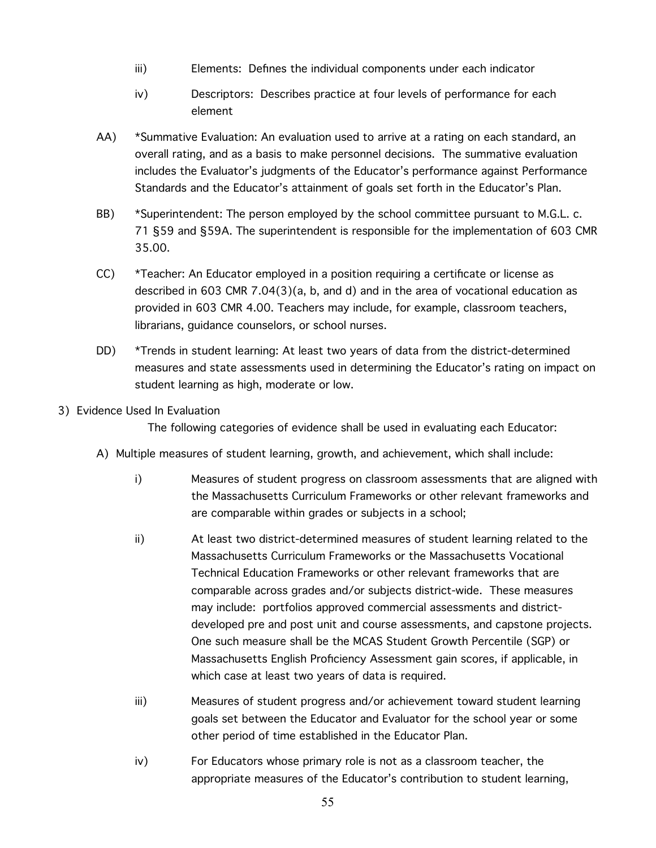- iii) Elements: Defines the individual components under each indicator
- iv) Descriptors: Describes practice at four levels of performance for each element
- AA) \*Summative Evaluation: An evaluation used to arrive at a rating on each standard, an overall rating, and as a basis to make personnel decisions. The summative evaluation includes the Evaluator's judgments of the Educator's performance against Performance Standards and the Educator's attainment of goals set forth in the Educator's Plan.
- BB) \*Superintendent: The person employed by the school committee pursuant to M.G.L. c. 71 §59 and §59A. The superintendent is responsible for the implementation of 603 CMR 35.00.
- CC) \*Teacher: An Educator employed in a position requiring a certificate or license as described in 603 CMR 7.04(3)(a, b, and d) and in the area of vocational education as provided in 603 CMR 4.00. Teachers may include, for example, classroom teachers, librarians, guidance counselors, or school nurses.
- DD) \*Trends in student learning: At least two years of data from the district-determined measures and state assessments used in determining the Educator's rating on impact on student learning as high, moderate or low.

### 3) Evidence Used In Evaluation

The following categories of evidence shall be used in evaluating each Educator:

- A) Multiple measures of student learning, growth, and achievement, which shall include:
	- i) Measures of student progress on classroom assessments that are aligned with the Massachusetts Curriculum Frameworks or other relevant frameworks and are comparable within grades or subjects in a school;
	- ii) At least two district-determined measures of student learning related to the Massachusetts Curriculum Frameworks or the Massachusetts Vocational Technical Education Frameworks or other relevant frameworks that are comparable across grades and/or subjects district-wide. These measures may include: portfolios approved commercial assessments and districtdeveloped pre and post unit and course assessments, and capstone projects. One such measure shall be the MCAS Student Growth Percentile (SGP) or Massachusetts English Proficiency Assessment gain scores, if applicable, in which case at least two years of data is required.
	- iii) Measures of student progress and/or achievement toward student learning goals set between the Educator and Evaluator for the school year or some other period of time established in the Educator Plan.
	- iv) For Educators whose primary role is not as a classroom teacher, the appropriate measures of the Educator's contribution to student learning,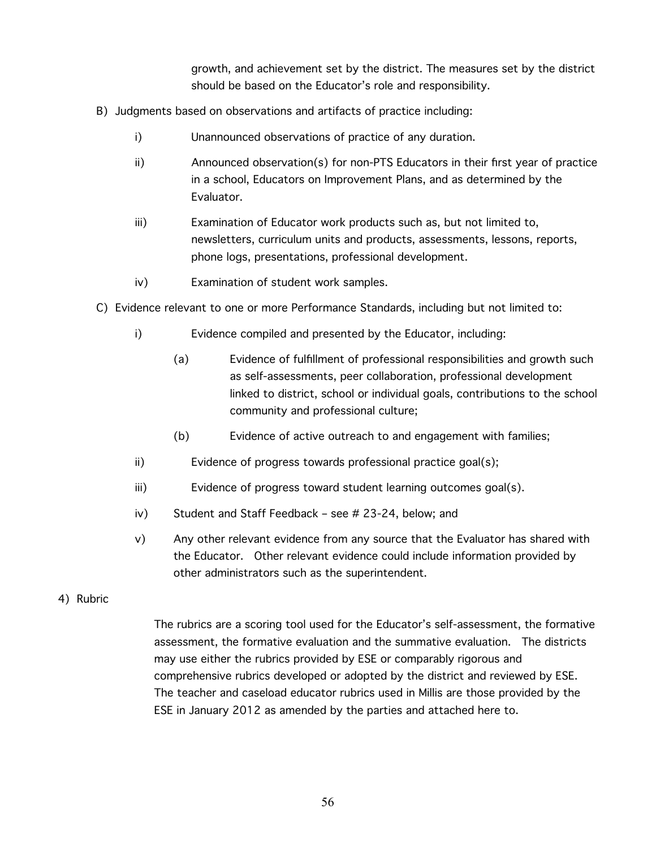growth, and achievement set by the district. The measures set by the district should be based on the Educator's role and responsibility.

- B) Judgments based on observations and artifacts of practice including:
	- i) Unannounced observations of practice of any duration.
	- ii) Announced observation(s) for non-PTS Educators in their first year of practice in a school, Educators on Improvement Plans, and as determined by the Evaluator.
	- iii) Examination of Educator work products such as, but not limited to, newsletters, curriculum units and products, assessments, lessons, reports, phone logs, presentations, professional development.
	- iv) Examination of student work samples.
- C) Evidence relevant to one or more Performance Standards, including but not limited to:
	- i) Evidence compiled and presented by the Educator, including:
		- (a) Evidence of fulfillment of professional responsibilities and growth such as self-assessments, peer collaboration, professional development linked to district, school or individual goals, contributions to the school community and professional culture;
		- (b) Evidence of active outreach to and engagement with families;
	- ii) Evidence of progress towards professional practice goal(s);
	- iii) Evidence of progress toward student learning outcomes goal(s).
	- iv) Student and Staff Feedback see # 23-24, below; and
	- v) Any other relevant evidence from any source that the Evaluator has shared with the Educator. Other relevant evidence could include information provided by other administrators such as the superintendent.
- 4) Rubric

The rubrics are a scoring tool used for the Educator's self-assessment, the formative assessment, the formative evaluation and the summative evaluation. The districts may use either the rubrics provided by ESE or comparably rigorous and comprehensive rubrics developed or adopted by the district and reviewed by ESE. The teacher and caseload educator rubrics used in Millis are those provided by the ESE in January 2012 as amended by the parties and attached here to.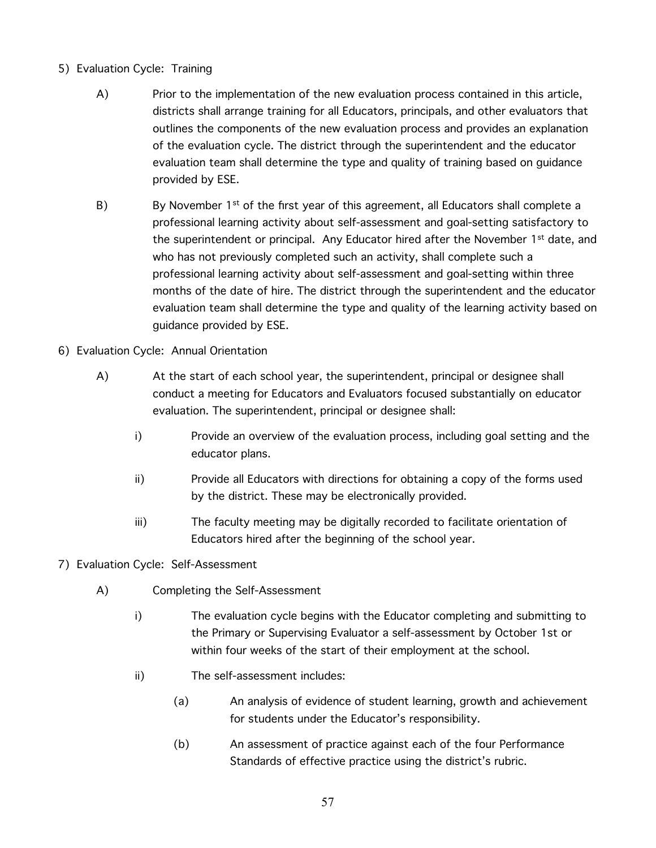- 5) Evaluation Cycle: Training
	- A) Prior to the implementation of the new evaluation process contained in this article, districts shall arrange training for all Educators, principals, and other evaluators that outlines the components of the new evaluation process and provides an explanation of the evaluation cycle. The district through the superintendent and the educator evaluation team shall determine the type and quality of training based on guidance provided by ESE.
	- B) By November 1<sup>st</sup> of the first year of this agreement, all Educators shall complete a professional learning activity about self-assessment and goal-setting satisfactory to the superintendent or principal. Any Educator hired after the November  $1<sup>st</sup>$  date, and who has not previously completed such an activity, shall complete such a professional learning activity about self-assessment and goal-setting within three months of the date of hire. The district through the superintendent and the educator evaluation team shall determine the type and quality of the learning activity based on guidance provided by ESE.
- 6) Evaluation Cycle: Annual Orientation
	- A) At the start of each school year, the superintendent, principal or designee shall conduct a meeting for Educators and Evaluators focused substantially on educator evaluation. The superintendent, principal or designee shall:
		- i) Provide an overview of the evaluation process, including goal setting and the educator plans.
		- ii) Provide all Educators with directions for obtaining a copy of the forms used by the district. These may be electronically provided.
		- iii) The faculty meeting may be digitally recorded to facilitate orientation of Educators hired after the beginning of the school year.
- 7) Evaluation Cycle: Self-Assessment
	- A) Completing the Self-Assessment
		- i) The evaluation cycle begins with the Educator completing and submitting to the Primary or Supervising Evaluator a self-assessment by October 1st or within four weeks of the start of their employment at the school.
		- ii) The self-assessment includes:
			- (a) An analysis of evidence of student learning, growth and achievement for students under the Educator's responsibility.
			- (b) An assessment of practice against each of the four Performance Standards of effective practice using the district's rubric.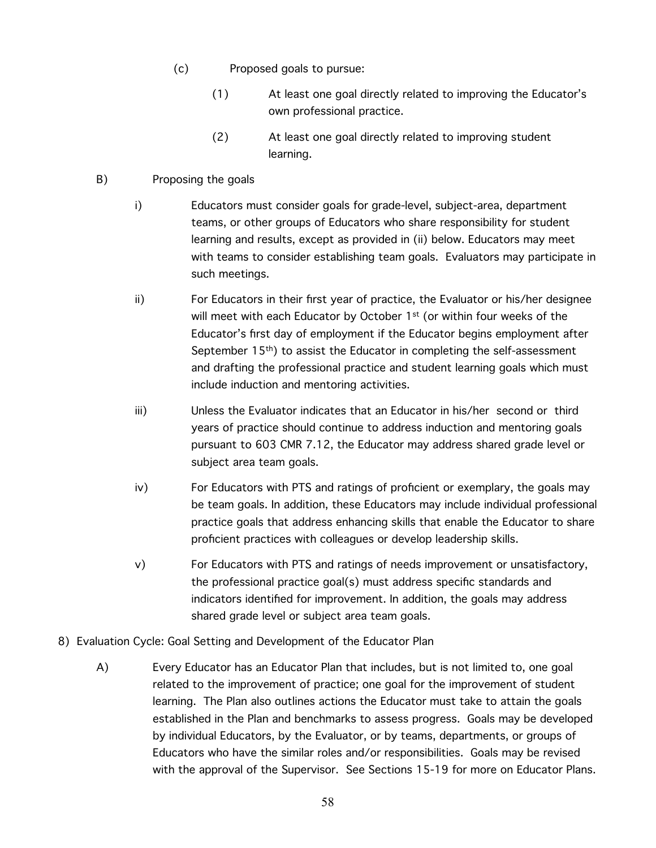- (c) Proposed goals to pursue:
	- (1) At least one goal directly related to improving the Educator's own professional practice.
	- (2) At least one goal directly related to improving student learning.
- B) Proposing the goals
	- i) Educators must consider goals for grade-level, subject-area, department teams, or other groups of Educators who share responsibility for student learning and results, except as provided in (ii) below. Educators may meet with teams to consider establishing team goals. Evaluators may participate in such meetings.
	- ii) For Educators in their first year of practice, the Evaluator or his/her designee will meet with each Educator by October 1<sup>st</sup> (or within four weeks of the Educator's first day of employment if the Educator begins employment after September 15th) to assist the Educator in completing the self-assessment and drafting the professional practice and student learning goals which must include induction and mentoring activities.
	- iii) Unless the Evaluator indicates that an Educator in his/her second or third years of practice should continue to address induction and mentoring goals pursuant to 603 CMR 7.12, the Educator may address shared grade level or subject area team goals.
	- iv) For Educators with PTS and ratings of proficient or exemplary, the goals may be team goals. In addition, these Educators may include individual professional practice goals that address enhancing skills that enable the Educator to share proficient practices with colleagues or develop leadership skills.
	- v) For Educators with PTS and ratings of needs improvement or unsatisfactory, the professional practice goal(s) must address specific standards and indicators identified for improvement. In addition, the goals may address shared grade level or subject area team goals.
- 8) Evaluation Cycle: Goal Setting and Development of the Educator Plan
	- A) Every Educator has an Educator Plan that includes, but is not limited to, one goal related to the improvement of practice; one goal for the improvement of student learning. The Plan also outlines actions the Educator must take to attain the goals established in the Plan and benchmarks to assess progress. Goals may be developed by individual Educators, by the Evaluator, or by teams, departments, or groups of Educators who have the similar roles and/or responsibilities. Goals may be revised with the approval of the Supervisor. See Sections 15-19 for more on Educator Plans.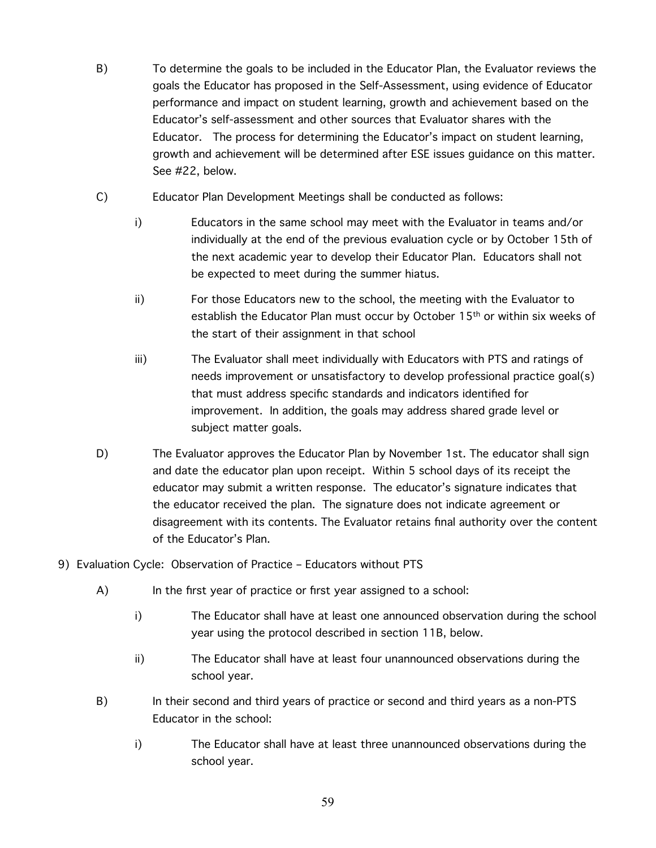- B) To determine the goals to be included in the Educator Plan, the Evaluator reviews the goals the Educator has proposed in the Self-Assessment, using evidence of Educator performance and impact on student learning, growth and achievement based on the Educator's self-assessment and other sources that Evaluator shares with the Educator. The process for determining the Educator's impact on student learning, growth and achievement will be determined after ESE issues guidance on this matter. See #22, below.
- C) Educator Plan Development Meetings shall be conducted as follows:
	- i) Educators in the same school may meet with the Evaluator in teams and/or individually at the end of the previous evaluation cycle or by October 15th of the next academic year to develop their Educator Plan. Educators shall not be expected to meet during the summer hiatus.
	- ii) For those Educators new to the school, the meeting with the Evaluator to establish the Educator Plan must occur by October  $15<sup>th</sup>$  or within six weeks of the start of their assignment in that school
	- iii) The Evaluator shall meet individually with Educators with PTS and ratings of needs improvement or unsatisfactory to develop professional practice goal(s) that must address specific standards and indicators identified for improvement. In addition, the goals may address shared grade level or subject matter goals.
- D) The Evaluator approves the Educator Plan by November 1st. The educator shall sign and date the educator plan upon receipt. Within 5 school days of its receipt the educator may submit a written response. The educator's signature indicates that the educator received the plan. The signature does not indicate agreement or disagreement with its contents. The Evaluator retains final authority over the content of the Educator's Plan.
- 9) Evaluation Cycle: Observation of Practice Educators without PTS
	- A) In the first year of practice or first year assigned to a school:
		- i) The Educator shall have at least one announced observation during the school year using the protocol described in section 11B, below.
		- ii) The Educator shall have at least four unannounced observations during the school year.
	- B) In their second and third years of practice or second and third years as a non-PTS Educator in the school:
		- i) The Educator shall have at least three unannounced observations during the school year.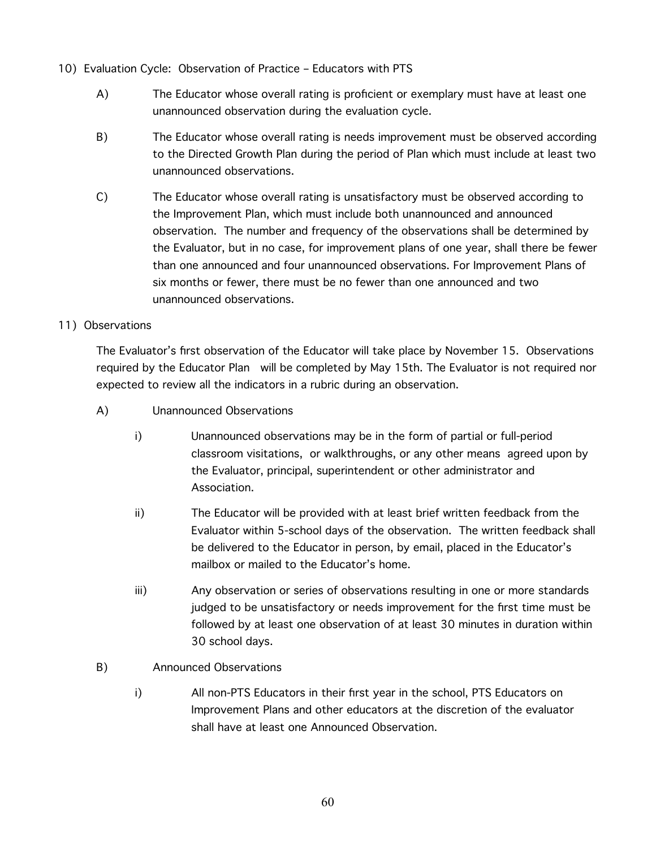- 10) Evaluation Cycle: Observation of Practice Educators with PTS
	- A) The Educator whose overall rating is proficient or exemplary must have at least one unannounced observation during the evaluation cycle.
	- B) The Educator whose overall rating is needs improvement must be observed according to the Directed Growth Plan during the period of Plan which must include at least two unannounced observations.
	- C) The Educator whose overall rating is unsatisfactory must be observed according to the Improvement Plan, which must include both unannounced and announced observation. The number and frequency of the observations shall be determined by the Evaluator, but in no case, for improvement plans of one year, shall there be fewer than one announced and four unannounced observations. For Improvement Plans of six months or fewer, there must be no fewer than one announced and two unannounced observations.
- 11) Observations

The Evaluator's first observation of the Educator will take place by November 15. Observations required by the Educator Plan will be completed by May 15th. The Evaluator is not required nor expected to review all the indicators in a rubric during an observation.

- A) Unannounced Observations
	- i) Unannounced observations may be in the form of partial or full-period classroom visitations, or walkthroughs, or any other means agreed upon by the Evaluator, principal, superintendent or other administrator and Association.
	- ii) The Educator will be provided with at least brief written feedback from the Evaluator within 5-school days of the observation. The written feedback shall be delivered to the Educator in person, by email, placed in the Educator's mailbox or mailed to the Educator's home.
	- iii) Any observation or series of observations resulting in one or more standards judged to be unsatisfactory or needs improvement for the first time must be followed by at least one observation of at least 30 minutes in duration within 30 school days.
- B) Announced Observations
	- i) All non-PTS Educators in their first year in the school, PTS Educators on Improvement Plans and other educators at the discretion of the evaluator shall have at least one Announced Observation.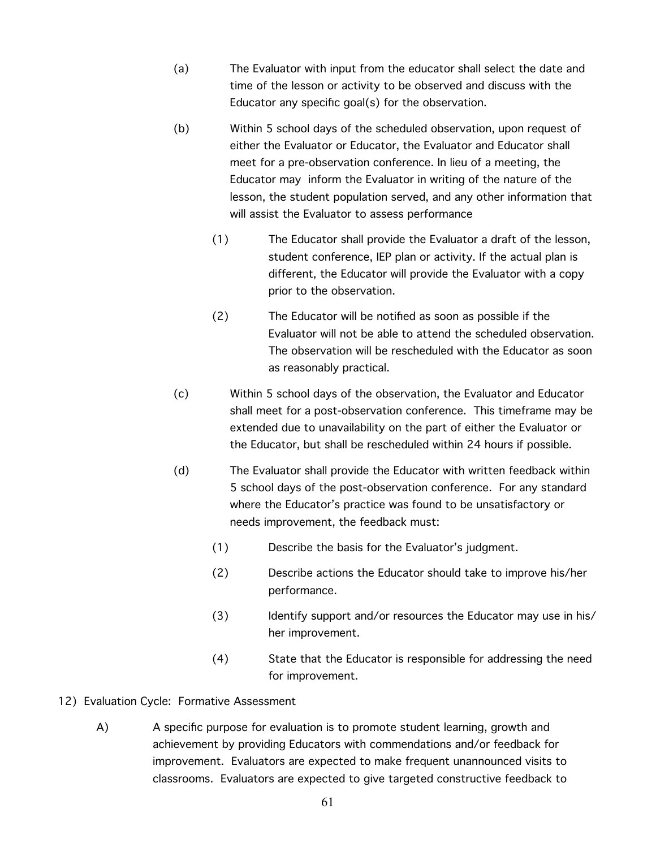- (a) The Evaluator with input from the educator shall select the date and time of the lesson or activity to be observed and discuss with the Educator any specific goal(s) for the observation.
- (b) Within 5 school days of the scheduled observation, upon request of either the Evaluator or Educator, the Evaluator and Educator shall meet for a pre-observation conference. In lieu of a meeting, the Educator may inform the Evaluator in writing of the nature of the lesson, the student population served, and any other information that will assist the Evaluator to assess performance
	- (1) The Educator shall provide the Evaluator a draft of the lesson, student conference, IEP plan or activity. If the actual plan is different, the Educator will provide the Evaluator with a copy prior to the observation.
	- (2) The Educator will be notified as soon as possible if the Evaluator will not be able to attend the scheduled observation. The observation will be rescheduled with the Educator as soon as reasonably practical.
- (c) Within 5 school days of the observation, the Evaluator and Educator shall meet for a post-observation conference. This timeframe may be extended due to unavailability on the part of either the Evaluator or the Educator, but shall be rescheduled within 24 hours if possible.
- (d) The Evaluator shall provide the Educator with written feedback within 5 school days of the post-observation conference. For any standard where the Educator's practice was found to be unsatisfactory or needs improvement, the feedback must:
	- (1) Describe the basis for the Evaluator's judgment.
	- (2) Describe actions the Educator should take to improve his/her performance.
	- (3) Identify support and/or resources the Educator may use in his/ her improvement.
	- (4) State that the Educator is responsible for addressing the need for improvement.
- 12) Evaluation Cycle: Formative Assessment
	- A) A specific purpose for evaluation is to promote student learning, growth and achievement by providing Educators with commendations and/or feedback for improvement. Evaluators are expected to make frequent unannounced visits to classrooms. Evaluators are expected to give targeted constructive feedback to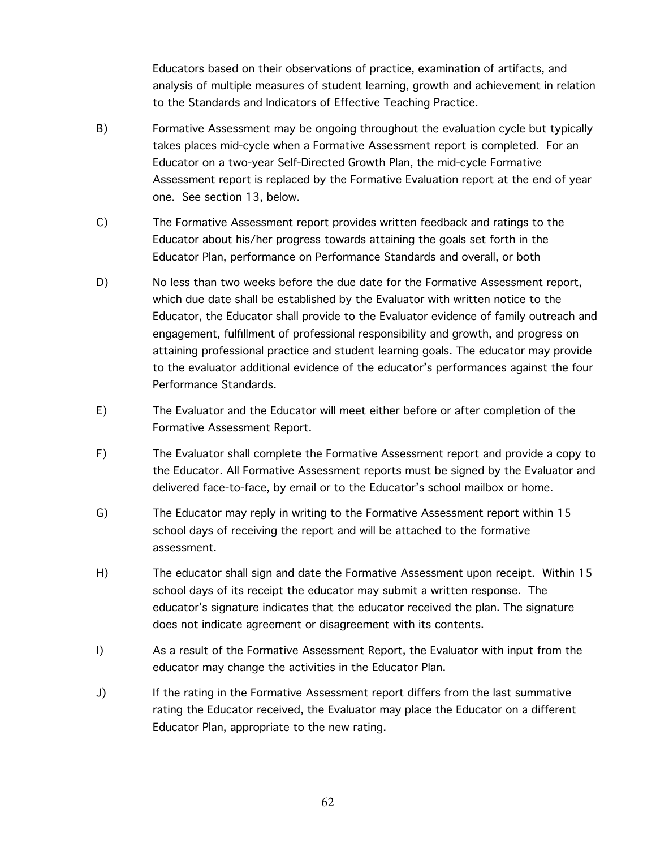Educators based on their observations of practice, examination of artifacts, and analysis of multiple measures of student learning, growth and achievement in relation to the Standards and Indicators of Effective Teaching Practice.

- B) Formative Assessment may be ongoing throughout the evaluation cycle but typically takes places mid-cycle when a Formative Assessment report is completed. For an Educator on a two-year Self-Directed Growth Plan, the mid-cycle Formative Assessment report is replaced by the Formative Evaluation report at the end of year one. See section 13, below.
- C) The Formative Assessment report provides written feedback and ratings to the Educator about his/her progress towards attaining the goals set forth in the Educator Plan, performance on Performance Standards and overall, or both
- D) No less than two weeks before the due date for the Formative Assessment report, which due date shall be established by the Evaluator with written notice to the Educator, the Educator shall provide to the Evaluator evidence of family outreach and engagement, fulfillment of professional responsibility and growth, and progress on attaining professional practice and student learning goals. The educator may provide to the evaluator additional evidence of the educator's performances against the four Performance Standards.
- E) The Evaluator and the Educator will meet either before or after completion of the Formative Assessment Report.
- F) The Evaluator shall complete the Formative Assessment report and provide a copy to the Educator. All Formative Assessment reports must be signed by the Evaluator and delivered face-to-face, by email or to the Educator's school mailbox or home.
- G) The Educator may reply in writing to the Formative Assessment report within 15 school days of receiving the report and will be attached to the formative assessment.
- H) The educator shall sign and date the Formative Assessment upon receipt. Within 15 school days of its receipt the educator may submit a written response. The educator's signature indicates that the educator received the plan. The signature does not indicate agreement or disagreement with its contents.
- I) As a result of the Formative Assessment Report, the Evaluator with input from the educator may change the activities in the Educator Plan.
- J) If the rating in the Formative Assessment report differs from the last summative rating the Educator received, the Evaluator may place the Educator on a different Educator Plan, appropriate to the new rating.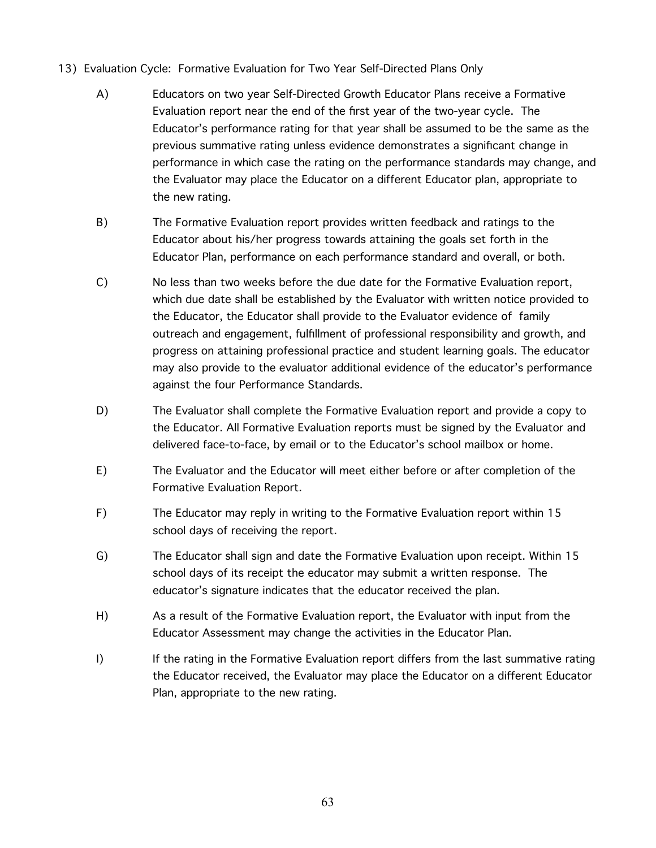- 13) Evaluation Cycle: Formative Evaluation for Two Year Self-Directed Plans Only
	- A) Educators on two year Self-Directed Growth Educator Plans receive a Formative Evaluation report near the end of the first year of the two-year cycle. The Educator's performance rating for that year shall be assumed to be the same as the previous summative rating unless evidence demonstrates a significant change in performance in which case the rating on the performance standards may change, and the Evaluator may place the Educator on a different Educator plan, appropriate to the new rating.
	- B) The Formative Evaluation report provides written feedback and ratings to the Educator about his/her progress towards attaining the goals set forth in the Educator Plan, performance on each performance standard and overall, or both.
	- C) No less than two weeks before the due date for the Formative Evaluation report, which due date shall be established by the Evaluator with written notice provided to the Educator, the Educator shall provide to the Evaluator evidence of family outreach and engagement, fulfillment of professional responsibility and growth, and progress on attaining professional practice and student learning goals. The educator may also provide to the evaluator additional evidence of the educator's performance against the four Performance Standards.
	- D) The Evaluator shall complete the Formative Evaluation report and provide a copy to the Educator. All Formative Evaluation reports must be signed by the Evaluator and delivered face-to-face, by email or to the Educator's school mailbox or home.
	- E) The Evaluator and the Educator will meet either before or after completion of the Formative Evaluation Report.
	- F) The Educator may reply in writing to the Formative Evaluation report within 15 school days of receiving the report.
	- G) The Educator shall sign and date the Formative Evaluation upon receipt. Within 15 school days of its receipt the educator may submit a written response. The educator's signature indicates that the educator received the plan.
	- H) As a result of the Formative Evaluation report, the Evaluator with input from the Educator Assessment may change the activities in the Educator Plan.
	- I) If the rating in the Formative Evaluation report differs from the last summative rating the Educator received, the Evaluator may place the Educator on a different Educator Plan, appropriate to the new rating.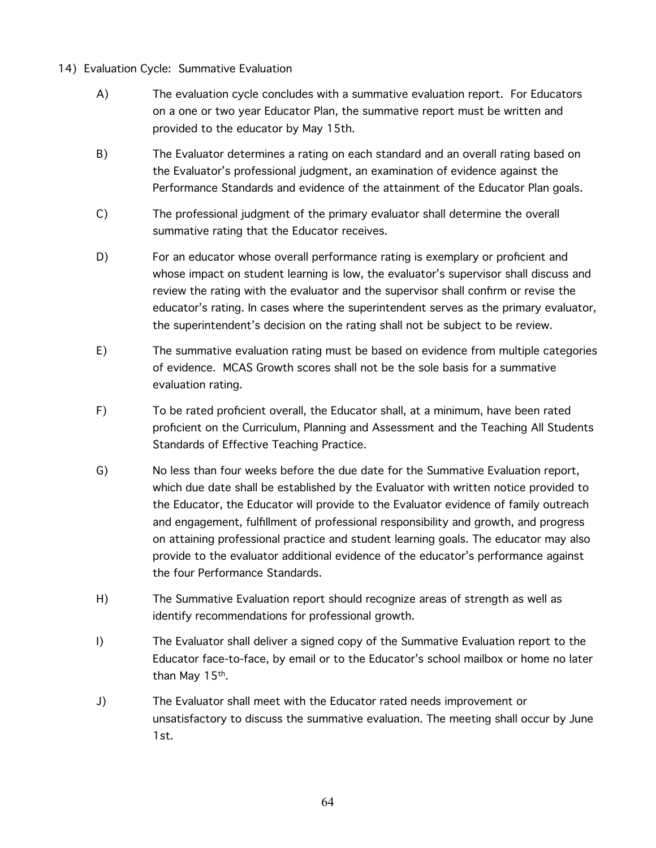- 14) Evaluation Cycle: Summative Evaluation
	- A) The evaluation cycle concludes with a summative evaluation report. For Educators on a one or two year Educator Plan, the summative report must be written and provided to the educator by May 15th.
	- B) The Evaluator determines a rating on each standard and an overall rating based on the Evaluator's professional judgment, an examination of evidence against the Performance Standards and evidence of the attainment of the Educator Plan goals.
	- C) The professional judgment of the primary evaluator shall determine the overall summative rating that the Educator receives.
	- D) For an educator whose overall performance rating is exemplary or proficient and whose impact on student learning is low, the evaluator's supervisor shall discuss and review the rating with the evaluator and the supervisor shall confirm or revise the educator's rating. In cases where the superintendent serves as the primary evaluator, the superintendent's decision on the rating shall not be subject to be review.
	- E) The summative evaluation rating must be based on evidence from multiple categories of evidence. MCAS Growth scores shall not be the sole basis for a summative evaluation rating.
	- F) To be rated proficient overall, the Educator shall, at a minimum, have been rated proficient on the Curriculum, Planning and Assessment and the Teaching All Students Standards of Effective Teaching Practice.
	- G) No less than four weeks before the due date for the Summative Evaluation report, which due date shall be established by the Evaluator with written notice provided to the Educator, the Educator will provide to the Evaluator evidence of family outreach and engagement, fulfillment of professional responsibility and growth, and progress on attaining professional practice and student learning goals. The educator may also provide to the evaluator additional evidence of the educator's performance against the four Performance Standards.
	- H) The Summative Evaluation report should recognize areas of strength as well as identify recommendations for professional growth.
	- I) The Evaluator shall deliver a signed copy of the Summative Evaluation report to the Educator face-to-face, by email or to the Educator's school mailbox or home no later than May 15th.
	- J) The Evaluator shall meet with the Educator rated needs improvement or unsatisfactory to discuss the summative evaluation. The meeting shall occur by June 1st.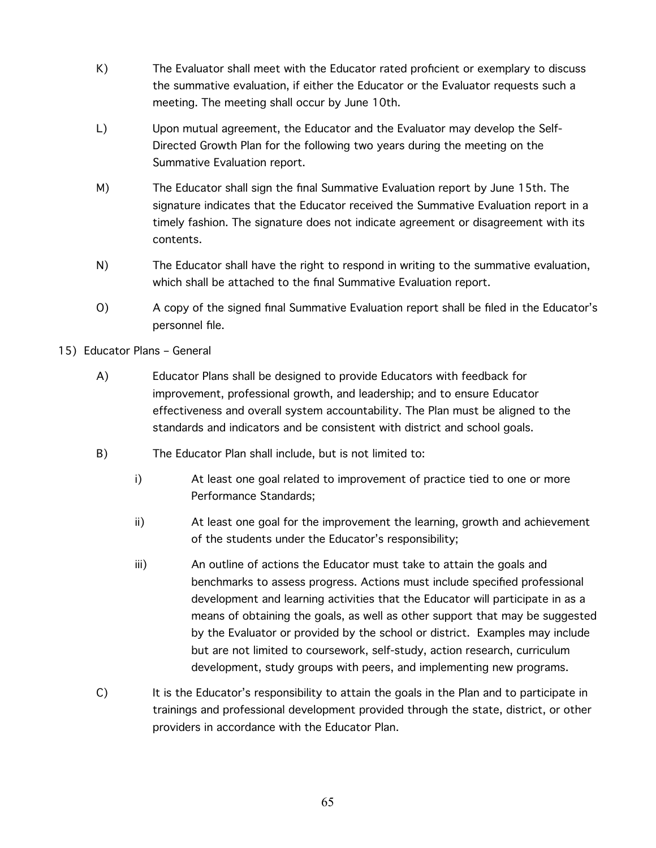- K) The Evaluator shall meet with the Educator rated proficient or exemplary to discuss the summative evaluation, if either the Educator or the Evaluator requests such a meeting. The meeting shall occur by June 10th.
- L) Upon mutual agreement, the Educator and the Evaluator may develop the Self-Directed Growth Plan for the following two years during the meeting on the Summative Evaluation report.
- M) The Educator shall sign the final Summative Evaluation report by June 15th. The signature indicates that the Educator received the Summative Evaluation report in a timely fashion. The signature does not indicate agreement or disagreement with its contents.
- N) The Educator shall have the right to respond in writing to the summative evaluation, which shall be attached to the final Summative Evaluation report.
- O) A copy of the signed final Summative Evaluation report shall be filed in the Educator's personnel file.
- 15) Educator Plans General
	- A) Educator Plans shall be designed to provide Educators with feedback for improvement, professional growth, and leadership; and to ensure Educator effectiveness and overall system accountability. The Plan must be aligned to the standards and indicators and be consistent with district and school goals.
	- B) The Educator Plan shall include, but is not limited to:
		- i) At least one goal related to improvement of practice tied to one or more Performance Standards;
		- ii) At least one goal for the improvement the learning, growth and achievement of the students under the Educator's responsibility;
		- iii) An outline of actions the Educator must take to attain the goals and benchmarks to assess progress. Actions must include specified professional development and learning activities that the Educator will participate in as a means of obtaining the goals, as well as other support that may be suggested by the Evaluator or provided by the school or district. Examples may include but are not limited to coursework, self-study, action research, curriculum development, study groups with peers, and implementing new programs.
	- C) It is the Educator's responsibility to attain the goals in the Plan and to participate in trainings and professional development provided through the state, district, or other providers in accordance with the Educator Plan.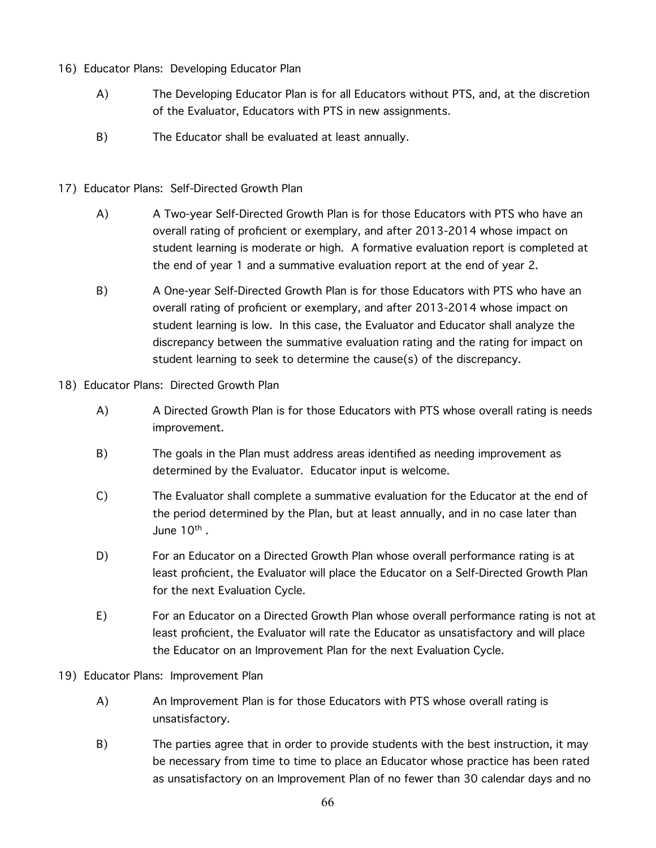- 16) Educator Plans: Developing Educator Plan
	- A) The Developing Educator Plan is for all Educators without PTS, and, at the discretion of the Evaluator, Educators with PTS in new assignments.
	- B) The Educator shall be evaluated at least annually.
- 17) Educator Plans: Self-Directed Growth Plan
	- A) A Two-year Self-Directed Growth Plan is for those Educators with PTS who have an overall rating of proficient or exemplary, and after 2013-2014 whose impact on student learning is moderate or high. A formative evaluation report is completed at the end of year 1 and a summative evaluation report at the end of year 2.
	- B) A One-year Self-Directed Growth Plan is for those Educators with PTS who have an overall rating of proficient or exemplary, and after 2013-2014 whose impact on student learning is low. In this case, the Evaluator and Educator shall analyze the discrepancy between the summative evaluation rating and the rating for impact on student learning to seek to determine the cause(s) of the discrepancy.
- 18) Educator Plans: Directed Growth Plan
	- A) A Directed Growth Plan is for those Educators with PTS whose overall rating is needs improvement.
	- B) The goals in the Plan must address areas identified as needing improvement as determined by the Evaluator. Educator input is welcome.
	- C) The Evaluator shall complete a summative evaluation for the Educator at the end of the period determined by the Plan, but at least annually, and in no case later than June 10<sup>th</sup>.
	- D) For an Educator on a Directed Growth Plan whose overall performance rating is at least proficient, the Evaluator will place the Educator on a Self-Directed Growth Plan for the next Evaluation Cycle.
	- E) For an Educator on a Directed Growth Plan whose overall performance rating is not at least proficient, the Evaluator will rate the Educator as unsatisfactory and will place the Educator on an Improvement Plan for the next Evaluation Cycle.
- 19) Educator Plans: Improvement Plan
	- A) An Improvement Plan is for those Educators with PTS whose overall rating is unsatisfactory.
	- B) The parties agree that in order to provide students with the best instruction, it may be necessary from time to time to place an Educator whose practice has been rated as unsatisfactory on an Improvement Plan of no fewer than 30 calendar days and no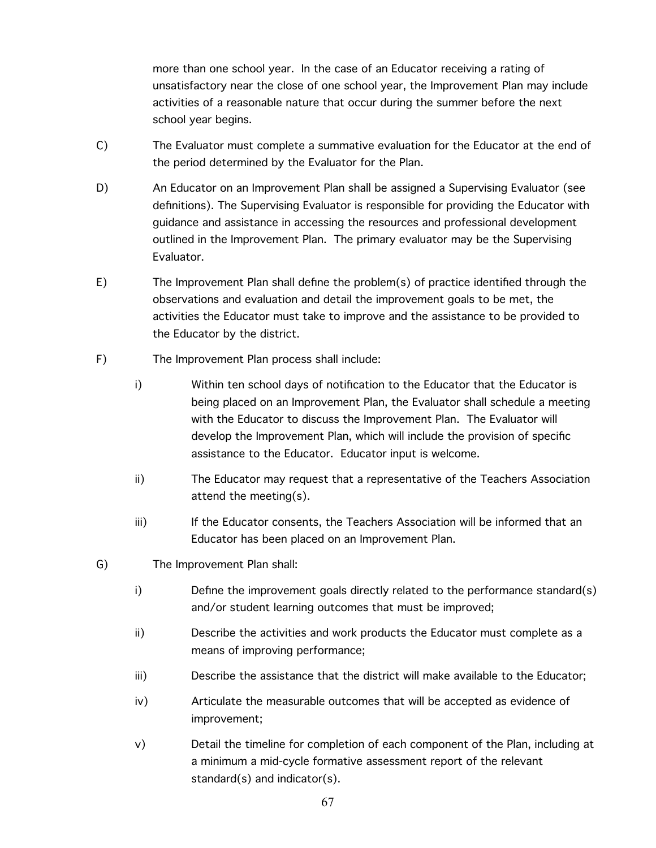more than one school year. In the case of an Educator receiving a rating of unsatisfactory near the close of one school year, the Improvement Plan may include activities of a reasonable nature that occur during the summer before the next school year begins.

- C) The Evaluator must complete a summative evaluation for the Educator at the end of the period determined by the Evaluator for the Plan.
- D) An Educator on an Improvement Plan shall be assigned a Supervising Evaluator (see definitions). The Supervising Evaluator is responsible for providing the Educator with guidance and assistance in accessing the resources and professional development outlined in the Improvement Plan. The primary evaluator may be the Supervising Evaluator.
- E) The Improvement Plan shall define the problem(s) of practice identified through the observations and evaluation and detail the improvement goals to be met, the activities the Educator must take to improve and the assistance to be provided to the Educator by the district.
- F) The Improvement Plan process shall include:
	- i) Within ten school days of notification to the Educator that the Educator is being placed on an Improvement Plan, the Evaluator shall schedule a meeting with the Educator to discuss the Improvement Plan. The Evaluator will develop the Improvement Plan, which will include the provision of specific assistance to the Educator. Educator input is welcome.
	- ii) The Educator may request that a representative of the Teachers Association attend the meeting(s).
	- iii) If the Educator consents, the Teachers Association will be informed that an Educator has been placed on an Improvement Plan.
- G) The Improvement Plan shall:
	- i) Define the improvement goals directly related to the performance standard(s) and/or student learning outcomes that must be improved;
	- ii) Describe the activities and work products the Educator must complete as a means of improving performance;
	- iii) Describe the assistance that the district will make available to the Educator;
	- iv) Articulate the measurable outcomes that will be accepted as evidence of improvement;
	- v) Detail the timeline for completion of each component of the Plan, including at a minimum a mid-cycle formative assessment report of the relevant standard(s) and indicator(s).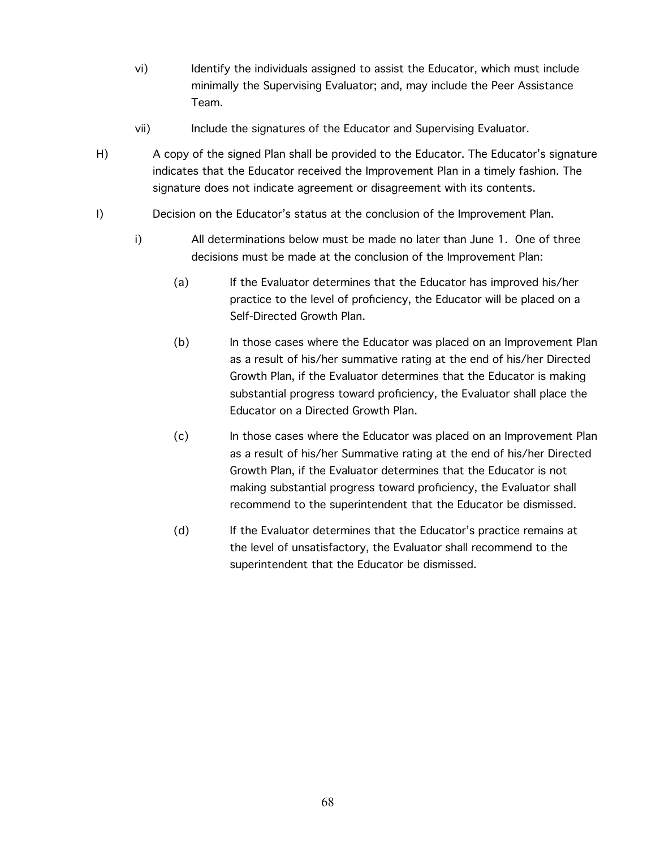- vi) Identify the individuals assigned to assist the Educator, which must include minimally the Supervising Evaluator; and, may include the Peer Assistance Team.
- vii) Include the signatures of the Educator and Supervising Evaluator.
- H) A copy of the signed Plan shall be provided to the Educator. The Educator's signature indicates that the Educator received the Improvement Plan in a timely fashion. The signature does not indicate agreement or disagreement with its contents.
- I) Decision on the Educator's status at the conclusion of the Improvement Plan.
	- i) All determinations below must be made no later than June 1. One of three decisions must be made at the conclusion of the Improvement Plan:
		- (a) If the Evaluator determines that the Educator has improved his/her practice to the level of proficiency, the Educator will be placed on a Self-Directed Growth Plan.
		- (b) In those cases where the Educator was placed on an Improvement Plan as a result of his/her summative rating at the end of his/her Directed Growth Plan, if the Evaluator determines that the Educator is making substantial progress toward proficiency, the Evaluator shall place the Educator on a Directed Growth Plan.
		- (c) In those cases where the Educator was placed on an Improvement Plan as a result of his/her Summative rating at the end of his/her Directed Growth Plan, if the Evaluator determines that the Educator is not making substantial progress toward proficiency, the Evaluator shall recommend to the superintendent that the Educator be dismissed.
		- (d) If the Evaluator determines that the Educator's practice remains at the level of unsatisfactory, the Evaluator shall recommend to the superintendent that the Educator be dismissed.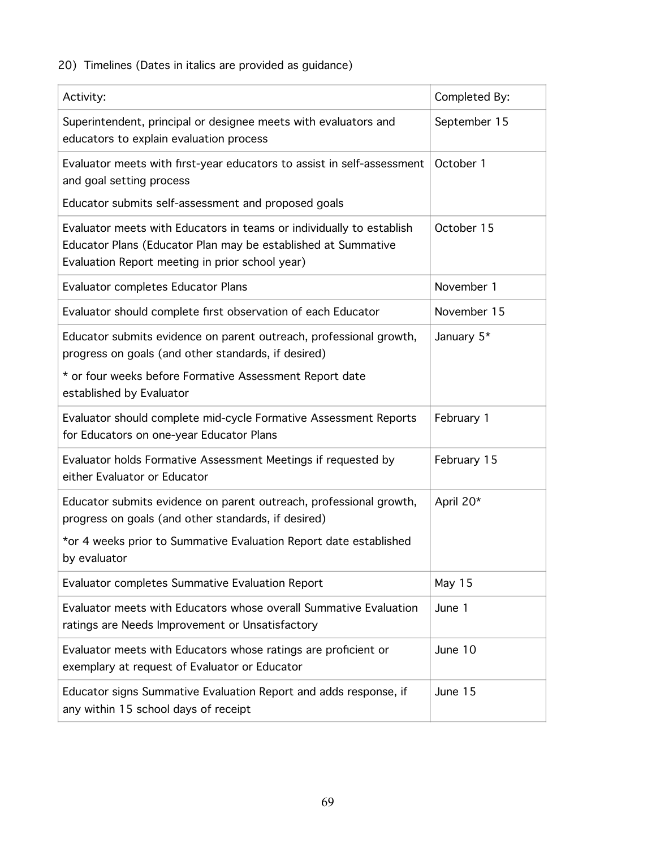# 20) Timelines (Dates in italics are provided as guidance)

| Activity:                                                                                                                                                                                | Completed By: |
|------------------------------------------------------------------------------------------------------------------------------------------------------------------------------------------|---------------|
| Superintendent, principal or designee meets with evaluators and<br>educators to explain evaluation process                                                                               | September 15  |
| Evaluator meets with first-year educators to assist in self-assessment<br>and goal setting process                                                                                       | October 1     |
| Educator submits self-assessment and proposed goals                                                                                                                                      |               |
| Evaluator meets with Educators in teams or individually to establish<br>Educator Plans (Educator Plan may be established at Summative<br>Evaluation Report meeting in prior school year) | October 15    |
| <b>Evaluator completes Educator Plans</b>                                                                                                                                                | November 1    |
| Evaluator should complete first observation of each Educator                                                                                                                             | November 15   |
| Educator submits evidence on parent outreach, professional growth,<br>progress on goals (and other standards, if desired)                                                                | January 5*    |
| * or four weeks before Formative Assessment Report date<br>established by Evaluator                                                                                                      |               |
| Evaluator should complete mid-cycle Formative Assessment Reports<br>for Educators on one-year Educator Plans                                                                             | February 1    |
| Evaluator holds Formative Assessment Meetings if requested by<br>either Evaluator or Educator                                                                                            | February 15   |
| Educator submits evidence on parent outreach, professional growth,<br>progress on goals (and other standards, if desired)                                                                | April 20*     |
| *or 4 weeks prior to Summative Evaluation Report date established<br>by evaluator                                                                                                        |               |
| Evaluator completes Summative Evaluation Report                                                                                                                                          | May 15        |
| Evaluator meets with Educators whose overall Summative Evaluation<br>ratings are Needs Improvement or Unsatisfactory                                                                     | June 1        |
| Evaluator meets with Educators whose ratings are proficient or<br>exemplary at request of Evaluator or Educator                                                                          | June 10       |
| Educator signs Summative Evaluation Report and adds response, if<br>any within 15 school days of receipt                                                                                 | June 15       |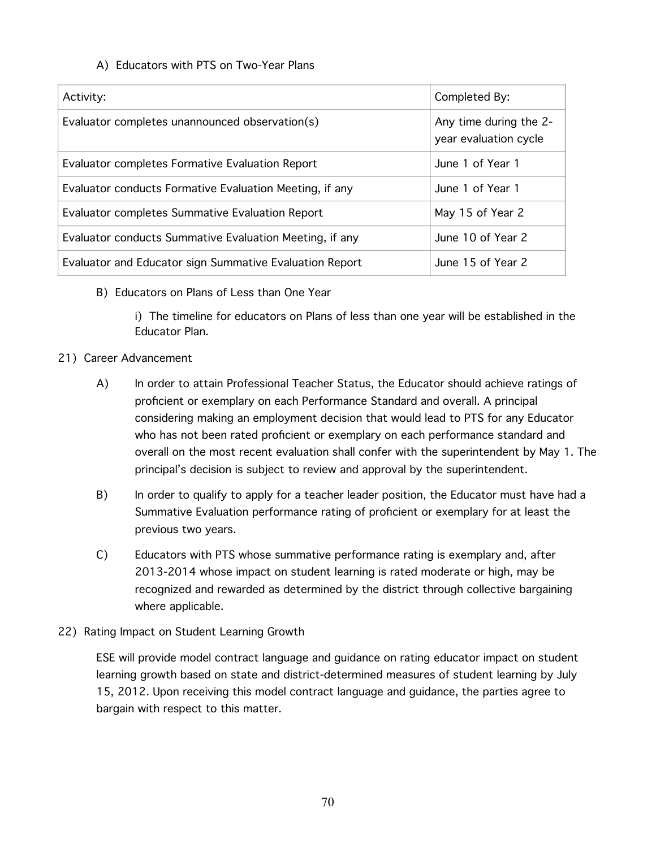## A) Educators with PTS on Two-Year Plans

| Activity:                                               | Completed By:                                   |
|---------------------------------------------------------|-------------------------------------------------|
| Evaluator completes unannounced observation(s)          | Any time during the 2-<br>year evaluation cycle |
| Evaluator completes Formative Evaluation Report         | June 1 of Year 1                                |
| Evaluator conducts Formative Evaluation Meeting, if any | June 1 of Year 1                                |
| Evaluator completes Summative Evaluation Report         | May 15 of Year 2                                |
| Evaluator conducts Summative Evaluation Meeting, if any | June 10 of Year 2                               |
| Evaluator and Educator sign Summative Evaluation Report | June 15 of Year 2                               |

B) Educators on Plans of Less than One Year

i) The timeline for educators on Plans of less than one year will be established in the Educator Plan.

- 21) Career Advancement
	- A) In order to attain Professional Teacher Status, the Educator should achieve ratings of proficient or exemplary on each Performance Standard and overall. A principal considering making an employment decision that would lead to PTS for any Educator who has not been rated proficient or exemplary on each performance standard and overall on the most recent evaluation shall confer with the superintendent by May 1. The principal's decision is subject to review and approval by the superintendent.
	- B) In order to qualify to apply for a teacher leader position, the Educator must have had a Summative Evaluation performance rating of proficient or exemplary for at least the previous two years.
	- C) Educators with PTS whose summative performance rating is exemplary and, after 2013-2014 whose impact on student learning is rated moderate or high, may be recognized and rewarded as determined by the district through collective bargaining where applicable.
- 22) Rating Impact on Student Learning Growth

ESE will provide model contract language and guidance on rating educator impact on student learning growth based on state and district-determined measures of student learning by July 15, 2012. Upon receiving this model contract language and guidance, the parties agree to bargain with respect to this matter.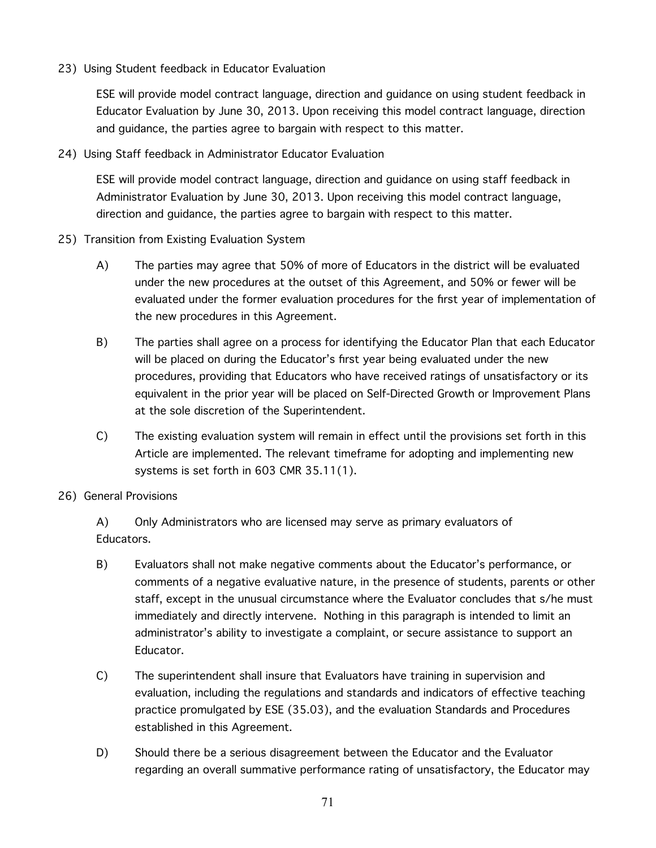23) Using Student feedback in Educator Evaluation

ESE will provide model contract language, direction and guidance on using student feedback in Educator Evaluation by June 30, 2013. Upon receiving this model contract language, direction and guidance, the parties agree to bargain with respect to this matter.

24) Using Staff feedback in Administrator Educator Evaluation

ESE will provide model contract language, direction and guidance on using staff feedback in Administrator Evaluation by June 30, 2013. Upon receiving this model contract language, direction and guidance, the parties agree to bargain with respect to this matter.

- 25) Transition from Existing Evaluation System
	- A) The parties may agree that 50% of more of Educators in the district will be evaluated under the new procedures at the outset of this Agreement, and 50% or fewer will be evaluated under the former evaluation procedures for the first year of implementation of the new procedures in this Agreement.
	- B) The parties shall agree on a process for identifying the Educator Plan that each Educator will be placed on during the Educator's first year being evaluated under the new procedures, providing that Educators who have received ratings of unsatisfactory or its equivalent in the prior year will be placed on Self-Directed Growth or Improvement Plans at the sole discretion of the Superintendent.
	- C) The existing evaluation system will remain in effect until the provisions set forth in this Article are implemented. The relevant timeframe for adopting and implementing new systems is set forth in 603 CMR 35.11(1).
- 26) General Provisions

A) Only Administrators who are licensed may serve as primary evaluators of Educators.

- B) Evaluators shall not make negative comments about the Educator's performance, or comments of a negative evaluative nature, in the presence of students, parents or other staff, except in the unusual circumstance where the Evaluator concludes that s/he must immediately and directly intervene. Nothing in this paragraph is intended to limit an administrator's ability to investigate a complaint, or secure assistance to support an Educator.
- C) The superintendent shall insure that Evaluators have training in supervision and evaluation, including the regulations and standards and indicators of effective teaching practice promulgated by ESE (35.03), and the evaluation Standards and Procedures established in this Agreement.
- D) Should there be a serious disagreement between the Educator and the Evaluator regarding an overall summative performance rating of unsatisfactory, the Educator may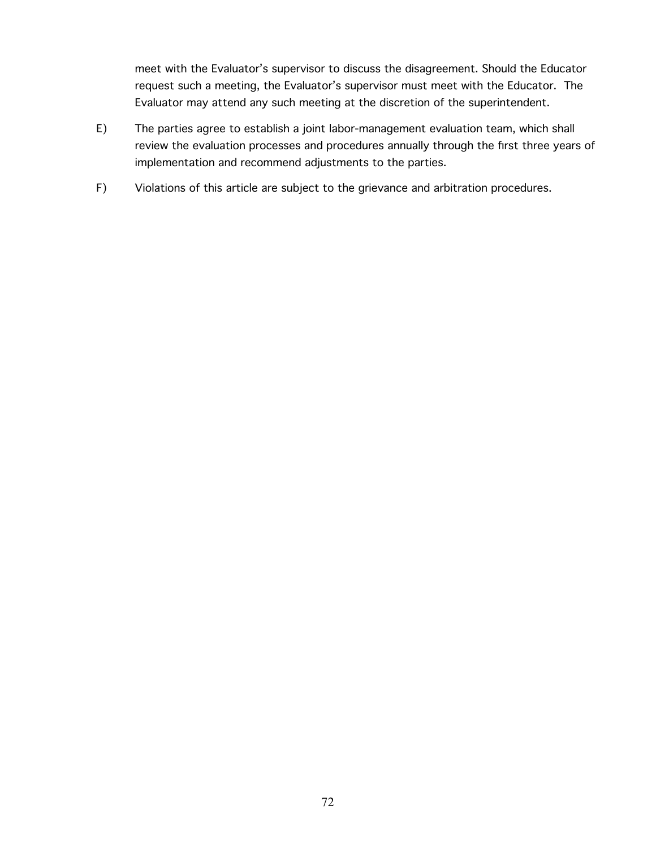meet with the Evaluator's supervisor to discuss the disagreement. Should the Educator request such a meeting, the Evaluator's supervisor must meet with the Educator. The Evaluator may attend any such meeting at the discretion of the superintendent.

- E) The parties agree to establish a joint labor-management evaluation team, which shall review the evaluation processes and procedures annually through the first three years of implementation and recommend adjustments to the parties.
- F) Violations of this article are subject to the grievance and arbitration procedures.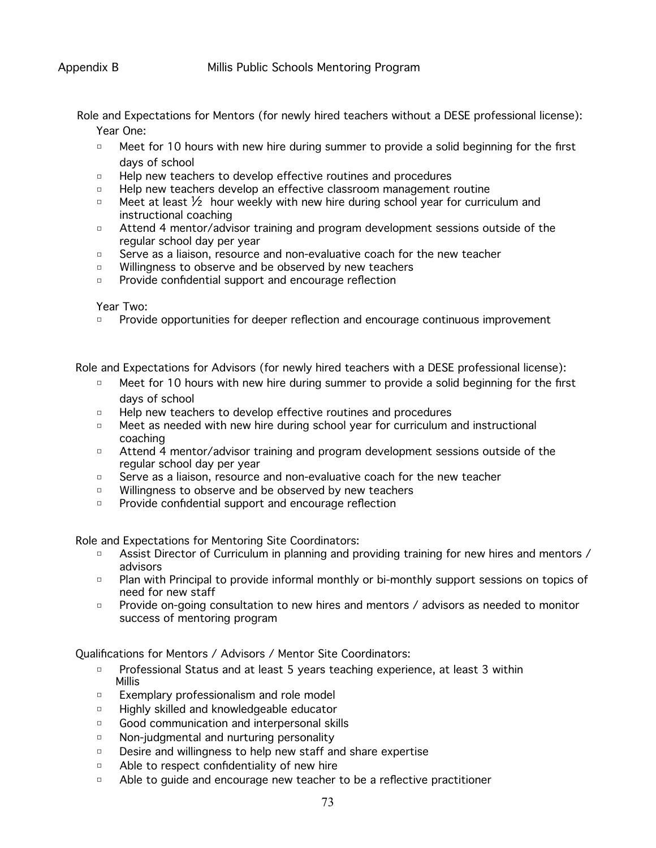Role and Expectations for Mentors (for newly hired teachers without a DESE professional license):

Year One:

- □ Meet for 10 hours with new hire during summer to provide a solid beginning for the first days of school
- □ Help new teachers to develop effective routines and procedures
- □ Help new teachers develop an effective classroom management routine
- □ Meet at least  $\frac{1}{2}$  hour weekly with new hire during school year for curriculum and instructional coaching
- □ Attend 4 mentor/advisor training and program development sessions outside of the regular school day per year
- □ Serve as a liaison, resource and non-evaluative coach for the new teacher
- □ Willingness to observe and be observed by new teachers
- □ Provide confidential support and encourage reflection

Year Two:

□ Provide opportunities for deeper reflection and encourage continuous improvement

Role and Expectations for Advisors (for newly hired teachers with a DESE professional license):

- □ Meet for 10 hours with new hire during summer to provide a solid beginning for the first days of school
- □ Help new teachers to develop effective routines and procedures
- □ Meet as needed with new hire during school year for curriculum and instructional coaching
- □ Attend 4 mentor/advisor training and program development sessions outside of the regular school day per year
- □ Serve as a liaison, resource and non-evaluative coach for the new teacher
- □ Willingness to observe and be observed by new teachers
- □ Provide confidential support and encourage reflection

Role and Expectations for Mentoring Site Coordinators:

- □ Assist Director of Curriculum in planning and providing training for new hires and mentors / advisors
- □ Plan with Principal to provide informal monthly or bi-monthly support sessions on topics of need for new staff
- □ Provide on-going consultation to new hires and mentors / advisors as needed to monitor success of mentoring program

Qualifications for Mentors / Advisors / Mentor Site Coordinators:

- □ Professional Status and at least 5 years teaching experience, at least 3 within Millis
- □ Exemplary professionalism and role model
- □ Highly skilled and knowledgeable educator
- □ Good communication and interpersonal skills
- □ Non-judgmental and nurturing personality
- □ Desire and willingness to help new staff and share expertise
- □ Able to respect confidentiality of new hire
- □ Able to guide and encourage new teacher to be a reflective practitioner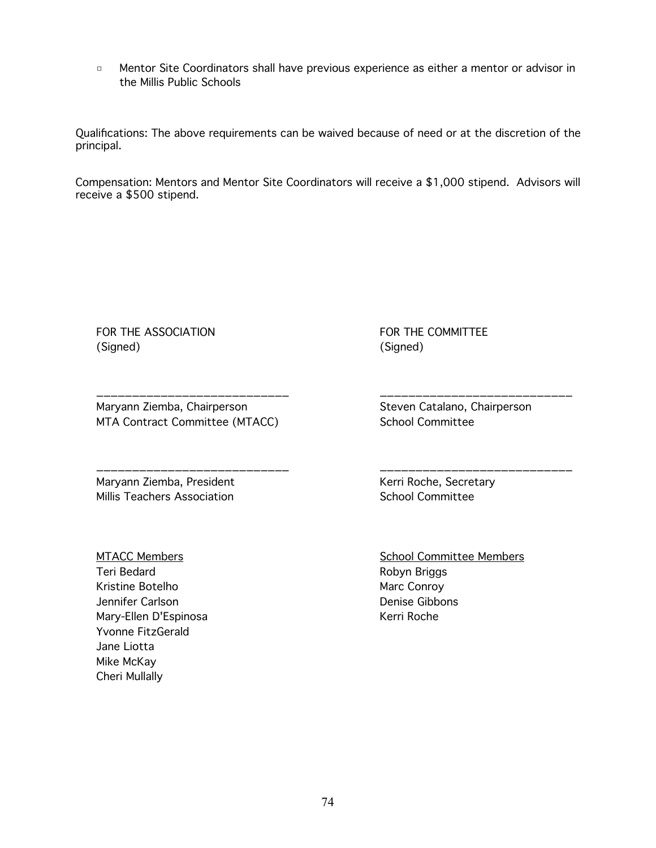□ Mentor Site Coordinators shall have previous experience as either a mentor or advisor in the Millis Public Schools

Qualifications: The above requirements can be waived because of need or at the discretion of the principal.

Compensation: Mentors and Mentor Site Coordinators will receive a \$1,000 stipend. Advisors will receive a \$500 stipend.

FOR THE ASSOCIATION (Signed)

Maryann Ziemba, Chairperson MTA Contract Committee (MTACC)

\_\_\_\_\_\_\_\_\_\_\_\_\_\_\_\_\_\_\_\_\_\_\_\_\_\_\_

\_\_\_\_\_\_\_\_\_\_\_\_\_\_\_\_\_\_\_\_\_\_\_\_\_\_\_

Maryann Ziemba, President Millis Teachers Association

MTACC Members Teri Bedard Kristine Botelho Jennifer Carlson Mary-Ellen D'Espinosa Yvonne FitzGerald Jane Liotta Mike McKay Cheri Mullally

FOR THE COMMITTEE (Signed)

Steven Catalano, Chairperson School Committee

\_\_\_\_\_\_\_\_\_\_\_\_\_\_\_\_\_\_\_\_\_\_\_\_\_\_\_

\_\_\_\_\_\_\_\_\_\_\_\_\_\_\_\_\_\_\_\_\_\_\_\_\_\_\_

Kerri Roche, Secretary School Committee

School Committee Members Robyn Briggs Marc Conroy Denise Gibbons Kerri Roche